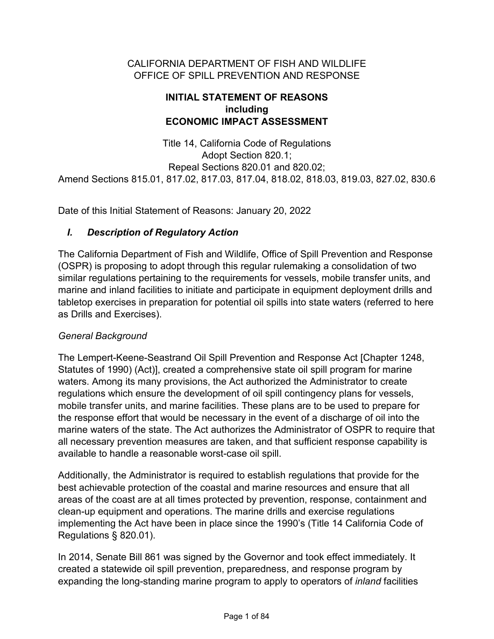#### CALIFORNIA DEPARTMENT OF FISH AND WILDLIFE OFFICE OF SPILL PREVENTION AND RESPONSE

#### **INITIAL STATEMENT OF REASONS including ECONOMIC IMPACT ASSESSMENT**

Title 14, California Code of Regulations Adopt Section 820.1; Repeal Sections 820.01 and 820.02; Amend Sections 815.01, 817.02, 817.03, 817.04, 818.02, 818.03, 819.03, 827.02, 830.6

Date of this Initial Statement of Reasons: January 20, 2022

#### *I. Description of Regulatory Action*

The California Department of Fish and Wildlife, Office of Spill Prevention and Response (OSPR) is proposing to adopt through this regular rulemaking a consolidation of two similar regulations pertaining to the requirements for vessels, mobile transfer units, and marine and inland facilities to initiate and participate in equipment deployment drills and tabletop exercises in preparation for potential oil spills into state waters (referred to here as Drills and Exercises).

#### *General Background*

The Lempert-Keene-Seastrand Oil Spill Prevention and Response Act [Chapter 1248, Statutes of 1990) (Act)], created a comprehensive state oil spill program for marine waters. Among its many provisions, the Act authorized the Administrator to create regulations which ensure the development of oil spill contingency plans for vessels, mobile transfer units, and marine facilities. These plans are to be used to prepare for the response effort that would be necessary in the event of a discharge of oil into the marine waters of the state. The Act authorizes the Administrator of OSPR to require that all necessary prevention measures are taken, and that sufficient response capability is available to handle a reasonable worst-case oil spill.

Additionally, the Administrator is required to establish regulations that provide for the best achievable protection of the coastal and marine resources and ensure that all areas of the coast are at all times protected by prevention, response, containment and clean-up equipment and operations. The marine drills and exercise regulations implementing the Act have been in place since the 1990's (Title 14 California Code of Regulations § 820.01).

In 2014, Senate Bill 861 was signed by the Governor and took effect immediately. It created a statewide oil spill prevention, preparedness, and response program by expanding the long-standing marine program to apply to operators of *inland* facilities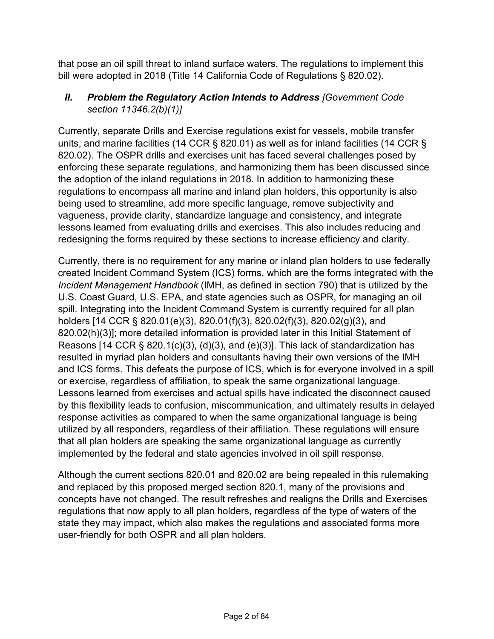that pose an oil spill threat to inland surface waters. The regulations to implement this bill were adopted in 2018 (Title 14 California Code of Regulations § 820.02).

### *II. Problem the Regulatory Action Intends to Address [Government Code section 11346.2(b)(1)]*

Currently, separate Drills and Exercise regulations exist for vessels, mobile transfer units, and marine facilities (14 CCR § 820.01) as well as for inland facilities (14 CCR § 820.02). The OSPR drills and exercises unit has faced several challenges posed by enforcing these separate regulations, and harmonizing them has been discussed since the adoption of the inland regulations in 2018. In addition to harmonizing these regulations to encompass all marine and inland plan holders, this opportunity is also being used to streamline, add more specific language, remove subjectivity and vagueness, provide clarity, standardize language and consistency, and integrate lessons learned from evaluating drills and exercises. This also includes reducing and redesigning the forms required by these sections to increase efficiency and clarity.

Currently, there is no requirement for any marine or inland plan holders to use federally created Incident Command System (ICS) forms, which are the forms integrated with the *Incident Management Handbook* (IMH, as defined in section 790) that is utilized by the U.S. Coast Guard, U.S. EPA, and state agencies such as OSPR, for managing an oil spill. Integrating into the Incident Command System is currently required for all plan holders [14 CCR § 820.01(e)(3), 820.01(f)(3), 820.02(f)(3), 820.02(g)(3), and 820.02(h)(3)]; more detailed information is provided later in this Initial Statement of Reasons [14 CCR  $\S$  820.1(c)(3), (d)(3), and (e)(3)]. This lack of standardization has resulted in myriad plan holders and consultants having their own versions of the IMH and ICS forms. This defeats the purpose of ICS, which is for everyone involved in a spill or exercise, regardless of affiliation, to speak the same organizational language. Lessons learned from exercises and actual spills have indicated the disconnect caused by this flexibility leads to confusion, miscommunication, and ultimately results in delayed response activities as compared to when the same organizational language is being utilized by all responders, regardless of their affiliation. These regulations will ensure that all plan holders are speaking the same organizational language as currently implemented by the federal and state agencies involved in oil spill response.

Although the current sections 820.01 and 820.02 are being repealed in this rulemaking and replaced by this proposed merged section 820.1, many of the provisions and concepts have not changed. The result refreshes and realigns the Drills and Exercises regulations that now apply to all plan holders, regardless of the type of waters of the state they may impact, which also makes the regulations and associated forms more user-friendly for both OSPR and all plan holders.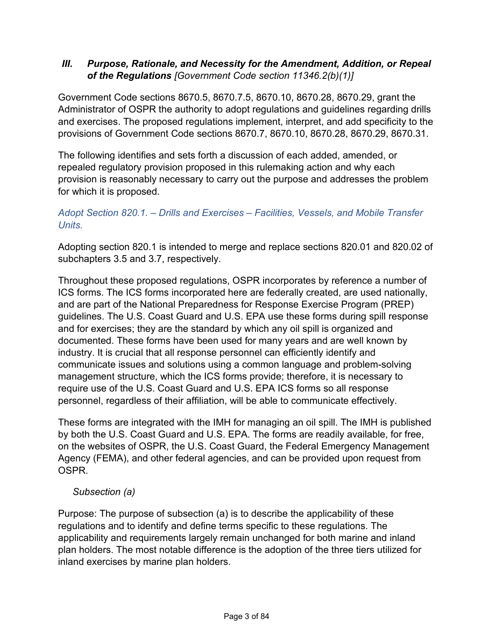#### *III. Purpose, Rationale, and Necessity for the Amendment, Addition, or Repeal of the Regulations [Government Code section 11346.2(b)(1)]*

Government Code sections 8670.5, 8670.7.5, 8670.10, 8670.28, 8670.29, grant the Administrator of OSPR the authority to adopt regulations and guidelines regarding drills and exercises. The proposed regulations implement, interpret, and add specificity to the provisions of Government Code sections 8670.7, 8670.10, 8670.28, 8670.29, 8670.31.

The following identifies and sets forth a discussion of each added, amended, or repealed regulatory provision proposed in this rulemaking action and why each provision is reasonably necessary to carry out the purpose and addresses the problem for which it is proposed.

### *Adopt Section 820.1. – Drills and Exercises – Facilities, Vessels, and Mobile Transfer Units.*

Adopting section 820.1 is intended to merge and replace sections 820.01 and 820.02 of subchapters 3.5 and 3.7, respectively.

Throughout these proposed regulations, OSPR incorporates by reference a number of ICS forms. The ICS forms incorporated here are federally created, are used nationally, and are part of the National Preparedness for Response Exercise Program (PREP) guidelines. The U.S. Coast Guard and U.S. EPA use these forms during spill response and for exercises; they are the standard by which any oil spill is organized and documented. These forms have been used for many years and are well known by industry. It is crucial that all response personnel can efficiently identify and communicate issues and solutions using a common language and problem-solving management structure, which the ICS forms provide; therefore, it is necessary to require use of the U.S. Coast Guard and U.S. EPA ICS forms so all response personnel, regardless of their affiliation, will be able to communicate effectively.

These forms are integrated with the IMH for managing an oil spill. The IMH is published by both the U.S. Coast Guard and U.S. EPA. The forms are readily available, for free, on the websites of OSPR, the U.S. Coast Guard, the Federal Emergency Management Agency (FEMA), and other federal agencies, and can be provided upon request from OSPR.

#### *Subsection (a)*

Purpose: The purpose of subsection (a) is to describe the applicability of these regulations and to identify and define terms specific to these regulations. The applicability and requirements largely remain unchanged for both marine and inland plan holders. The most notable difference is the adoption of the three tiers utilized for inland exercises by marine plan holders.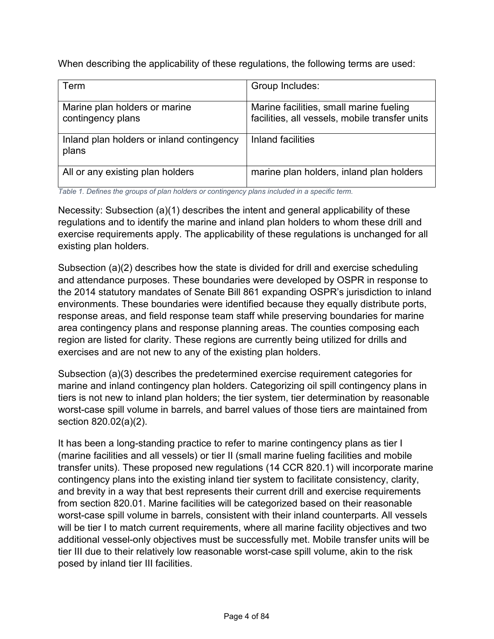When describing the applicability of these regulations, the following terms are used:

| Term                                               | Group Includes:                                                                           |
|----------------------------------------------------|-------------------------------------------------------------------------------------------|
| Marine plan holders or marine<br>contingency plans | Marine facilities, small marine fueling<br>facilities, all vessels, mobile transfer units |
| Inland plan holders or inland contingency<br>plans | <b>Inland facilities</b>                                                                  |
| All or any existing plan holders                   | marine plan holders, inland plan holders                                                  |

*Table 1. Defines the groups of plan holders or contingency plans included in a specific term.*

Necessity: Subsection (a)(1) describes the intent and general applicability of these regulations and to identify the marine and inland plan holders to whom these drill and exercise requirements apply. The applicability of these regulations is unchanged for all existing plan holders.

Subsection (a)(2) describes how the state is divided for drill and exercise scheduling and attendance purposes. These boundaries were developed by OSPR in response to the 2014 statutory mandates of Senate Bill 861 expanding OSPR's jurisdiction to inland environments. These boundaries were identified because they equally distribute ports, response areas, and field response team staff while preserving boundaries for marine area contingency plans and response planning areas. The counties composing each region are listed for clarity. These regions are currently being utilized for drills and exercises and are not new to any of the existing plan holders.

Subsection (a)(3) describes the predetermined exercise requirement categories for marine and inland contingency plan holders. Categorizing oil spill contingency plans in tiers is not new to inland plan holders; the tier system, tier determination by reasonable worst-case spill volume in barrels, and barrel values of those tiers are maintained from section 820.02(a)(2).

It has been a long-standing practice to refer to marine contingency plans as tier I (marine facilities and all vessels) or tier II (small marine fueling facilities and mobile transfer units). These proposed new regulations (14 CCR 820.1) will incorporate marine contingency plans into the existing inland tier system to facilitate consistency, clarity, and brevity in a way that best represents their current drill and exercise requirements from section 820.01. Marine facilities will be categorized based on their reasonable worst-case spill volume in barrels, consistent with their inland counterparts. All vessels will be tier I to match current requirements, where all marine facility objectives and two additional vessel-only objectives must be successfully met. Mobile transfer units will be tier III due to their relatively low reasonable worst-case spill volume, akin to the risk posed by inland tier III facilities.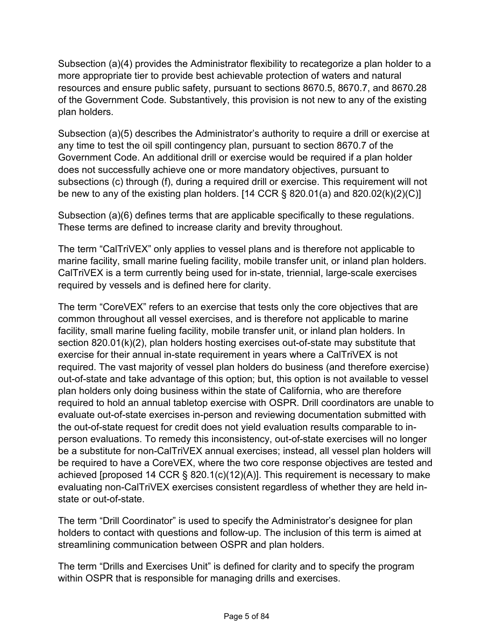Subsection (a)(4) provides the Administrator flexibility to recategorize a plan holder to a more appropriate tier to provide best achievable protection of waters and natural resources and ensure public safety, pursuant to sections 8670.5, 8670.7, and 8670.28 of the Government Code*.* Substantively, this provision is not new to any of the existing plan holders.

Subsection (a)(5) describes the Administrator's authority to require a drill or exercise at any time to test the oil spill contingency plan, pursuant to section 8670.7 of the Government Code. An additional drill or exercise would be required if a plan holder does not successfully achieve one or more mandatory objectives, pursuant to subsections (c) through (f), during a required drill or exercise. This requirement will not be new to any of the existing plan holders. [14 CCR  $\S$  820.01(a) and 820.02(k)(2)(C)]

Subsection (a)(6) defines terms that are applicable specifically to these regulations. These terms are defined to increase clarity and brevity throughout.

The term "CalTriVEX" only applies to vessel plans and is therefore not applicable to marine facility, small marine fueling facility, mobile transfer unit, or inland plan holders. CalTriVEX is a term currently being used for in-state, triennial, large-scale exercises required by vessels and is defined here for clarity.

The term "CoreVEX" refers to an exercise that tests only the core objectives that are common throughout all vessel exercises, and is therefore not applicable to marine facility, small marine fueling facility, mobile transfer unit, or inland plan holders. In section 820.01(k)(2), plan holders hosting exercises out-of-state may substitute that exercise for their annual in-state requirement in years where a CalTriVEX is not required. The vast majority of vessel plan holders do business (and therefore exercise) out-of-state and take advantage of this option; but, this option is not available to vessel plan holders only doing business within the state of California, who are therefore required to hold an annual tabletop exercise with OSPR. Drill coordinators are unable to evaluate out-of-state exercises in-person and reviewing documentation submitted with the out-of-state request for credit does not yield evaluation results comparable to inperson evaluations. To remedy this inconsistency, out-of-state exercises will no longer be a substitute for non-CalTriVEX annual exercises; instead, all vessel plan holders will be required to have a CoreVEX, where the two core response objectives are tested and achieved [proposed 14 CCR § 820.1(c)(12)(A)]. This requirement is necessary to make evaluating non-CalTriVEX exercises consistent regardless of whether they are held instate or out-of-state.

The term "Drill Coordinator" is used to specify the Administrator's designee for plan holders to contact with questions and follow-up. The inclusion of this term is aimed at streamlining communication between OSPR and plan holders.

The term "Drills and Exercises Unit" is defined for clarity and to specify the program within OSPR that is responsible for managing drills and exercises.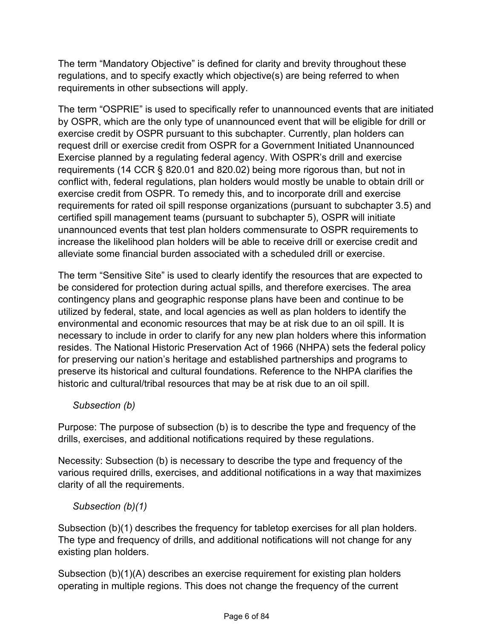The term "Mandatory Objective" is defined for clarity and brevity throughout these regulations, and to specify exactly which objective(s) are being referred to when requirements in other subsections will apply.

The term "OSPRIE" is used to specifically refer to unannounced events that are initiated by OSPR, which are the only type of unannounced event that will be eligible for drill or exercise credit by OSPR pursuant to this subchapter. Currently, plan holders can request drill or exercise credit from OSPR for a Government Initiated Unannounced Exercise planned by a regulating federal agency. With OSPR's drill and exercise requirements (14 CCR § 820.01 and 820.02) being more rigorous than, but not in conflict with, federal regulations, plan holders would mostly be unable to obtain drill or exercise credit from OSPR. To remedy this, and to incorporate drill and exercise requirements for rated oil spill response organizations (pursuant to subchapter 3.5) and certified spill management teams (pursuant to subchapter 5), OSPR will initiate unannounced events that test plan holders commensurate to OSPR requirements to increase the likelihood plan holders will be able to receive drill or exercise credit and alleviate some financial burden associated with a scheduled drill or exercise.

The term "Sensitive Site" is used to clearly identify the resources that are expected to be considered for protection during actual spills, and therefore exercises. The area contingency plans and geographic response plans have been and continue to be utilized by federal, state, and local agencies as well as plan holders to identify the environmental and economic resources that may be at risk due to an oil spill. It is necessary to include in order to clarify for any new plan holders where this information resides. The National Historic Preservation Act of 1966 (NHPA) sets the federal policy for preserving our nation's heritage and established partnerships and programs to preserve its historical and cultural foundations. Reference to the NHPA clarifies the historic and cultural/tribal resources that may be at risk due to an oil spill.

*Subsection (b)*

Purpose: The purpose of subsection (b) is to describe the type and frequency of the drills, exercises, and additional notifications required by these regulations.

Necessity: Subsection (b) is necessary to describe the type and frequency of the various required drills, exercises, and additional notifications in a way that maximizes clarity of all the requirements.

# *Subsection (b)(1)*

Subsection (b)(1) describes the frequency for tabletop exercises for all plan holders. The type and frequency of drills, and additional notifications will not change for any existing plan holders.

Subsection (b)(1)(A) describes an exercise requirement for existing plan holders operating in multiple regions. This does not change the frequency of the current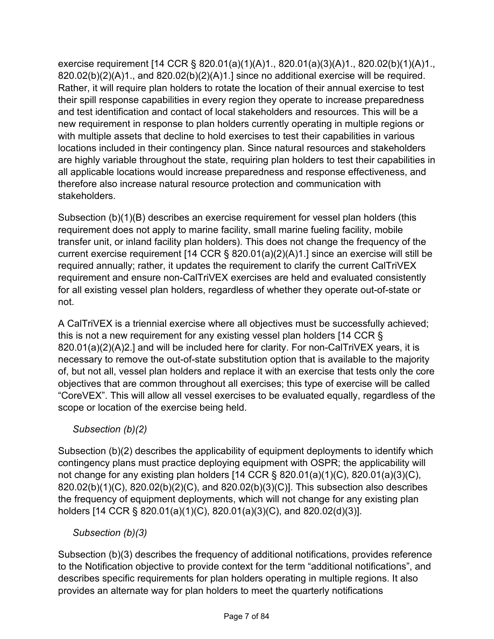exercise requirement [14 CCR § 820.01(a)(1)(A)1., 820.01(a)(3)(A)1., 820.02(b)(1)(A)1.,  $820.02(b)(2)(A)1$ ., and  $820.02(b)(2)(A)1$ . since no additional exercise will be required. Rather, it will require plan holders to rotate the location of their annual exercise to test their spill response capabilities in every region they operate to increase preparedness and test identification and contact of local stakeholders and resources. This will be a new requirement in response to plan holders currently operating in multiple regions or with multiple assets that decline to hold exercises to test their capabilities in various locations included in their contingency plan. Since natural resources and stakeholders are highly variable throughout the state, requiring plan holders to test their capabilities in all applicable locations would increase preparedness and response effectiveness, and therefore also increase natural resource protection and communication with stakeholders.

Subsection (b)(1)(B) describes an exercise requirement for vessel plan holders (this requirement does not apply to marine facility, small marine fueling facility, mobile transfer unit, or inland facility plan holders). This does not change the frequency of the current exercise requirement [14 CCR § 820.01(a)(2)(A)1.] since an exercise will still be required annually; rather, it updates the requirement to clarify the current CalTriVEX requirement and ensure non-CalTriVEX exercises are held and evaluated consistently for all existing vessel plan holders, regardless of whether they operate out-of-state or not.

A CalTriVEX is a triennial exercise where all objectives must be successfully achieved; this is not a new requirement for any existing vessel plan holders [14 CCR § 820.01(a)(2)(A)2.] and will be included here for clarity. For non-CalTriVEX years, it is necessary to remove the out-of-state substitution option that is available to the majority of, but not all, vessel plan holders and replace it with an exercise that tests only the core objectives that are common throughout all exercises; this type of exercise will be called "CoreVEX". This will allow all vessel exercises to be evaluated equally, regardless of the scope or location of the exercise being held.

# *Subsection (b)(2)*

Subsection (b)(2) describes the applicability of equipment deployments to identify which contingency plans must practice deploying equipment with OSPR; the applicability will not change for any existing plan holders [14 CCR § 820.01(a)(1)(C), 820.01(a)(3)(C), 820.02(b)(1)(C), 820.02(b)(2)(C), and 820.02(b)(3)(C)]. This subsection also describes the frequency of equipment deployments, which will not change for any existing plan holders [14 CCR § 820.01(a)(1)(C), 820.01(a)(3)(C), and 820.02(d)(3)].

# *Subsection (b)(3)*

Subsection (b)(3) describes the frequency of additional notifications, provides reference to the Notification objective to provide context for the term "additional notifications", and describes specific requirements for plan holders operating in multiple regions. It also provides an alternate way for plan holders to meet the quarterly notifications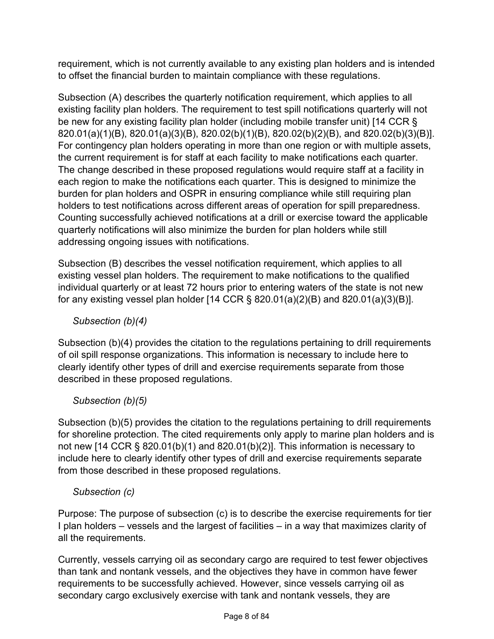requirement, which is not currently available to any existing plan holders and is intended to offset the financial burden to maintain compliance with these regulations.

Subsection (A) describes the quarterly notification requirement, which applies to all existing facility plan holders. The requirement to test spill notifications quarterly will not be new for any existing facility plan holder (including mobile transfer unit) [14 CCR § 820.01(a)(1)(B), 820.01(a)(3)(B), 820.02(b)(1)(B), 820.02(b)(2)(B), and 820.02(b)(3)(B)]. For contingency plan holders operating in more than one region or with multiple assets, the current requirement is for staff at each facility to make notifications each quarter. The change described in these proposed regulations would require staff at a facility in each region to make the notifications each quarter. This is designed to minimize the burden for plan holders and OSPR in ensuring compliance while still requiring plan holders to test notifications across different areas of operation for spill preparedness. Counting successfully achieved notifications at a drill or exercise toward the applicable quarterly notifications will also minimize the burden for plan holders while still addressing ongoing issues with notifications.

Subsection (B) describes the vessel notification requirement, which applies to all existing vessel plan holders. The requirement to make notifications to the qualified individual quarterly or at least 72 hours prior to entering waters of the state is not new for any existing vessel plan holder [14 CCR § 820.01(a)(2)(B) and 820.01(a)(3)(B)].

# *Subsection (b)(4)*

Subsection (b)(4) provides the citation to the regulations pertaining to drill requirements of oil spill response organizations. This information is necessary to include here to clearly identify other types of drill and exercise requirements separate from those described in these proposed regulations.

# *Subsection (b)(5)*

Subsection (b)(5) provides the citation to the regulations pertaining to drill requirements for shoreline protection. The cited requirements only apply to marine plan holders and is not new [14 CCR § 820.01(b)(1) and 820.01(b)(2)]. This information is necessary to include here to clearly identify other types of drill and exercise requirements separate from those described in these proposed regulations.

#### *Subsection (c)*

Purpose: The purpose of subsection (c) is to describe the exercise requirements for tier I plan holders – vessels and the largest of facilities – in a way that maximizes clarity of all the requirements.

Currently, vessels carrying oil as secondary cargo are required to test fewer objectives than tank and nontank vessels, and the objectives they have in common have fewer requirements to be successfully achieved. However, since vessels carrying oil as secondary cargo exclusively exercise with tank and nontank vessels, they are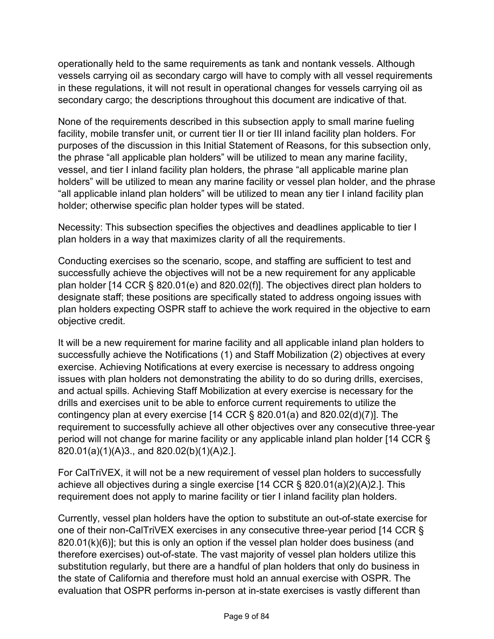operationally held to the same requirements as tank and nontank vessels. Although vessels carrying oil as secondary cargo will have to comply with all vessel requirements in these regulations, it will not result in operational changes for vessels carrying oil as secondary cargo; the descriptions throughout this document are indicative of that.

None of the requirements described in this subsection apply to small marine fueling facility, mobile transfer unit, or current tier II or tier III inland facility plan holders. For purposes of the discussion in this Initial Statement of Reasons, for this subsection only, the phrase "all applicable plan holders" will be utilized to mean any marine facility, vessel, and tier I inland facility plan holders, the phrase "all applicable marine plan holders" will be utilized to mean any marine facility or vessel plan holder, and the phrase "all applicable inland plan holders" will be utilized to mean any tier I inland facility plan holder; otherwise specific plan holder types will be stated.

Necessity: This subsection specifies the objectives and deadlines applicable to tier I plan holders in a way that maximizes clarity of all the requirements.

Conducting exercises so the scenario, scope, and staffing are sufficient to test and successfully achieve the objectives will not be a new requirement for any applicable plan holder [14 CCR § 820.01(e) and 820.02(f)]. The objectives direct plan holders to designate staff; these positions are specifically stated to address ongoing issues with plan holders expecting OSPR staff to achieve the work required in the objective to earn objective credit.

It will be a new requirement for marine facility and all applicable inland plan holders to successfully achieve the Notifications (1) and Staff Mobilization (2) objectives at every exercise. Achieving Notifications at every exercise is necessary to address ongoing issues with plan holders not demonstrating the ability to do so during drills, exercises, and actual spills. Achieving Staff Mobilization at every exercise is necessary for the drills and exercises unit to be able to enforce current requirements to utilize the contingency plan at every exercise [14 CCR § 820.01(a) and 820.02(d)(7)]. The requirement to successfully achieve all other objectives over any consecutive three-year period will not change for marine facility or any applicable inland plan holder [14 CCR § 820.01(a)(1)(A)3., and 820.02(b)(1)(A)2.].

For CalTriVEX, it will not be a new requirement of vessel plan holders to successfully achieve all objectives during a single exercise [14 CCR § 820.01(a)(2)(A)2.]. This requirement does not apply to marine facility or tier I inland facility plan holders.

Currently, vessel plan holders have the option to substitute an out-of-state exercise for one of their non-CalTriVEX exercises in any consecutive three-year period [14 CCR § 820.01(k)(6)]; but this is only an option if the vessel plan holder does business (and therefore exercises) out-of-state. The vast majority of vessel plan holders utilize this substitution regularly, but there are a handful of plan holders that only do business in the state of California and therefore must hold an annual exercise with OSPR. The evaluation that OSPR performs in-person at in-state exercises is vastly different than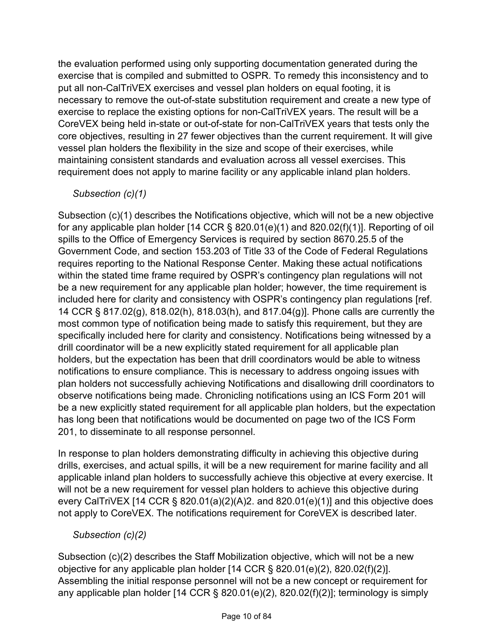the evaluation performed using only supporting documentation generated during the exercise that is compiled and submitted to OSPR. To remedy this inconsistency and to put all non-CalTriVEX exercises and vessel plan holders on equal footing, it is necessary to remove the out-of-state substitution requirement and create a new type of exercise to replace the existing options for non-CalTriVEX years. The result will be a CoreVEX being held in-state or out-of-state for non-CalTriVEX years that tests only the core objectives, resulting in 27 fewer objectives than the current requirement. It will give vessel plan holders the flexibility in the size and scope of their exercises, while maintaining consistent standards and evaluation across all vessel exercises. This requirement does not apply to marine facility or any applicable inland plan holders.

#### *Subsection (c)(1)*

Subsection (c)(1) describes the Notifications objective, which will not be a new objective for any applicable plan holder [14 CCR § 820.01(e)(1) and 820.02(f)(1)]. Reporting of oil spills to the Office of Emergency Services is required by section 8670.25.5 of the Government Code, and section 153.203 of Title 33 of the Code of Federal Regulations requires reporting to the National Response Center. Making these actual notifications within the stated time frame required by OSPR's contingency plan regulations will not be a new requirement for any applicable plan holder; however, the time requirement is included here for clarity and consistency with OSPR's contingency plan regulations [ref. 14 CCR § 817.02(g), 818.02(h), 818.03(h), and 817.04(g)]. Phone calls are currently the most common type of notification being made to satisfy this requirement, but they are specifically included here for clarity and consistency. Notifications being witnessed by a drill coordinator will be a new explicitly stated requirement for all applicable plan holders, but the expectation has been that drill coordinators would be able to witness notifications to ensure compliance. This is necessary to address ongoing issues with plan holders not successfully achieving Notifications and disallowing drill coordinators to observe notifications being made. Chronicling notifications using an ICS Form 201 will be a new explicitly stated requirement for all applicable plan holders, but the expectation has long been that notifications would be documented on page two of the ICS Form 201, to disseminate to all response personnel.

In response to plan holders demonstrating difficulty in achieving this objective during drills, exercises, and actual spills, it will be a new requirement for marine facility and all applicable inland plan holders to successfully achieve this objective at every exercise. It will not be a new requirement for vessel plan holders to achieve this objective during every CalTriVEX [14 CCR § 820.01(a)(2)(A)2. and 820.01(e)(1)] and this objective does not apply to CoreVEX. The notifications requirement for CoreVEX is described later.

*Subsection (c)(2)*

Subsection (c)(2) describes the Staff Mobilization objective, which will not be a new objective for any applicable plan holder [14 CCR § 820.01(e)(2), 820.02(f)(2)]. Assembling the initial response personnel will not be a new concept or requirement for any applicable plan holder  $[14$  CCR § 820.01(e)(2), 820.02(f)(2)]; terminology is simply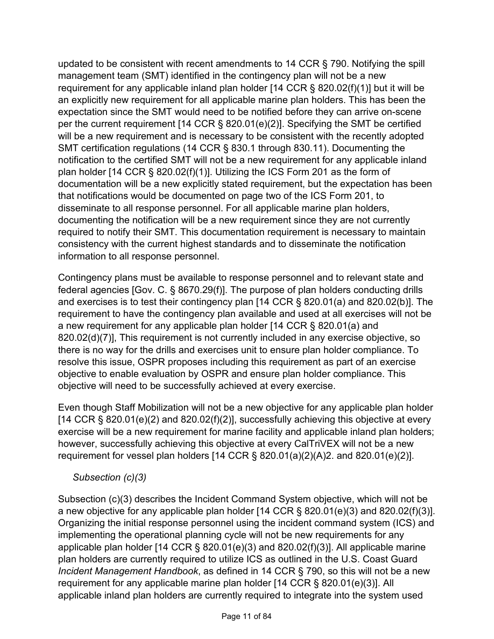updated to be consistent with recent amendments to 14 CCR § 790. Notifying the spill management team (SMT) identified in the contingency plan will not be a new requirement for any applicable inland plan holder [14 CCR § 820.02(f)(1)] but it will be an explicitly new requirement for all applicable marine plan holders. This has been the expectation since the SMT would need to be notified before they can arrive on-scene per the current requirement [14 CCR § 820.01(e)(2)]. Specifying the SMT be certified will be a new requirement and is necessary to be consistent with the recently adopted SMT certification regulations (14 CCR § 830.1 through 830.11). Documenting the notification to the certified SMT will not be a new requirement for any applicable inland plan holder [14 CCR § 820.02(f)(1)]. Utilizing the ICS Form 201 as the form of documentation will be a new explicitly stated requirement, but the expectation has been that notifications would be documented on page two of the ICS Form 201, to disseminate to all response personnel. For all applicable marine plan holders, documenting the notification will be a new requirement since they are not currently required to notify their SMT. This documentation requirement is necessary to maintain consistency with the current highest standards and to disseminate the notification information to all response personnel.

Contingency plans must be available to response personnel and to relevant state and federal agencies [Gov. C. § 8670.29(f)]. The purpose of plan holders conducting drills and exercises is to test their contingency plan [14 CCR § 820.01(a) and 820.02(b)]. The requirement to have the contingency plan available and used at all exercises will not be a new requirement for any applicable plan holder [14 CCR § 820.01(a) and 820.02(d)(7)], This requirement is not currently included in any exercise objective, so there is no way for the drills and exercises unit to ensure plan holder compliance. To resolve this issue, OSPR proposes including this requirement as part of an exercise objective to enable evaluation by OSPR and ensure plan holder compliance. This objective will need to be successfully achieved at every exercise.

Even though Staff Mobilization will not be a new objective for any applicable plan holder  $[14$  CCR § 820.01(e)(2) and 820.02(f)(2)], successfully achieving this objective at every exercise will be a new requirement for marine facility and applicable inland plan holders; however, successfully achieving this objective at every CalTriVEX will not be a new requirement for vessel plan holders [14 CCR § 820.01(a)(2)(A)2. and 820.01(e)(2)].

#### *Subsection (c)(3)*

Subsection (c)(3) describes the Incident Command System objective, which will not be a new objective for any applicable plan holder [14 CCR § 820.01(e)(3) and 820.02(f)(3)]. Organizing the initial response personnel using the incident command system (ICS) and implementing the operational planning cycle will not be new requirements for any applicable plan holder [14 CCR § 820.01(e)(3) and 820.02(f)(3)]. All applicable marine plan holders are currently required to utilize ICS as outlined in the U.S. Coast Guard *Incident Management Handbook*, as defined in 14 CCR § 790, so this will not be a new requirement for any applicable marine plan holder [14 CCR § 820.01(e)(3)]. All applicable inland plan holders are currently required to integrate into the system used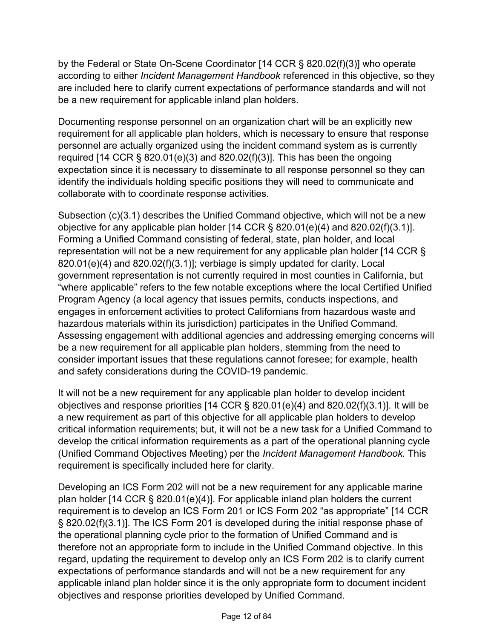by the Federal or State On-Scene Coordinator [14 CCR § 820.02(f)(3)] who operate according to either *Incident Management Handbook* referenced in this objective, so they are included here to clarify current expectations of performance standards and will not be a new requirement for applicable inland plan holders.

Documenting response personnel on an organization chart will be an explicitly new requirement for all applicable plan holders, which is necessary to ensure that response personnel are actually organized using the incident command system as is currently required [14 CCR  $\S$  820.01(e)(3) and 820.02(f)(3)]. This has been the ongoing expectation since it is necessary to disseminate to all response personnel so they can identify the individuals holding specific positions they will need to communicate and collaborate with to coordinate response activities.

Subsection (c)(3.1) describes the Unified Command objective, which will not be a new objective for any applicable plan holder [14 CCR § 820.01(e)(4) and 820.02(f)(3.1)]. Forming a Unified Command consisting of federal, state, plan holder, and local representation will not be a new requirement for any applicable plan holder [14 CCR § 820.01(e)(4) and 820.02(f)(3.1)]; verbiage is simply updated for clarity. Local government representation is not currently required in most counties in California, but "where applicable" refers to the few notable exceptions where the local Certified Unified Program Agency (a local agency that issues permits, conducts inspections, and engages in enforcement activities to protect Californians from hazardous waste and hazardous materials within its jurisdiction) participates in the Unified Command. Assessing engagement with additional agencies and addressing emerging concerns will be a new requirement for all applicable plan holders, stemming from the need to consider important issues that these regulations cannot foresee; for example, health and safety considerations during the COVID-19 pandemic.

It will not be a new requirement for any applicable plan holder to develop incident objectives and response priorities [14 CCR § 820.01(e)(4) and 820.02(f)(3.1)]. It will be a new requirement as part of this objective for all applicable plan holders to develop critical information requirements; but, it will not be a new task for a Unified Command to develop the critical information requirements as a part of the operational planning cycle (Unified Command Objectives Meeting) per the *Incident Management Handbook.* This requirement is specifically included here for clarity.

Developing an ICS Form 202 will not be a new requirement for any applicable marine plan holder [14 CCR § 820.01(e)(4)]. For applicable inland plan holders the current requirement is to develop an ICS Form 201 or ICS Form 202 "as appropriate" [14 CCR § 820.02(f)(3.1)]. The ICS Form 201 is developed during the initial response phase of the operational planning cycle prior to the formation of Unified Command and is therefore not an appropriate form to include in the Unified Command objective. In this regard, updating the requirement to develop only an ICS Form 202 is to clarify current expectations of performance standards and will not be a new requirement for any applicable inland plan holder since it is the only appropriate form to document incident objectives and response priorities developed by Unified Command.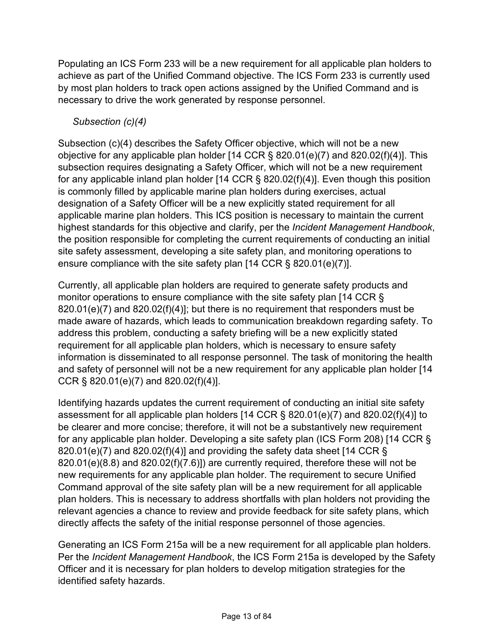Populating an ICS Form 233 will be a new requirement for all applicable plan holders to achieve as part of the Unified Command objective. The ICS Form 233 is currently used by most plan holders to track open actions assigned by the Unified Command and is necessary to drive the work generated by response personnel.

# *Subsection (c)(4)*

Subsection (c)(4) describes the Safety Officer objective, which will not be a new objective for any applicable plan holder [14 CCR § 820.01(e)(7) and 820.02(f)(4)]. This subsection requires designating a Safety Officer, which will not be a new requirement for any applicable inland plan holder [14 CCR § 820.02(f)(4)]. Even though this position is commonly filled by applicable marine plan holders during exercises, actual designation of a Safety Officer will be a new explicitly stated requirement for all applicable marine plan holders. This ICS position is necessary to maintain the current highest standards for this objective and clarify, per the *Incident Management Handbook*, the position responsible for completing the current requirements of conducting an initial site safety assessment, developing a site safety plan, and monitoring operations to ensure compliance with the site safety plan [14 CCR § 820.01(e)(7)].

Currently, all applicable plan holders are required to generate safety products and monitor operations to ensure compliance with the site safety plan [14 CCR § 820.01(e)(7) and 820.02(f)(4)]; but there is no requirement that responders must be made aware of hazards, which leads to communication breakdown regarding safety. To address this problem, conducting a safety briefing will be a new explicitly stated requirement for all applicable plan holders, which is necessary to ensure safety information is disseminated to all response personnel. The task of monitoring the health and safety of personnel will not be a new requirement for any applicable plan holder [14 CCR § 820.01(e)(7) and 820.02(f)(4)].

Identifying hazards updates the current requirement of conducting an initial site safety assessment for all applicable plan holders [14 CCR § 820.01(e)(7) and 820.02(f)(4)] to be clearer and more concise; therefore, it will not be a substantively new requirement for any applicable plan holder. Developing a site safety plan (ICS Form 208) [14 CCR § 820.01(e)(7) and 820.02(f)(4)] and providing the safety data sheet [14 CCR  $\S$ 820.01(e)(8.8) and 820.02(f)(7.6)]) are currently required, therefore these will not be new requirements for any applicable plan holder. The requirement to secure Unified Command approval of the site safety plan will be a new requirement for all applicable plan holders. This is necessary to address shortfalls with plan holders not providing the relevant agencies a chance to review and provide feedback for site safety plans, which directly affects the safety of the initial response personnel of those agencies.

Generating an ICS Form 215a will be a new requirement for all applicable plan holders. Per the *Incident Management Handbook*, the ICS Form 215a is developed by the Safety Officer and it is necessary for plan holders to develop mitigation strategies for the identified safety hazards.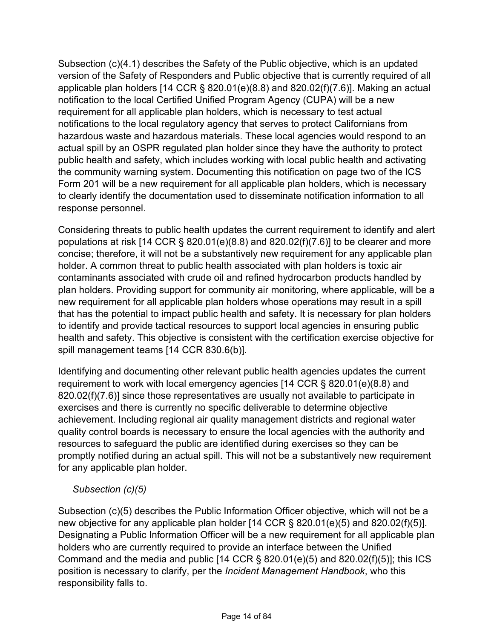Subsection (c)(4.1) describes the Safety of the Public objective, which is an updated version of the Safety of Responders and Public objective that is currently required of all applicable plan holders [14 CCR  $\S$  820.01(e)(8.8) and 820.02(f)(7.6)]. Making an actual notification to the local Certified Unified Program Agency (CUPA) will be a new requirement for all applicable plan holders, which is necessary to test actual notifications to the local regulatory agency that serves to protect Californians from hazardous waste and hazardous materials. These local agencies would respond to an actual spill by an OSPR regulated plan holder since they have the authority to protect public health and safety, which includes working with local public health and activating the community warning system. Documenting this notification on page two of the ICS Form 201 will be a new requirement for all applicable plan holders, which is necessary to clearly identify the documentation used to disseminate notification information to all response personnel.

Considering threats to public health updates the current requirement to identify and alert populations at risk [14 CCR  $\S$  820.01(e)(8.8) and 820.02(f)(7.6)] to be clearer and more concise; therefore, it will not be a substantively new requirement for any applicable plan holder. A common threat to public health associated with plan holders is toxic air contaminants associated with crude oil and refined hydrocarbon products handled by plan holders. Providing support for community air monitoring, where applicable, will be a new requirement for all applicable plan holders whose operations may result in a spill that has the potential to impact public health and safety. It is necessary for plan holders to identify and provide tactical resources to support local agencies in ensuring public health and safety. This objective is consistent with the certification exercise objective for spill management teams [14 CCR 830.6(b)].

Identifying and documenting other relevant public health agencies updates the current requirement to work with local emergency agencies [14 CCR § 820.01(e)(8.8) and 820.02(f)(7.6)] since those representatives are usually not available to participate in exercises and there is currently no specific deliverable to determine objective achievement. Including regional air quality management districts and regional water quality control boards is necessary to ensure the local agencies with the authority and resources to safeguard the public are identified during exercises so they can be promptly notified during an actual spill. This will not be a substantively new requirement for any applicable plan holder.

# *Subsection (c)(5)*

Subsection (c)(5) describes the Public Information Officer objective, which will not be a new objective for any applicable plan holder [14 CCR § 820.01(e)(5) and 820.02(f)(5)]. Designating a Public Information Officer will be a new requirement for all applicable plan holders who are currently required to provide an interface between the Unified Command and the media and public  $[14 \text{ CCR } \S 820.01(e)(5)$  and  $820.02(f)(5)]$ ; this ICS position is necessary to clarify, per the *Incident Management Handbook*, who this responsibility falls to.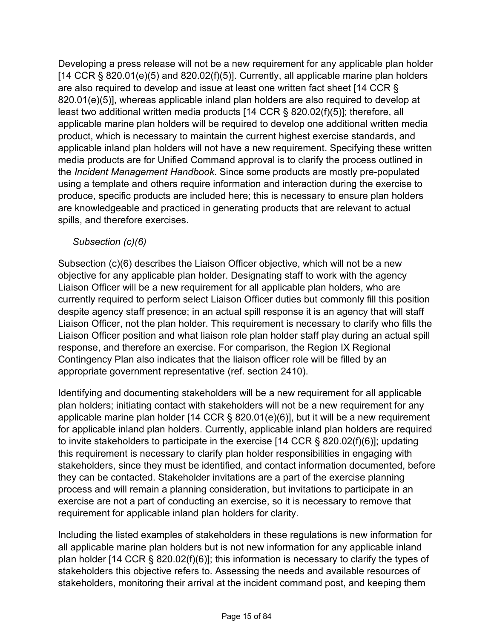Developing a press release will not be a new requirement for any applicable plan holder  $[14$  CCR § 820.01(e)(5) and 820.02(f)(5)]. Currently, all applicable marine plan holders are also required to develop and issue at least one written fact sheet [14 CCR § 820.01(e)(5)], whereas applicable inland plan holders are also required to develop at least two additional written media products [14 CCR § 820.02(f)(5)]; therefore, all applicable marine plan holders will be required to develop one additional written media product, which is necessary to maintain the current highest exercise standards, and applicable inland plan holders will not have a new requirement. Specifying these written media products are for Unified Command approval is to clarify the process outlined in the *Incident Management Handbook*. Since some products are mostly pre-populated using a template and others require information and interaction during the exercise to produce, specific products are included here; this is necessary to ensure plan holders are knowledgeable and practiced in generating products that are relevant to actual spills, and therefore exercises.

#### *Subsection (c)(6)*

Subsection (c)(6) describes the Liaison Officer objective, which will not be a new objective for any applicable plan holder. Designating staff to work with the agency Liaison Officer will be a new requirement for all applicable plan holders, who are currently required to perform select Liaison Officer duties but commonly fill this position despite agency staff presence; in an actual spill response it is an agency that will staff Liaison Officer, not the plan holder. This requirement is necessary to clarify who fills the Liaison Officer position and what liaison role plan holder staff play during an actual spill response, and therefore an exercise. For comparison, the Region IX Regional Contingency Plan also indicates that the liaison officer role will be filled by an appropriate government representative (ref. section 2410).

Identifying and documenting stakeholders will be a new requirement for all applicable plan holders; initiating contact with stakeholders will not be a new requirement for any applicable marine plan holder [14 CCR § 820.01(e)(6)], but it will be a new requirement for applicable inland plan holders. Currently, applicable inland plan holders are required to invite stakeholders to participate in the exercise [14 CCR § 820.02(f)(6)]; updating this requirement is necessary to clarify plan holder responsibilities in engaging with stakeholders, since they must be identified, and contact information documented, before they can be contacted. Stakeholder invitations are a part of the exercise planning process and will remain a planning consideration, but invitations to participate in an exercise are not a part of conducting an exercise, so it is necessary to remove that requirement for applicable inland plan holders for clarity.

Including the listed examples of stakeholders in these regulations is new information for all applicable marine plan holders but is not new information for any applicable inland plan holder [14 CCR § 820.02(f)(6)]; this information is necessary to clarify the types of stakeholders this objective refers to. Assessing the needs and available resources of stakeholders, monitoring their arrival at the incident command post, and keeping them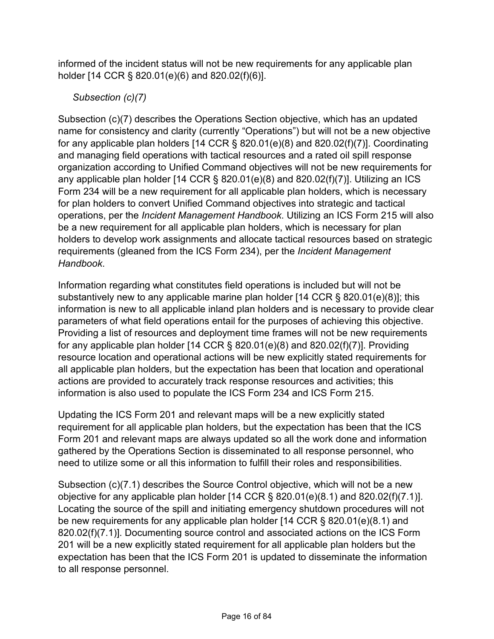informed of the incident status will not be new requirements for any applicable plan holder [14 CCR § 820.01(e)(6) and 820.02(f)(6)].

# *Subsection (c)(7)*

Subsection (c)(7) describes the Operations Section objective, which has an updated name for consistency and clarity (currently "Operations") but will not be a new objective for any applicable plan holders [14 CCR § 820.01(e)(8) and 820.02(f)(7)]. Coordinating and managing field operations with tactical resources and a rated oil spill response organization according to Unified Command objectives will not be new requirements for any applicable plan holder  $[14$  CCR § 820.01(e)(8) and 820.02(f)(7)]. Utilizing an ICS Form 234 will be a new requirement for all applicable plan holders, which is necessary for plan holders to convert Unified Command objectives into strategic and tactical operations, per the *Incident Management Handbook*. Utilizing an ICS Form 215 will also be a new requirement for all applicable plan holders, which is necessary for plan holders to develop work assignments and allocate tactical resources based on strategic requirements (gleaned from the ICS Form 234), per the *Incident Management Handbook*.

Information regarding what constitutes field operations is included but will not be substantively new to any applicable marine plan holder [14 CCR § 820.01(e)(8)]; this information is new to all applicable inland plan holders and is necessary to provide clear parameters of what field operations entail for the purposes of achieving this objective. Providing a list of resources and deployment time frames will not be new requirements for any applicable plan holder [14 CCR § 820.01(e)(8) and 820.02(f)(7)]. Providing resource location and operational actions will be new explicitly stated requirements for all applicable plan holders, but the expectation has been that location and operational actions are provided to accurately track response resources and activities; this information is also used to populate the ICS Form 234 and ICS Form 215.

Updating the ICS Form 201 and relevant maps will be a new explicitly stated requirement for all applicable plan holders, but the expectation has been that the ICS Form 201 and relevant maps are always updated so all the work done and information gathered by the Operations Section is disseminated to all response personnel, who need to utilize some or all this information to fulfill their roles and responsibilities.

Subsection (c)(7.1) describes the Source Control objective, which will not be a new objective for any applicable plan holder [14 CCR § 820.01(e)(8.1) and 820.02(f)(7.1)]. Locating the source of the spill and initiating emergency shutdown procedures will not be new requirements for any applicable plan holder [14 CCR § 820.01(e)(8.1) and 820.02(f)(7.1)]. Documenting source control and associated actions on the ICS Form 201 will be a new explicitly stated requirement for all applicable plan holders but the expectation has been that the ICS Form 201 is updated to disseminate the information to all response personnel.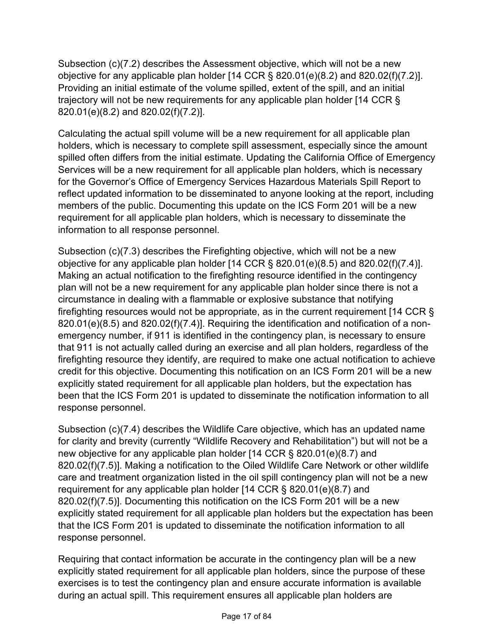Subsection (c)(7.2) describes the Assessment objective, which will not be a new objective for any applicable plan holder [14 CCR § 820.01(e)(8.2) and 820.02(f)(7.2)]. Providing an initial estimate of the volume spilled, extent of the spill, and an initial trajectory will not be new requirements for any applicable plan holder [14 CCR § 820.01(e)(8.2) and 820.02(f)(7.2)].

Calculating the actual spill volume will be a new requirement for all applicable plan holders, which is necessary to complete spill assessment, especially since the amount spilled often differs from the initial estimate. Updating the California Office of Emergency Services will be a new requirement for all applicable plan holders, which is necessary for the Governor's Office of Emergency Services Hazardous Materials Spill Report to reflect updated information to be disseminated to anyone looking at the report, including members of the public. Documenting this update on the ICS Form 201 will be a new requirement for all applicable plan holders, which is necessary to disseminate the information to all response personnel.

Subsection (c)(7.3) describes the Firefighting objective, which will not be a new objective for any applicable plan holder [14 CCR § 820.01(e)(8.5) and 820.02(f)(7.4)]. Making an actual notification to the firefighting resource identified in the contingency plan will not be a new requirement for any applicable plan holder since there is not a circumstance in dealing with a flammable or explosive substance that notifying firefighting resources would not be appropriate, as in the current requirement [14 CCR § 820.01(e)(8.5) and 820.02(f)(7.4)]. Requiring the identification and notification of a nonemergency number, if 911 is identified in the contingency plan, is necessary to ensure that 911 is not actually called during an exercise and all plan holders, regardless of the firefighting resource they identify, are required to make one actual notification to achieve credit for this objective. Documenting this notification on an ICS Form 201 will be a new explicitly stated requirement for all applicable plan holders, but the expectation has been that the ICS Form 201 is updated to disseminate the notification information to all response personnel.

Subsection (c)(7.4) describes the Wildlife Care objective, which has an updated name for clarity and brevity (currently "Wildlife Recovery and Rehabilitation") but will not be a new objective for any applicable plan holder [14 CCR § 820.01(e)(8.7) and 820.02(f)(7.5)]. Making a notification to the Oiled Wildlife Care Network or other wildlife care and treatment organization listed in the oil spill contingency plan will not be a new requirement for any applicable plan holder [14 CCR § 820.01(e)(8.7) and 820.02(f)(7.5)]. Documenting this notification on the ICS Form 201 will be a new explicitly stated requirement for all applicable plan holders but the expectation has been that the ICS Form 201 is updated to disseminate the notification information to all response personnel.

Requiring that contact information be accurate in the contingency plan will be a new explicitly stated requirement for all applicable plan holders, since the purpose of these exercises is to test the contingency plan and ensure accurate information is available during an actual spill. This requirement ensures all applicable plan holders are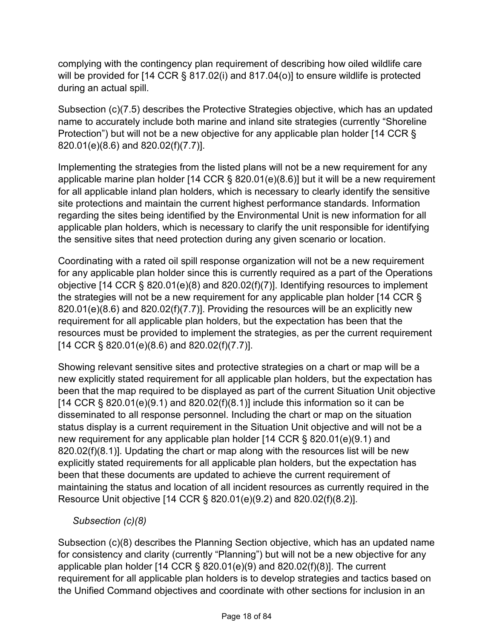complying with the contingency plan requirement of describing how oiled wildlife care will be provided for [14 CCR § 817.02(i) and 817.04(o)] to ensure wildlife is protected during an actual spill.

Subsection (c)(7.5) describes the Protective Strategies objective, which has an updated name to accurately include both marine and inland site strategies (currently "Shoreline Protection") but will not be a new objective for any applicable plan holder [14 CCR § 820.01(e)(8.6) and 820.02(f)(7.7)].

Implementing the strategies from the listed plans will not be a new requirement for any applicable marine plan holder [14 CCR § 820.01(e)(8.6)] but it will be a new requirement for all applicable inland plan holders, which is necessary to clearly identify the sensitive site protections and maintain the current highest performance standards. Information regarding the sites being identified by the Environmental Unit is new information for all applicable plan holders, which is necessary to clarify the unit responsible for identifying the sensitive sites that need protection during any given scenario or location.

Coordinating with a rated oil spill response organization will not be a new requirement for any applicable plan holder since this is currently required as a part of the Operations objective [14 CCR § 820.01(e)(8) and 820.02(f)(7)]. Identifying resources to implement the strategies will not be a new requirement for any applicable plan holder [14 CCR § 820.01(e)(8.6) and 820.02(f)(7.7)]. Providing the resources will be an explicitly new requirement for all applicable plan holders, but the expectation has been that the resources must be provided to implement the strategies, as per the current requirement [14 CCR § 820.01(e)(8.6) and 820.02(f)(7.7)].

Showing relevant sensitive sites and protective strategies on a chart or map will be a new explicitly stated requirement for all applicable plan holders, but the expectation has been that the map required to be displayed as part of the current Situation Unit objective  $[14$  CCR § 820.01(e)(9.1) and 820.02(f)(8.1)] include this information so it can be disseminated to all response personnel. Including the chart or map on the situation status display is a current requirement in the Situation Unit objective and will not be a new requirement for any applicable plan holder [14 CCR § 820.01(e)(9.1) and 820.02(f)(8.1)]. Updating the chart or map along with the resources list will be new explicitly stated requirements for all applicable plan holders, but the expectation has been that these documents are updated to achieve the current requirement of maintaining the status and location of all incident resources as currently required in the Resource Unit objective [14 CCR § 820.01(e)(9.2) and 820.02(f)(8.2)].

*Subsection (c)(8)*

Subsection (c)(8) describes the Planning Section objective, which has an updated name for consistency and clarity (currently "Planning") but will not be a new objective for any applicable plan holder [14 CCR § 820.01(e)(9) and 820.02(f)(8)]. The current requirement for all applicable plan holders is to develop strategies and tactics based on the Unified Command objectives and coordinate with other sections for inclusion in an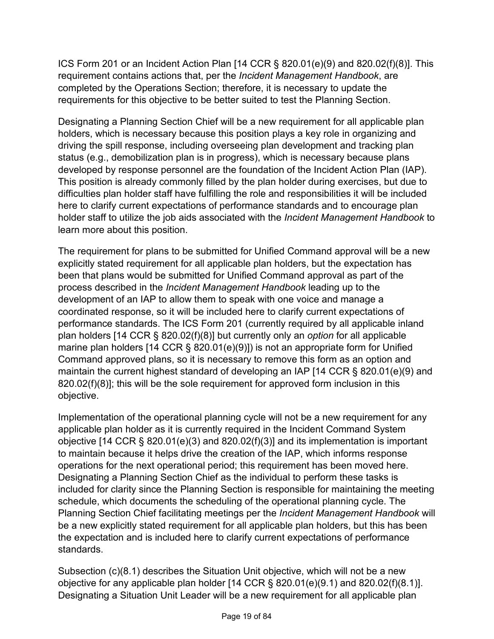ICS Form 201 or an Incident Action Plan [14 CCR § 820.01(e)(9) and 820.02(f)(8)]. This requirement contains actions that, per the *Incident Management Handbook*, are completed by the Operations Section; therefore, it is necessary to update the requirements for this objective to be better suited to test the Planning Section.

Designating a Planning Section Chief will be a new requirement for all applicable plan holders, which is necessary because this position plays a key role in organizing and driving the spill response, including overseeing plan development and tracking plan status (e.g., demobilization plan is in progress), which is necessary because plans developed by response personnel are the foundation of the Incident Action Plan (IAP). This position is already commonly filled by the plan holder during exercises, but due to difficulties plan holder staff have fulfilling the role and responsibilities it will be included here to clarify current expectations of performance standards and to encourage plan holder staff to utilize the job aids associated with the *Incident Management Handbook* to learn more about this position.

The requirement for plans to be submitted for Unified Command approval will be a new explicitly stated requirement for all applicable plan holders, but the expectation has been that plans would be submitted for Unified Command approval as part of the process described in the *Incident Management Handbook* leading up to the development of an IAP to allow them to speak with one voice and manage a coordinated response, so it will be included here to clarify current expectations of performance standards. The ICS Form 201 (currently required by all applicable inland plan holders [14 CCR § 820.02(f)(8)] but currently only an *option* for all applicable marine plan holders [14 CCR § 820.01(e)(9)]) is not an appropriate form for Unified Command approved plans, so it is necessary to remove this form as an option and maintain the current highest standard of developing an IAP [14 CCR § 820.01(e)(9) and 820.02(f)(8)]; this will be the sole requirement for approved form inclusion in this objective.

Implementation of the operational planning cycle will not be a new requirement for any applicable plan holder as it is currently required in the Incident Command System objective [14 CCR § 820.01(e)(3) and 820.02(f)(3)] and its implementation is important to maintain because it helps drive the creation of the IAP, which informs response operations for the next operational period; this requirement has been moved here. Designating a Planning Section Chief as the individual to perform these tasks is included for clarity since the Planning Section is responsible for maintaining the meeting schedule, which documents the scheduling of the operational planning cycle. The Planning Section Chief facilitating meetings per the *Incident Management Handbook* will be a new explicitly stated requirement for all applicable plan holders, but this has been the expectation and is included here to clarify current expectations of performance standards.

Subsection (c)(8.1) describes the Situation Unit objective, which will not be a new objective for any applicable plan holder [14 CCR § 820.01(e)(9.1) and 820.02(f)(8.1)]. Designating a Situation Unit Leader will be a new requirement for all applicable plan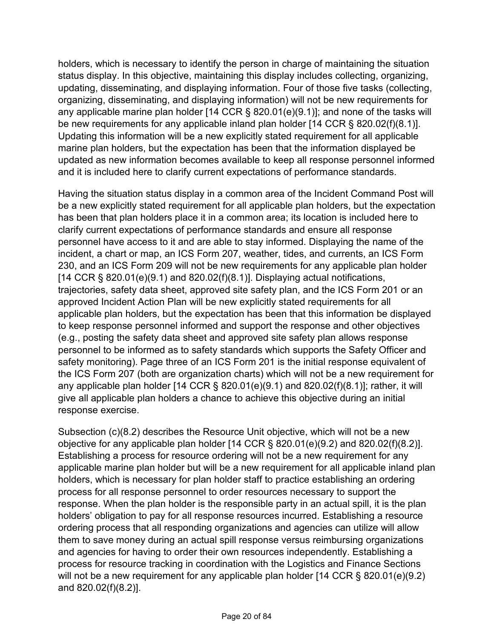holders, which is necessary to identify the person in charge of maintaining the situation status display. In this objective, maintaining this display includes collecting, organizing, updating, disseminating, and displaying information. Four of those five tasks (collecting, organizing, disseminating, and displaying information) will not be new requirements for any applicable marine plan holder [14 CCR § 820.01(e)(9.1)]; and none of the tasks will be new requirements for any applicable inland plan holder [14 CCR § 820.02(f)(8.1)]. Updating this information will be a new explicitly stated requirement for all applicable marine plan holders, but the expectation has been that the information displayed be updated as new information becomes available to keep all response personnel informed and it is included here to clarify current expectations of performance standards.

Having the situation status display in a common area of the Incident Command Post will be a new explicitly stated requirement for all applicable plan holders, but the expectation has been that plan holders place it in a common area; its location is included here to clarify current expectations of performance standards and ensure all response personnel have access to it and are able to stay informed. Displaying the name of the incident, a chart or map, an ICS Form 207, weather, tides, and currents, an ICS Form 230, and an ICS Form 209 will not be new requirements for any applicable plan holder  $[14$  CCR § 820.01(e)(9.1) and 820.02(f)(8.1)]. Displaying actual notifications, trajectories, safety data sheet, approved site safety plan, and the ICS Form 201 or an approved Incident Action Plan will be new explicitly stated requirements for all applicable plan holders, but the expectation has been that this information be displayed to keep response personnel informed and support the response and other objectives (e.g., posting the safety data sheet and approved site safety plan allows response personnel to be informed as to safety standards which supports the Safety Officer and safety monitoring). Page three of an ICS Form 201 is the initial response equivalent of the ICS Form 207 (both are organization charts) which will not be a new requirement for any applicable plan holder [14 CCR  $\S$  820.01(e)(9.1) and 820.02(f)(8.1)]; rather, it will give all applicable plan holders a chance to achieve this objective during an initial response exercise.

Subsection (c)(8.2) describes the Resource Unit objective, which will not be a new objective for any applicable plan holder [14 CCR § 820.01(e)(9.2) and 820.02(f)(8.2)]. Establishing a process for resource ordering will not be a new requirement for any applicable marine plan holder but will be a new requirement for all applicable inland plan holders, which is necessary for plan holder staff to practice establishing an ordering process for all response personnel to order resources necessary to support the response. When the plan holder is the responsible party in an actual spill, it is the plan holders' obligation to pay for all response resources incurred. Establishing a resource ordering process that all responding organizations and agencies can utilize will allow them to save money during an actual spill response versus reimbursing organizations and agencies for having to order their own resources independently. Establishing a process for resource tracking in coordination with the Logistics and Finance Sections will not be a new requirement for any applicable plan holder [14 CCR § 820.01(e)(9.2) and 820.02(f)(8.2)].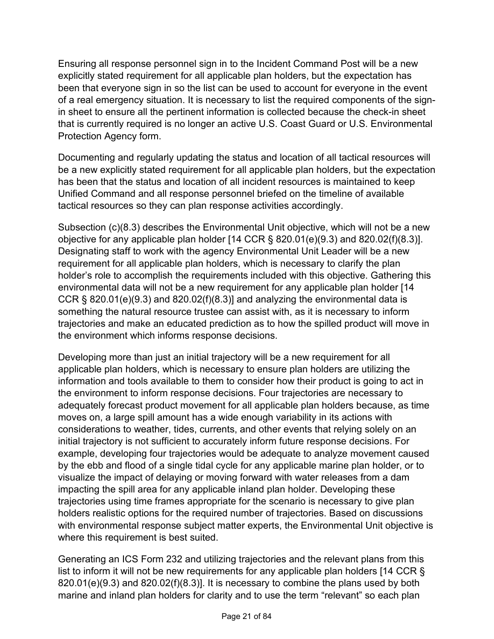Ensuring all response personnel sign in to the Incident Command Post will be a new explicitly stated requirement for all applicable plan holders, but the expectation has been that everyone sign in so the list can be used to account for everyone in the event of a real emergency situation. It is necessary to list the required components of the signin sheet to ensure all the pertinent information is collected because the check-in sheet that is currently required is no longer an active U.S. Coast Guard or U.S. Environmental Protection Agency form.

Documenting and regularly updating the status and location of all tactical resources will be a new explicitly stated requirement for all applicable plan holders, but the expectation has been that the status and location of all incident resources is maintained to keep Unified Command and all response personnel briefed on the timeline of available tactical resources so they can plan response activities accordingly.

Subsection (c)(8.3) describes the Environmental Unit objective, which will not be a new objective for any applicable plan holder [14 CCR § 820.01(e)(9.3) and 820.02(f)(8.3)]. Designating staff to work with the agency Environmental Unit Leader will be a new requirement for all applicable plan holders, which is necessary to clarify the plan holder's role to accomplish the requirements included with this objective. Gathering this environmental data will not be a new requirement for any applicable plan holder [14 CCR  $\S$  820.01(e)(9.3) and 820.02(f)(8.3)] and analyzing the environmental data is something the natural resource trustee can assist with, as it is necessary to inform trajectories and make an educated prediction as to how the spilled product will move in the environment which informs response decisions.

Developing more than just an initial trajectory will be a new requirement for all applicable plan holders, which is necessary to ensure plan holders are utilizing the information and tools available to them to consider how their product is going to act in the environment to inform response decisions. Four trajectories are necessary to adequately forecast product movement for all applicable plan holders because, as time moves on, a large spill amount has a wide enough variability in its actions with considerations to weather, tides, currents, and other events that relying solely on an initial trajectory is not sufficient to accurately inform future response decisions. For example, developing four trajectories would be adequate to analyze movement caused by the ebb and flood of a single tidal cycle for any applicable marine plan holder, or to visualize the impact of delaying or moving forward with water releases from a dam impacting the spill area for any applicable inland plan holder. Developing these trajectories using time frames appropriate for the scenario is necessary to give plan holders realistic options for the required number of trajectories. Based on discussions with environmental response subject matter experts, the Environmental Unit objective is where this requirement is best suited.

Generating an ICS Form 232 and utilizing trajectories and the relevant plans from this list to inform it will not be new requirements for any applicable plan holders [14 CCR § 820.01(e)(9.3) and 820.02(f)(8.3)]. It is necessary to combine the plans used by both marine and inland plan holders for clarity and to use the term "relevant" so each plan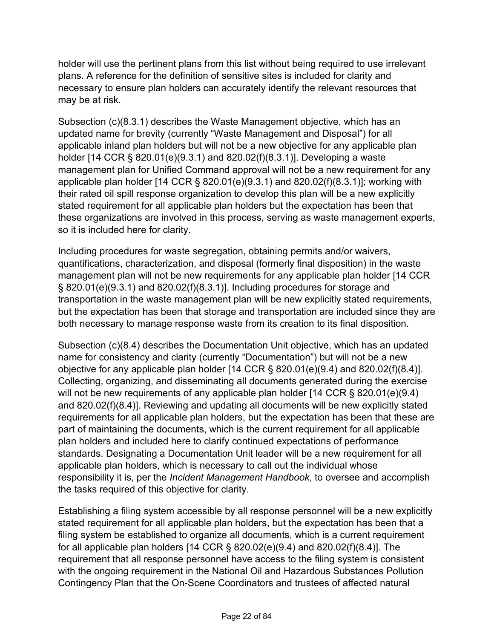holder will use the pertinent plans from this list without being required to use irrelevant plans. A reference for the definition of sensitive sites is included for clarity and necessary to ensure plan holders can accurately identify the relevant resources that may be at risk.

Subsection (c)(8.3.1) describes the Waste Management objective, which has an updated name for brevity (currently "Waste Management and Disposal") for all applicable inland plan holders but will not be a new objective for any applicable plan holder [14 CCR § 820.01(e)(9.3.1) and 820.02(f)(8.3.1)]. Developing a waste management plan for Unified Command approval will not be a new requirement for any applicable plan holder [14 CCR § 820.01(e)(9.3.1) and 820.02(f)(8.3.1)]; working with their rated oil spill response organization to develop this plan will be a new explicitly stated requirement for all applicable plan holders but the expectation has been that these organizations are involved in this process, serving as waste management experts, so it is included here for clarity.

Including procedures for waste segregation, obtaining permits and/or waivers, quantifications, characterization, and disposal (formerly final disposition) in the waste management plan will not be new requirements for any applicable plan holder [14 CCR § 820.01(e)(9.3.1) and 820.02(f)(8.3.1)]. Including procedures for storage and transportation in the waste management plan will be new explicitly stated requirements, but the expectation has been that storage and transportation are included since they are both necessary to manage response waste from its creation to its final disposition.

Subsection (c)(8.4) describes the Documentation Unit objective, which has an updated name for consistency and clarity (currently "Documentation") but will not be a new objective for any applicable plan holder [14 CCR § 820.01(e)(9.4) and 820.02(f)(8.4)]. Collecting, organizing, and disseminating all documents generated during the exercise will not be new requirements of any applicable plan holder [14 CCR § 820.01(e)(9.4) and 820.02(f)(8.4)]. Reviewing and updating all documents will be new explicitly stated requirements for all applicable plan holders, but the expectation has been that these are part of maintaining the documents, which is the current requirement for all applicable plan holders and included here to clarify continued expectations of performance standards. Designating a Documentation Unit leader will be a new requirement for all applicable plan holders, which is necessary to call out the individual whose responsibility it is, per the *Incident Management Handbook*, to oversee and accomplish the tasks required of this objective for clarity.

Establishing a filing system accessible by all response personnel will be a new explicitly stated requirement for all applicable plan holders, but the expectation has been that a filing system be established to organize all documents, which is a current requirement for all applicable plan holders [14 CCR § 820.02(e)(9.4) and 820.02(f)(8.4)]. The requirement that all response personnel have access to the filing system is consistent with the ongoing requirement in the National Oil and Hazardous Substances Pollution Contingency Plan that the On-Scene Coordinators and trustees of affected natural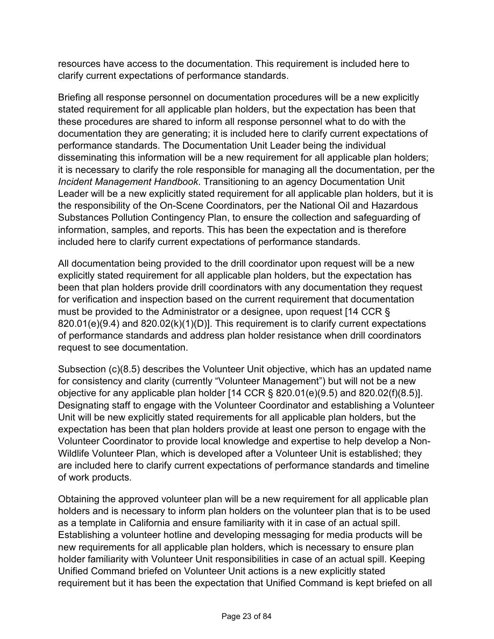resources have access to the documentation. This requirement is included here to clarify current expectations of performance standards.

Briefing all response personnel on documentation procedures will be a new explicitly stated requirement for all applicable plan holders, but the expectation has been that these procedures are shared to inform all response personnel what to do with the documentation they are generating; it is included here to clarify current expectations of performance standards. The Documentation Unit Leader being the individual disseminating this information will be a new requirement for all applicable plan holders; it is necessary to clarify the role responsible for managing all the documentation, per the *Incident Management Handbook*. Transitioning to an agency Documentation Unit Leader will be a new explicitly stated requirement for all applicable plan holders, but it is the responsibility of the On-Scene Coordinators, per the National Oil and Hazardous Substances Pollution Contingency Plan, to ensure the collection and safeguarding of information, samples, and reports. This has been the expectation and is therefore included here to clarify current expectations of performance standards.

All documentation being provided to the drill coordinator upon request will be a new explicitly stated requirement for all applicable plan holders, but the expectation has been that plan holders provide drill coordinators with any documentation they request for verification and inspection based on the current requirement that documentation must be provided to the Administrator or a designee, upon request [14 CCR § 820.01(e)(9.4) and 820.02(k)(1)(D)]. This requirement is to clarify current expectations of performance standards and address plan holder resistance when drill coordinators request to see documentation.

Subsection (c)(8.5) describes the Volunteer Unit objective, which has an updated name for consistency and clarity (currently "Volunteer Management") but will not be a new objective for any applicable plan holder [14 CCR § 820.01(e)(9.5) and 820.02(f)(8.5)]. Designating staff to engage with the Volunteer Coordinator and establishing a Volunteer Unit will be new explicitly stated requirements for all applicable plan holders, but the expectation has been that plan holders provide at least one person to engage with the Volunteer Coordinator to provide local knowledge and expertise to help develop a Non-Wildlife Volunteer Plan, which is developed after a Volunteer Unit is established; they are included here to clarify current expectations of performance standards and timeline of work products.

Obtaining the approved volunteer plan will be a new requirement for all applicable plan holders and is necessary to inform plan holders on the volunteer plan that is to be used as a template in California and ensure familiarity with it in case of an actual spill. Establishing a volunteer hotline and developing messaging for media products will be new requirements for all applicable plan holders, which is necessary to ensure plan holder familiarity with Volunteer Unit responsibilities in case of an actual spill. Keeping Unified Command briefed on Volunteer Unit actions is a new explicitly stated requirement but it has been the expectation that Unified Command is kept briefed on all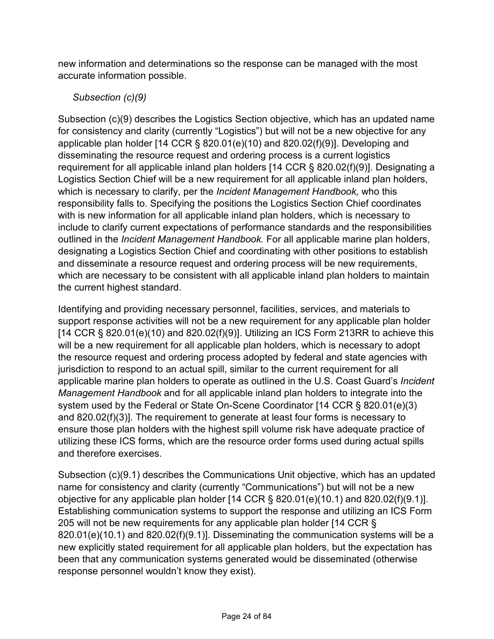new information and determinations so the response can be managed with the most accurate information possible.

# *Subsection (c)(9)*

Subsection (c)(9) describes the Logistics Section objective, which has an updated name for consistency and clarity (currently "Logistics") but will not be a new objective for any applicable plan holder [14 CCR § 820.01(e)(10) and 820.02(f)(9)]. Developing and disseminating the resource request and ordering process is a current logistics requirement for all applicable inland plan holders [14 CCR § 820.02(f)(9)]. Designating a Logistics Section Chief will be a new requirement for all applicable inland plan holders, which is necessary to clarify, per the *Incident Management Handbook,* who this responsibility falls to. Specifying the positions the Logistics Section Chief coordinates with is new information for all applicable inland plan holders, which is necessary to include to clarify current expectations of performance standards and the responsibilities outlined in the *Incident Management Handbook.* For all applicable marine plan holders, designating a Logistics Section Chief and coordinating with other positions to establish and disseminate a resource request and ordering process will be new requirements, which are necessary to be consistent with all applicable inland plan holders to maintain the current highest standard.

Identifying and providing necessary personnel, facilities, services, and materials to support response activities will not be a new requirement for any applicable plan holder  $[14$  CCR § 820.01(e)(10) and 820.02(f)(9)]. Utilizing an ICS Form 213RR to achieve this will be a new requirement for all applicable plan holders, which is necessary to adopt the resource request and ordering process adopted by federal and state agencies with jurisdiction to respond to an actual spill, similar to the current requirement for all applicable marine plan holders to operate as outlined in the U.S. Coast Guard's *Incident Management Handbook* and for all applicable inland plan holders to integrate into the system used by the Federal or State On-Scene Coordinator [14 CCR § 820.01(e)(3) and 820.02(f)(3)]. The requirement to generate at least four forms is necessary to ensure those plan holders with the highest spill volume risk have adequate practice of utilizing these ICS forms, which are the resource order forms used during actual spills and therefore exercises.

Subsection (c)(9.1) describes the Communications Unit objective, which has an updated name for consistency and clarity (currently "Communications") but will not be a new objective for any applicable plan holder [14 CCR § 820.01(e)(10.1) and 820.02(f)(9.1)]. Establishing communication systems to support the response and utilizing an ICS Form 205 will not be new requirements for any applicable plan holder [14 CCR § 820.01(e)(10.1) and 820.02(f)(9.1)]. Disseminating the communication systems will be a new explicitly stated requirement for all applicable plan holders, but the expectation has been that any communication systems generated would be disseminated (otherwise response personnel wouldn't know they exist).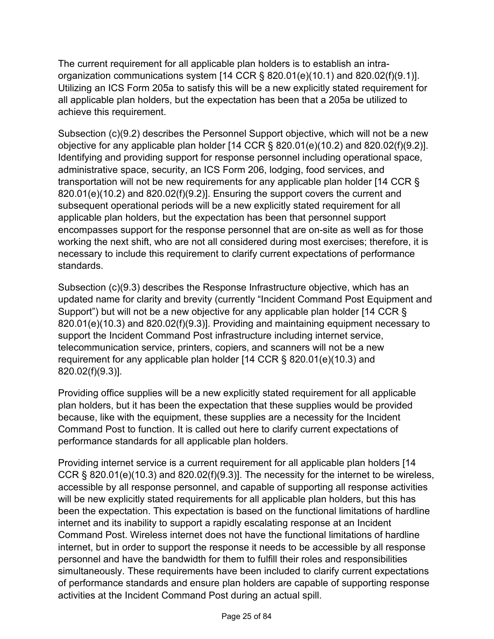The current requirement for all applicable plan holders is to establish an intraorganization communications system [14 CCR § 820.01(e)(10.1) and 820.02(f)(9.1)]. Utilizing an ICS Form 205a to satisfy this will be a new explicitly stated requirement for all applicable plan holders, but the expectation has been that a 205a be utilized to achieve this requirement.

Subsection (c)(9.2) describes the Personnel Support objective, which will not be a new objective for any applicable plan holder [14 CCR § 820.01(e)(10.2) and 820.02(f)(9.2)]. Identifying and providing support for response personnel including operational space, administrative space, security, an ICS Form 206, lodging, food services, and transportation will not be new requirements for any applicable plan holder [14 CCR § 820.01(e)(10.2) and 820.02(f)(9.2)]. Ensuring the support covers the current and subsequent operational periods will be a new explicitly stated requirement for all applicable plan holders, but the expectation has been that personnel support encompasses support for the response personnel that are on-site as well as for those working the next shift, who are not all considered during most exercises; therefore, it is necessary to include this requirement to clarify current expectations of performance standards.

Subsection (c)(9.3) describes the Response Infrastructure objective, which has an updated name for clarity and brevity (currently "Incident Command Post Equipment and Support") but will not be a new objective for any applicable plan holder [14 CCR § 820.01(e)(10.3) and 820.02(f)(9.3)]. Providing and maintaining equipment necessary to support the Incident Command Post infrastructure including internet service, telecommunication service, printers, copiers, and scanners will not be a new requirement for any applicable plan holder [14 CCR § 820.01(e)(10.3) and 820.02(f)(9.3)].

Providing office supplies will be a new explicitly stated requirement for all applicable plan holders, but it has been the expectation that these supplies would be provided because, like with the equipment, these supplies are a necessity for the Incident Command Post to function. It is called out here to clarify current expectations of performance standards for all applicable plan holders.

Providing internet service is a current requirement for all applicable plan holders [14 CCR  $\S$  820.01(e)(10.3) and 820.02(f)(9.3)]. The necessity for the internet to be wireless, accessible by all response personnel, and capable of supporting all response activities will be new explicitly stated requirements for all applicable plan holders, but this has been the expectation. This expectation is based on the functional limitations of hardline internet and its inability to support a rapidly escalating response at an Incident Command Post. Wireless internet does not have the functional limitations of hardline internet, but in order to support the response it needs to be accessible by all response personnel and have the bandwidth for them to fulfill their roles and responsibilities simultaneously. These requirements have been included to clarify current expectations of performance standards and ensure plan holders are capable of supporting response activities at the Incident Command Post during an actual spill.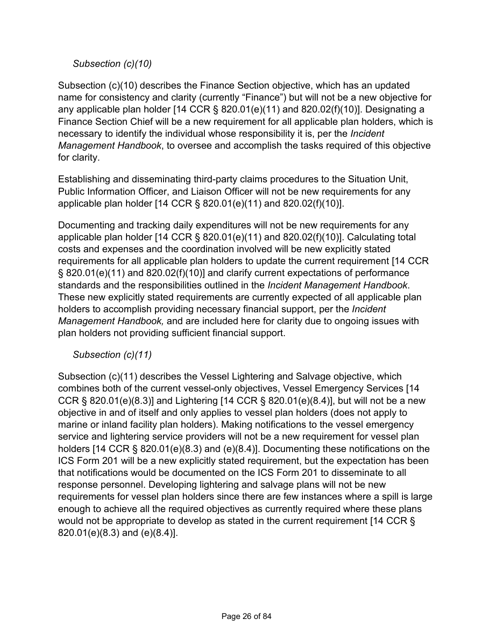### *Subsection (c)(10)*

Subsection (c)(10) describes the Finance Section objective, which has an updated name for consistency and clarity (currently "Finance") but will not be a new objective for any applicable plan holder [14 CCR § 820.01(e)(11) and 820.02(f)(10)]. Designating a Finance Section Chief will be a new requirement for all applicable plan holders, which is necessary to identify the individual whose responsibility it is, per the *Incident Management Handbook*, to oversee and accomplish the tasks required of this objective for clarity.

Establishing and disseminating third-party claims procedures to the Situation Unit, Public Information Officer, and Liaison Officer will not be new requirements for any applicable plan holder [14 CCR § 820.01(e)(11) and 820.02(f)(10)].

Documenting and tracking daily expenditures will not be new requirements for any applicable plan holder [14 CCR § 820.01(e)(11) and 820.02(f)(10)]. Calculating total costs and expenses and the coordination involved will be new explicitly stated requirements for all applicable plan holders to update the current requirement [14 CCR § 820.01(e)(11) and 820.02(f)(10)] and clarify current expectations of performance standards and the responsibilities outlined in the *Incident Management Handbook*. These new explicitly stated requirements are currently expected of all applicable plan holders to accomplish providing necessary financial support, per the *Incident Management Handbook,* and are included here for clarity due to ongoing issues with plan holders not providing sufficient financial support.

#### *Subsection (c)(11)*

Subsection (c)(11) describes the Vessel Lightering and Salvage objective, which combines both of the current vessel-only objectives, Vessel Emergency Services [14 CCR § 820.01(e)(8.3)] and Lightering [14 CCR § 820.01(e)(8.4)], but will not be a new objective in and of itself and only applies to vessel plan holders (does not apply to marine or inland facility plan holders). Making notifications to the vessel emergency service and lightering service providers will not be a new requirement for vessel plan holders [14 CCR § 820.01(e)(8.3) and (e)(8.4)]. Documenting these notifications on the ICS Form 201 will be a new explicitly stated requirement, but the expectation has been that notifications would be documented on the ICS Form 201 to disseminate to all response personnel. Developing lightering and salvage plans will not be new requirements for vessel plan holders since there are few instances where a spill is large enough to achieve all the required objectives as currently required where these plans would not be appropriate to develop as stated in the current requirement [14 CCR § 820.01(e)(8.3) and (e)(8.4)].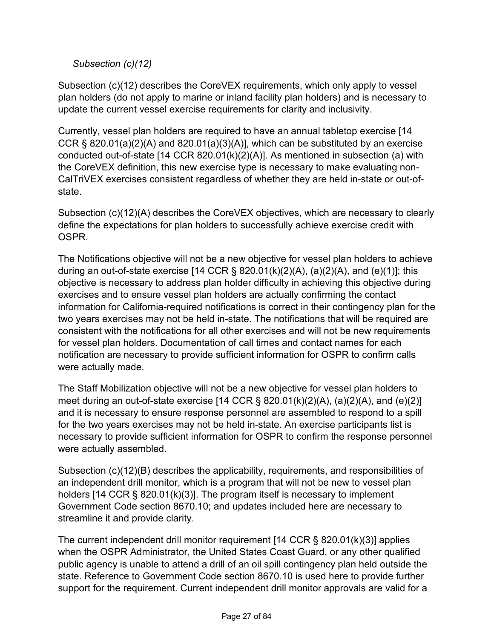*Subsection (c)(12)*

Subsection (c)(12) describes the CoreVEX requirements, which only apply to vessel plan holders (do not apply to marine or inland facility plan holders) and is necessary to update the current vessel exercise requirements for clarity and inclusivity.

Currently, vessel plan holders are required to have an annual tabletop exercise [14 CCR  $\S$  820.01(a)(2)(A) and 820.01(a)(3)(A)], which can be substituted by an exercise conducted out-of-state [14 CCR 820.01(k)(2)(A)]. As mentioned in subsection (a) with the CoreVEX definition, this new exercise type is necessary to make evaluating non-CalTriVEX exercises consistent regardless of whether they are held in-state or out-ofstate.

Subsection (c)(12)(A) describes the CoreVEX objectives, which are necessary to clearly define the expectations for plan holders to successfully achieve exercise credit with **OSPR** 

The Notifications objective will not be a new objective for vessel plan holders to achieve during an out-of-state exercise [14 CCR  $\S$  820.01(k)(2)(A), (a)(2)(A), and (e)(1)]; this objective is necessary to address plan holder difficulty in achieving this objective during exercises and to ensure vessel plan holders are actually confirming the contact information for California-required notifications is correct in their contingency plan for the two years exercises may not be held in-state. The notifications that will be required are consistent with the notifications for all other exercises and will not be new requirements for vessel plan holders. Documentation of call times and contact names for each notification are necessary to provide sufficient information for OSPR to confirm calls were actually made.

The Staff Mobilization objective will not be a new objective for vessel plan holders to meet during an out-of-state exercise  $[14$  CCR § 820.01(k)(2)(A), (a)(2)(A), and (e)(2)] and it is necessary to ensure response personnel are assembled to respond to a spill for the two years exercises may not be held in-state. An exercise participants list is necessary to provide sufficient information for OSPR to confirm the response personnel were actually assembled.

Subsection (c)(12)(B) describes the applicability, requirements, and responsibilities of an independent drill monitor, which is a program that will not be new to vessel plan holders [14 CCR § 820.01(k)(3)]. The program itself is necessary to implement Government Code section 8670.10; and updates included here are necessary to streamline it and provide clarity.

The current independent drill monitor requirement [14 CCR § 820.01(k)(3)] applies when the OSPR Administrator, the United States Coast Guard, or any other qualified public agency is unable to attend a drill of an oil spill contingency plan held outside the state. Reference to Government Code section 8670.10 is used here to provide further support for the requirement. Current independent drill monitor approvals are valid for a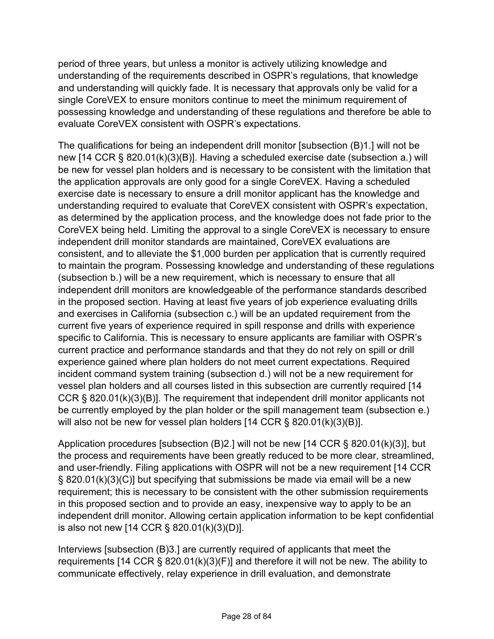period of three years, but unless a monitor is actively utilizing knowledge and understanding of the requirements described in OSPR's regulations, that knowledge and understanding will quickly fade. It is necessary that approvals only be valid for a single CoreVEX to ensure monitors continue to meet the minimum requirement of possessing knowledge and understanding of these regulations and therefore be able to evaluate CoreVEX consistent with OSPR's expectations.

The qualifications for being an independent drill monitor [subsection (B)1.] will not be new [14 CCR § 820.01(k)(3)(B)]. Having a scheduled exercise date (subsection a.) will be new for vessel plan holders and is necessary to be consistent with the limitation that the application approvals are only good for a single CoreVEX. Having a scheduled exercise date is necessary to ensure a drill monitor applicant has the knowledge and understanding required to evaluate that CoreVEX consistent with OSPR's expectation, as determined by the application process, and the knowledge does not fade prior to the CoreVEX being held. Limiting the approval to a single CoreVEX is necessary to ensure independent drill monitor standards are maintained, CoreVEX evaluations are consistent, and to alleviate the \$1,000 burden per application that is currently required to maintain the program. Possessing knowledge and understanding of these regulations (subsection b.) will be a new requirement, which is necessary to ensure that all independent drill monitors are knowledgeable of the performance standards described in the proposed section. Having at least five years of job experience evaluating drills and exercises in California (subsection c.) will be an updated requirement from the current five years of experience required in spill response and drills with experience specific to California. This is necessary to ensure applicants are familiar with OSPR's current practice and performance standards and that they do not rely on spill or drill experience gained where plan holders do not meet current expectations. Required incident command system training (subsection d.) will not be a new requirement for vessel plan holders and all courses listed in this subsection are currently required [14 CCR § 820.01(k)(3)(B)]. The requirement that independent drill monitor applicants not be currently employed by the plan holder or the spill management team (subsection e.) will also not be new for vessel plan holders [14 CCR § 820.01(k)(3)(B)].

Application procedures [subsection (B)2.] will not be new [14 CCR § 820.01(k)(3)], but the process and requirements have been greatly reduced to be more clear, streamlined, and user-friendly. Filing applications with OSPR will not be a new requirement [14 CCR § 820.01(k)(3)(C)] but specifying that submissions be made via email will be a new requirement; this is necessary to be consistent with the other submission requirements in this proposed section and to provide an easy, inexpensive way to apply to be an independent drill monitor. Allowing certain application information to be kept confidential is also not new [14 CCR § 820.01(k)(3)(D)].

Interviews [subsection (B)3.] are currently required of applicants that meet the requirements [14 CCR § 820.01(k)(3)(F)] and therefore it will not be new. The ability to communicate effectively, relay experience in drill evaluation, and demonstrate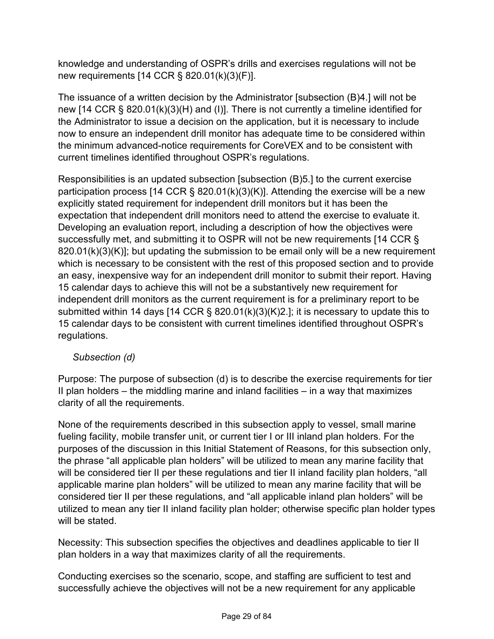knowledge and understanding of OSPR's drills and exercises regulations will not be new requirements [14 CCR § 820.01(k)(3)(F)].

The issuance of a written decision by the Administrator [subsection (B)4.] will not be new [14 CCR § 820.01(k)(3)(H) and (I)]. There is not currently a timeline identified for the Administrator to issue a decision on the application, but it is necessary to include now to ensure an independent drill monitor has adequate time to be considered within the minimum advanced-notice requirements for CoreVEX and to be consistent with current timelines identified throughout OSPR's regulations.

Responsibilities is an updated subsection [subsection (B)5.] to the current exercise participation process [14 CCR § 820.01(k)(3)(K)]. Attending the exercise will be a new explicitly stated requirement for independent drill monitors but it has been the expectation that independent drill monitors need to attend the exercise to evaluate it. Developing an evaluation report, including a description of how the objectives were successfully met, and submitting it to OSPR will not be new requirements [14 CCR § 820.01(k)(3)(K)]; but updating the submission to be email only will be a new requirement which is necessary to be consistent with the rest of this proposed section and to provide an easy, inexpensive way for an independent drill monitor to submit their report. Having 15 calendar days to achieve this will not be a substantively new requirement for independent drill monitors as the current requirement is for a preliminary report to be submitted within 14 days [14 CCR § 820.01(k)(3)(K)2.]; it is necessary to update this to 15 calendar days to be consistent with current timelines identified throughout OSPR's regulations.

# *Subsection (d)*

Purpose: The purpose of subsection (d) is to describe the exercise requirements for tier II plan holders – the middling marine and inland facilities – in a way that maximizes clarity of all the requirements.

None of the requirements described in this subsection apply to vessel, small marine fueling facility, mobile transfer unit, or current tier I or III inland plan holders. For the purposes of the discussion in this Initial Statement of Reasons, for this subsection only, the phrase "all applicable plan holders" will be utilized to mean any marine facility that will be considered tier II per these regulations and tier II inland facility plan holders, "all applicable marine plan holders" will be utilized to mean any marine facility that will be considered tier II per these regulations, and "all applicable inland plan holders" will be utilized to mean any tier II inland facility plan holder; otherwise specific plan holder types will be stated.

Necessity: This subsection specifies the objectives and deadlines applicable to tier II plan holders in a way that maximizes clarity of all the requirements.

Conducting exercises so the scenario, scope, and staffing are sufficient to test and successfully achieve the objectives will not be a new requirement for any applicable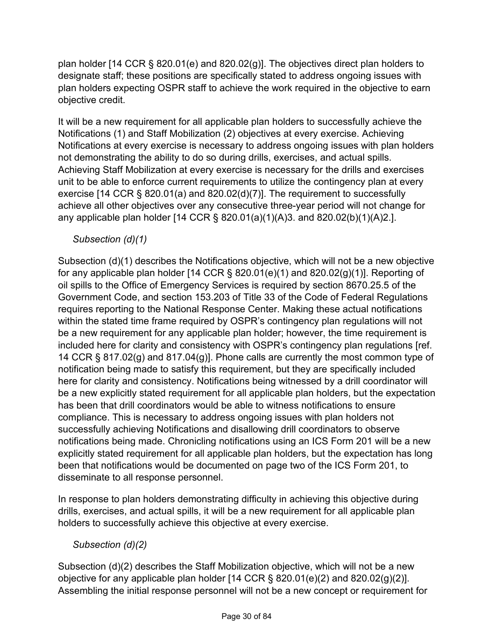plan holder [14 CCR § 820.01(e) and 820.02(g)]. The objectives direct plan holders to designate staff; these positions are specifically stated to address ongoing issues with plan holders expecting OSPR staff to achieve the work required in the objective to earn objective credit.

It will be a new requirement for all applicable plan holders to successfully achieve the Notifications (1) and Staff Mobilization (2) objectives at every exercise. Achieving Notifications at every exercise is necessary to address ongoing issues with plan holders not demonstrating the ability to do so during drills, exercises, and actual spills. Achieving Staff Mobilization at every exercise is necessary for the drills and exercises unit to be able to enforce current requirements to utilize the contingency plan at every exercise [14 CCR § 820.01(a) and 820.02(d)(7)]. The requirement to successfully achieve all other objectives over any consecutive three-year period will not change for any applicable plan holder [14 CCR § 820.01(a)(1)(A)3. and 820.02(b)(1)(A)2.].

# *Subsection (d)(1)*

Subsection (d)(1) describes the Notifications objective, which will not be a new objective for any applicable plan holder [14 CCR  $\S$  820.01(e)(1) and 820.02(g)(1)]. Reporting of oil spills to the Office of Emergency Services is required by section 8670.25.5 of the Government Code, and section 153.203 of Title 33 of the Code of Federal Regulations requires reporting to the National Response Center. Making these actual notifications within the stated time frame required by OSPR's contingency plan regulations will not be a new requirement for any applicable plan holder; however, the time requirement is included here for clarity and consistency with OSPR's contingency plan regulations [ref. 14 CCR § 817.02(g) and 817.04(g)]. Phone calls are currently the most common type of notification being made to satisfy this requirement, but they are specifically included here for clarity and consistency. Notifications being witnessed by a drill coordinator will be a new explicitly stated requirement for all applicable plan holders, but the expectation has been that drill coordinators would be able to witness notifications to ensure compliance. This is necessary to address ongoing issues with plan holders not successfully achieving Notifications and disallowing drill coordinators to observe notifications being made. Chronicling notifications using an ICS Form 201 will be a new explicitly stated requirement for all applicable plan holders, but the expectation has long been that notifications would be documented on page two of the ICS Form 201, to disseminate to all response personnel.

In response to plan holders demonstrating difficulty in achieving this objective during drills, exercises, and actual spills, it will be a new requirement for all applicable plan holders to successfully achieve this objective at every exercise.

*Subsection (d)(2)*

Subsection (d)(2) describes the Staff Mobilization objective, which will not be a new objective for any applicable plan holder  $[14$  CCR § 820.01(e)(2) and 820.02(g)(2)]. Assembling the initial response personnel will not be a new concept or requirement for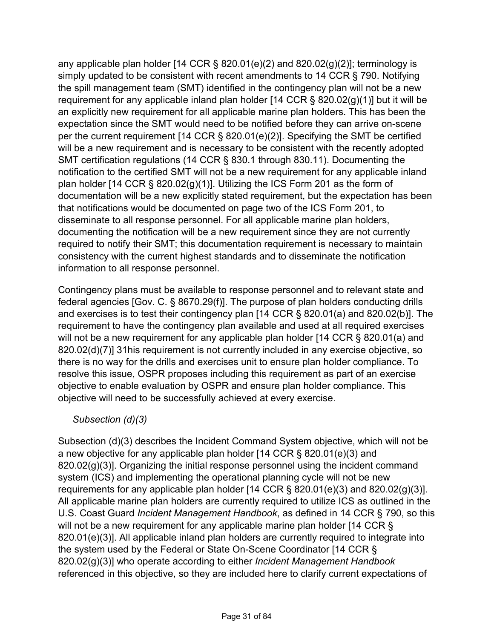any applicable plan holder [14 CCR § 820.01(e)(2) and 820.02(g)(2)]; terminology is simply updated to be consistent with recent amendments to 14 CCR § 790. Notifying the spill management team (SMT) identified in the contingency plan will not be a new requirement for any applicable inland plan holder  $[14$  CCR § 820.02(g)(1)] but it will be an explicitly new requirement for all applicable marine plan holders. This has been the expectation since the SMT would need to be notified before they can arrive on-scene per the current requirement [14 CCR § 820.01(e)(2)]. Specifying the SMT be certified will be a new requirement and is necessary to be consistent with the recently adopted SMT certification regulations (14 CCR § 830.1 through 830.11). Documenting the notification to the certified SMT will not be a new requirement for any applicable inland plan holder [14 CCR  $\S$  820.02(g)(1)]. Utilizing the ICS Form 201 as the form of documentation will be a new explicitly stated requirement, but the expectation has been that notifications would be documented on page two of the ICS Form 201, to disseminate to all response personnel. For all applicable marine plan holders, documenting the notification will be a new requirement since they are not currently required to notify their SMT; this documentation requirement is necessary to maintain consistency with the current highest standards and to disseminate the notification information to all response personnel.

Contingency plans must be available to response personnel and to relevant state and federal agencies [Gov. C. § 8670.29(f)]. The purpose of plan holders conducting drills and exercises is to test their contingency plan [14 CCR § 820.01(a) and 820.02(b)]. The requirement to have the contingency plan available and used at all required exercises will not be a new requirement for any applicable plan holder [14 CCR § 820.01(a) and 820.02(d)(7)] 31his requirement is not currently included in any exercise objective, so there is no way for the drills and exercises unit to ensure plan holder compliance. To resolve this issue, OSPR proposes including this requirement as part of an exercise objective to enable evaluation by OSPR and ensure plan holder compliance. This objective will need to be successfully achieved at every exercise.

#### *Subsection (d)(3)*

Subsection (d)(3) describes the Incident Command System objective, which will not be a new objective for any applicable plan holder [14 CCR § 820.01(e)(3) and  $820.02<sub>(g)</sub>(3)$ ]. Organizing the initial response personnel using the incident command system (ICS) and implementing the operational planning cycle will not be new requirements for any applicable plan holder [14 CCR § 820.01(e)(3) and 820.02(g)(3)]. All applicable marine plan holders are currently required to utilize ICS as outlined in the U.S. Coast Guard *Incident Management Handbook*, as defined in 14 CCR § 790, so this will not be a new requirement for any applicable marine plan holder [14 CCR § 820.01(e)(3)]. All applicable inland plan holders are currently required to integrate into the system used by the Federal or State On-Scene Coordinator [14 CCR § 820.02(g)(3)] who operate according to either *Incident Management Handbook* referenced in this objective, so they are included here to clarify current expectations of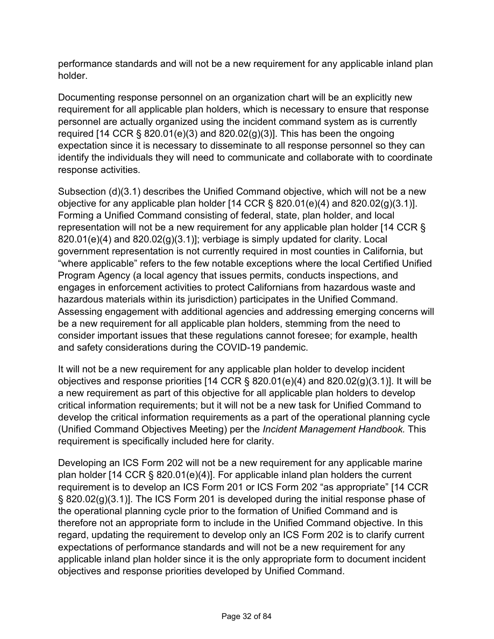performance standards and will not be a new requirement for any applicable inland plan holder.

Documenting response personnel on an organization chart will be an explicitly new requirement for all applicable plan holders, which is necessary to ensure that response personnel are actually organized using the incident command system as is currently required [14 CCR  $\S$  820.01(e)(3) and 820.02(g)(3)]. This has been the ongoing expectation since it is necessary to disseminate to all response personnel so they can identify the individuals they will need to communicate and collaborate with to coordinate response activities.

Subsection (d)(3.1) describes the Unified Command objective, which will not be a new objective for any applicable plan holder [14 CCR § 820.01(e)(4) and 820.02(g)(3.1)]. Forming a Unified Command consisting of federal, state, plan holder, and local representation will not be a new requirement for any applicable plan holder [14 CCR § 820.01(e)(4) and 820.02(g)(3.1)]; verbiage is simply updated for clarity. Local government representation is not currently required in most counties in California, but "where applicable" refers to the few notable exceptions where the local Certified Unified Program Agency (a local agency that issues permits, conducts inspections, and engages in enforcement activities to protect Californians from hazardous waste and hazardous materials within its jurisdiction) participates in the Unified Command. Assessing engagement with additional agencies and addressing emerging concerns will be a new requirement for all applicable plan holders, stemming from the need to consider important issues that these regulations cannot foresee; for example, health and safety considerations during the COVID-19 pandemic.

It will not be a new requirement for any applicable plan holder to develop incident objectives and response priorities [14 CCR § 820.01(e)(4) and 820.02(g)(3.1)]. It will be a new requirement as part of this objective for all applicable plan holders to develop critical information requirements; but it will not be a new task for Unified Command to develop the critical information requirements as a part of the operational planning cycle (Unified Command Objectives Meeting) per the *Incident Management Handbook.* This requirement is specifically included here for clarity.

Developing an ICS Form 202 will not be a new requirement for any applicable marine plan holder [14 CCR § 820.01(e)(4)]. For applicable inland plan holders the current requirement is to develop an ICS Form 201 or ICS Form 202 "as appropriate" [14 CCR § 820.02(g)(3.1)]. The ICS Form 201 is developed during the initial response phase of the operational planning cycle prior to the formation of Unified Command and is therefore not an appropriate form to include in the Unified Command objective. In this regard, updating the requirement to develop only an ICS Form 202 is to clarify current expectations of performance standards and will not be a new requirement for any applicable inland plan holder since it is the only appropriate form to document incident objectives and response priorities developed by Unified Command.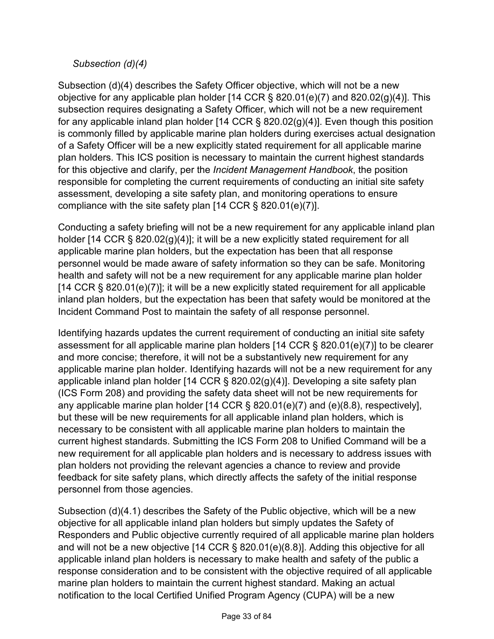### *Subsection (d)(4)*

Subsection (d)(4) describes the Safety Officer objective, which will not be a new objective for any applicable plan holder [14 CCR § 820.01(e)(7) and 820.02(g)(4)]. This subsection requires designating a Safety Officer, which will not be a new requirement for any applicable inland plan holder [14 CCR § 820.02(g)(4)]. Even though this position is commonly filled by applicable marine plan holders during exercises actual designation of a Safety Officer will be a new explicitly stated requirement for all applicable marine plan holders. This ICS position is necessary to maintain the current highest standards for this objective and clarify, per the *Incident Management Handbook*, the position responsible for completing the current requirements of conducting an initial site safety assessment, developing a site safety plan, and monitoring operations to ensure compliance with the site safety plan [14 CCR § 820.01(e)(7)].

Conducting a safety briefing will not be a new requirement for any applicable inland plan holder [14 CCR § 820.02(g)(4)]; it will be a new explicitly stated requirement for all applicable marine plan holders, but the expectation has been that all response personnel would be made aware of safety information so they can be safe. Monitoring health and safety will not be a new requirement for any applicable marine plan holder [14 CCR § 820.01(e)(7)]; it will be a new explicitly stated requirement for all applicable inland plan holders, but the expectation has been that safety would be monitored at the Incident Command Post to maintain the safety of all response personnel.

Identifying hazards updates the current requirement of conducting an initial site safety assessment for all applicable marine plan holders [14 CCR § 820.01(e)(7)] to be clearer and more concise; therefore, it will not be a substantively new requirement for any applicable marine plan holder. Identifying hazards will not be a new requirement for any applicable inland plan holder [14 CCR  $\S$  820.02(g)(4)]. Developing a site safety plan (ICS Form 208) and providing the safety data sheet will not be new requirements for any applicable marine plan holder [14 CCR § 820.01(e)(7) and (e)(8.8), respectively], but these will be new requirements for all applicable inland plan holders, which is necessary to be consistent with all applicable marine plan holders to maintain the current highest standards. Submitting the ICS Form 208 to Unified Command will be a new requirement for all applicable plan holders and is necessary to address issues with plan holders not providing the relevant agencies a chance to review and provide feedback for site safety plans, which directly affects the safety of the initial response personnel from those agencies.

Subsection (d)(4.1) describes the Safety of the Public objective, which will be a new objective for all applicable inland plan holders but simply updates the Safety of Responders and Public objective currently required of all applicable marine plan holders and will not be a new objective [14 CCR § 820.01(e)(8.8)]. Adding this objective for all applicable inland plan holders is necessary to make health and safety of the public a response consideration and to be consistent with the objective required of all applicable marine plan holders to maintain the current highest standard. Making an actual notification to the local Certified Unified Program Agency (CUPA) will be a new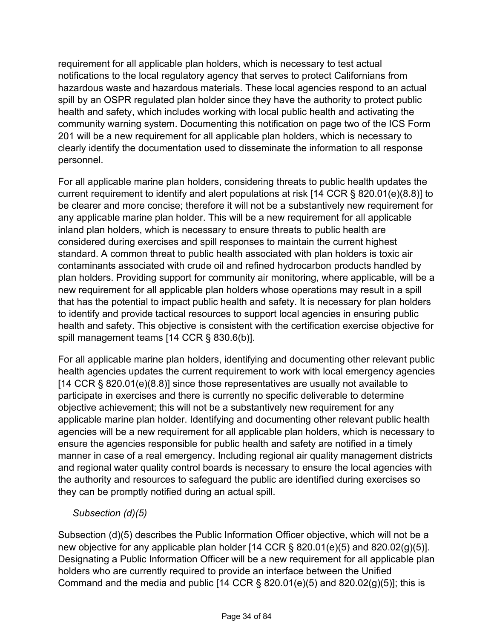requirement for all applicable plan holders, which is necessary to test actual notifications to the local regulatory agency that serves to protect Californians from hazardous waste and hazardous materials. These local agencies respond to an actual spill by an OSPR regulated plan holder since they have the authority to protect public health and safety, which includes working with local public health and activating the community warning system. Documenting this notification on page two of the ICS Form 201 will be a new requirement for all applicable plan holders, which is necessary to clearly identify the documentation used to disseminate the information to all response personnel.

For all applicable marine plan holders, considering threats to public health updates the current requirement to identify and alert populations at risk [14 CCR § 820.01(e)(8.8)] to be clearer and more concise; therefore it will not be a substantively new requirement for any applicable marine plan holder. This will be a new requirement for all applicable inland plan holders, which is necessary to ensure threats to public health are considered during exercises and spill responses to maintain the current highest standard. A common threat to public health associated with plan holders is toxic air contaminants associated with crude oil and refined hydrocarbon products handled by plan holders. Providing support for community air monitoring, where applicable, will be a new requirement for all applicable plan holders whose operations may result in a spill that has the potential to impact public health and safety. It is necessary for plan holders to identify and provide tactical resources to support local agencies in ensuring public health and safety. This objective is consistent with the certification exercise objective for spill management teams [14 CCR § 830.6(b)].

For all applicable marine plan holders, identifying and documenting other relevant public health agencies updates the current requirement to work with local emergency agencies [14 CCR § 820.01(e)(8.8)] since those representatives are usually not available to participate in exercises and there is currently no specific deliverable to determine objective achievement; this will not be a substantively new requirement for any applicable marine plan holder. Identifying and documenting other relevant public health agencies will be a new requirement for all applicable plan holders, which is necessary to ensure the agencies responsible for public health and safety are notified in a timely manner in case of a real emergency. Including regional air quality management districts and regional water quality control boards is necessary to ensure the local agencies with the authority and resources to safeguard the public are identified during exercises so they can be promptly notified during an actual spill.

*Subsection (d)(5)*

Subsection (d)(5) describes the Public Information Officer objective, which will not be a new objective for any applicable plan holder [14 CCR § 820.01(e)(5) and 820.02(g)(5)]. Designating a Public Information Officer will be a new requirement for all applicable plan holders who are currently required to provide an interface between the Unified Command and the media and public  $[14 \text{ CCR } \S 820.01(e)(5)$  and  $820.02(g)(5)]$ ; this is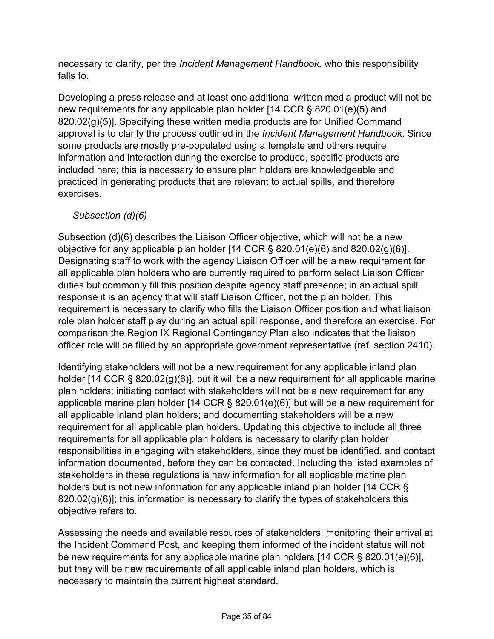necessary to clarify, per the *Incident Management Handbook,* who this responsibility falls to.

Developing a press release and at least one additional written media product will not be new requirements for any applicable plan holder [14 CCR § 820.01(e)(5) and 820.02(g)(5)]. Specifying these written media products are for Unified Command approval is to clarify the process outlined in the *Incident Management Handbook*. Since some products are mostly pre-populated using a template and others require information and interaction during the exercise to produce, specific products are included here; this is necessary to ensure plan holders are knowledgeable and practiced in generating products that are relevant to actual spills, and therefore exercises.

# *Subsection (d)(6)*

Subsection (d)(6) describes the Liaison Officer objective, which will not be a new objective for any applicable plan holder [14 CCR § 820.01(e)(6) and 820.02(g)(6)]. Designating staff to work with the agency Liaison Officer will be a new requirement for all applicable plan holders who are currently required to perform select Liaison Officer duties but commonly fill this position despite agency staff presence; in an actual spill response it is an agency that will staff Liaison Officer, not the plan holder. This requirement is necessary to clarify who fills the Liaison Officer position and what liaison role plan holder staff play during an actual spill response, and therefore an exercise. For comparison the Region IX Regional Contingency Plan also indicates that the liaison officer role will be filled by an appropriate government representative (ref. section 2410).

Identifying stakeholders will not be a new requirement for any applicable inland plan holder [14 CCR § 820.02(g)(6)], but it will be a new requirement for all applicable marine plan holders; initiating contact with stakeholders will not be a new requirement for any applicable marine plan holder [14 CCR § 820.01(e)(6)] but will be a new requirement for all applicable inland plan holders; and documenting stakeholders will be a new requirement for all applicable plan holders. Updating this objective to include all three requirements for all applicable plan holders is necessary to clarify plan holder responsibilities in engaging with stakeholders, since they must be identified, and contact information documented, before they can be contacted. Including the listed examples of stakeholders in these regulations is new information for all applicable marine plan holders but is not new information for any applicable inland plan holder [14 CCR §  $820.02(g)(6)$ ]; this information is necessary to clarify the types of stakeholders this objective refers to.

Assessing the needs and available resources of stakeholders, monitoring their arrival at the Incident Command Post, and keeping them informed of the incident status will not be new requirements for any applicable marine plan holders [14 CCR § 820.01(e)(6)], but they will be new requirements of all applicable inland plan holders, which is necessary to maintain the current highest standard.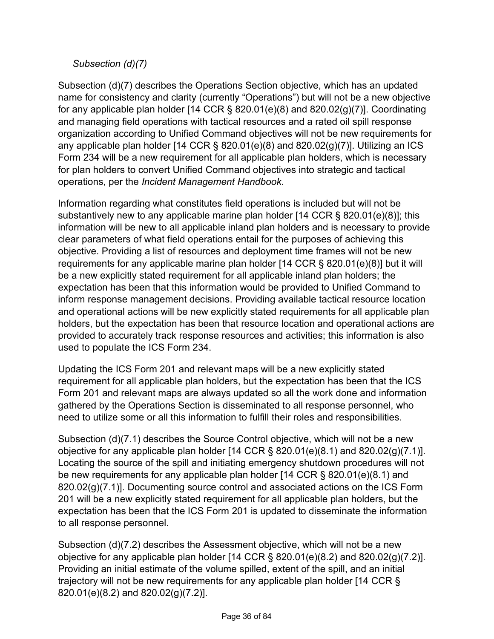### *Subsection (d)(7)*

Subsection (d)(7) describes the Operations Section objective, which has an updated name for consistency and clarity (currently "Operations") but will not be a new objective for any applicable plan holder [14 CCR  $\S$  820.01(e)(8) and 820.02(g)(7)]. Coordinating and managing field operations with tactical resources and a rated oil spill response organization according to Unified Command objectives will not be new requirements for any applicable plan holder [14 CCR  $\S$  820.01(e)(8) and 820.02(g)(7)]. Utilizing an ICS Form 234 will be a new requirement for all applicable plan holders, which is necessary for plan holders to convert Unified Command objectives into strategic and tactical operations, per the *Incident Management Handbook*.

Information regarding what constitutes field operations is included but will not be substantively new to any applicable marine plan holder [14 CCR § 820.01(e)(8)]; this information will be new to all applicable inland plan holders and is necessary to provide clear parameters of what field operations entail for the purposes of achieving this objective. Providing a list of resources and deployment time frames will not be new requirements for any applicable marine plan holder [14 CCR § 820.01(e)(8)] but it will be a new explicitly stated requirement for all applicable inland plan holders; the expectation has been that this information would be provided to Unified Command to inform response management decisions. Providing available tactical resource location and operational actions will be new explicitly stated requirements for all applicable plan holders, but the expectation has been that resource location and operational actions are provided to accurately track response resources and activities; this information is also used to populate the ICS Form 234.

Updating the ICS Form 201 and relevant maps will be a new explicitly stated requirement for all applicable plan holders, but the expectation has been that the ICS Form 201 and relevant maps are always updated so all the work done and information gathered by the Operations Section is disseminated to all response personnel, who need to utilize some or all this information to fulfill their roles and responsibilities.

Subsection (d)(7.1) describes the Source Control objective, which will not be a new objective for any applicable plan holder [14 CCR § 820.01(e)(8.1) and 820.02(g)(7.1)]. Locating the source of the spill and initiating emergency shutdown procedures will not be new requirements for any applicable plan holder [14 CCR § 820.01(e)(8.1) and 820.02(g)(7.1)]. Documenting source control and associated actions on the ICS Form 201 will be a new explicitly stated requirement for all applicable plan holders, but the expectation has been that the ICS Form 201 is updated to disseminate the information to all response personnel.

Subsection (d)(7.2) describes the Assessment objective, which will not be a new objective for any applicable plan holder [14 CCR § 820.01(e)(8.2) and 820.02(g)(7.2)]. Providing an initial estimate of the volume spilled, extent of the spill, and an initial trajectory will not be new requirements for any applicable plan holder [14 CCR § 820.01(e)(8.2) and 820.02(g)(7.2)].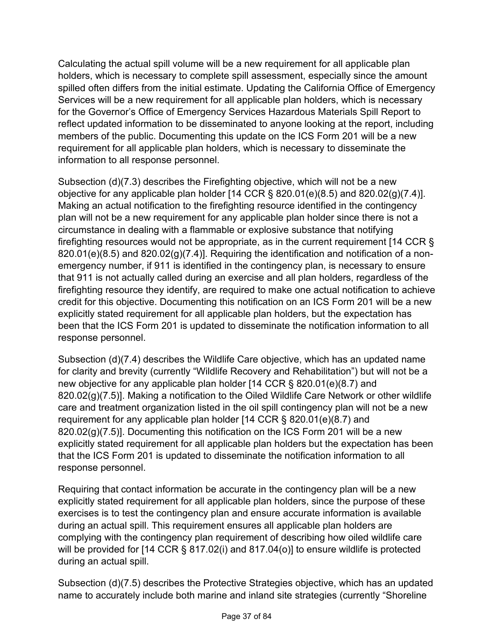Calculating the actual spill volume will be a new requirement for all applicable plan holders, which is necessary to complete spill assessment, especially since the amount spilled often differs from the initial estimate. Updating the California Office of Emergency Services will be a new requirement for all applicable plan holders, which is necessary for the Governor's Office of Emergency Services Hazardous Materials Spill Report to reflect updated information to be disseminated to anyone looking at the report, including members of the public. Documenting this update on the ICS Form 201 will be a new requirement for all applicable plan holders, which is necessary to disseminate the information to all response personnel.

Subsection (d)(7.3) describes the Firefighting objective, which will not be a new objective for any applicable plan holder [14 CCR § 820.01(e)(8.5) and 820.02(g)(7.4)]. Making an actual notification to the firefighting resource identified in the contingency plan will not be a new requirement for any applicable plan holder since there is not a circumstance in dealing with a flammable or explosive substance that notifying firefighting resources would not be appropriate, as in the current requirement [14 CCR § 820.01(e)(8.5) and 820.02(g)(7.4)]. Requiring the identification and notification of a nonemergency number, if 911 is identified in the contingency plan, is necessary to ensure that 911 is not actually called during an exercise and all plan holders, regardless of the firefighting resource they identify, are required to make one actual notification to achieve credit for this objective. Documenting this notification on an ICS Form 201 will be a new explicitly stated requirement for all applicable plan holders, but the expectation has been that the ICS Form 201 is updated to disseminate the notification information to all response personnel.

Subsection (d)(7.4) describes the Wildlife Care objective, which has an updated name for clarity and brevity (currently "Wildlife Recovery and Rehabilitation") but will not be a new objective for any applicable plan holder [14 CCR § 820.01(e)(8.7) and 820.02(g)(7.5)]. Making a notification to the Oiled Wildlife Care Network or other wildlife care and treatment organization listed in the oil spill contingency plan will not be a new requirement for any applicable plan holder [14 CCR § 820.01(e)(8.7) and  $820.02(g)(7.5)$ ]. Documenting this notification on the ICS Form 201 will be a new explicitly stated requirement for all applicable plan holders but the expectation has been that the ICS Form 201 is updated to disseminate the notification information to all response personnel.

Requiring that contact information be accurate in the contingency plan will be a new explicitly stated requirement for all applicable plan holders, since the purpose of these exercises is to test the contingency plan and ensure accurate information is available during an actual spill. This requirement ensures all applicable plan holders are complying with the contingency plan requirement of describing how oiled wildlife care will be provided for [14 CCR § 817.02(i) and 817.04(o)] to ensure wildlife is protected during an actual spill.

Subsection (d)(7.5) describes the Protective Strategies objective, which has an updated name to accurately include both marine and inland site strategies (currently "Shoreline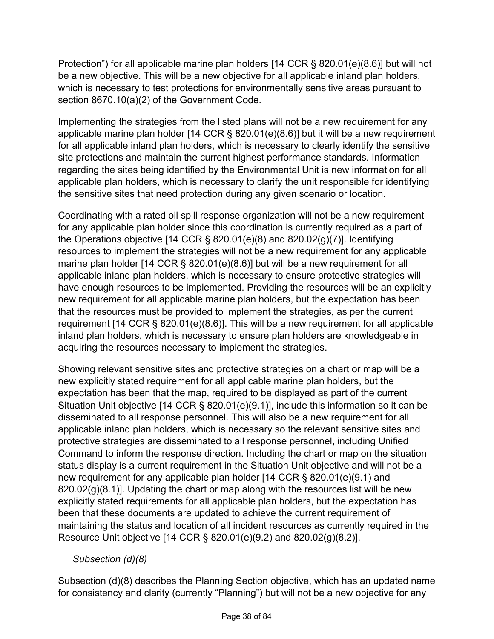Protection") for all applicable marine plan holders [14 CCR § 820.01(e)(8.6)] but will not be a new objective. This will be a new objective for all applicable inland plan holders, which is necessary to test protections for environmentally sensitive areas pursuant to section 8670.10(a)(2) of the Government Code.

Implementing the strategies from the listed plans will not be a new requirement for any applicable marine plan holder [14 CCR § 820.01(e)(8.6)] but it will be a new requirement for all applicable inland plan holders, which is necessary to clearly identify the sensitive site protections and maintain the current highest performance standards. Information regarding the sites being identified by the Environmental Unit is new information for all applicable plan holders, which is necessary to clarify the unit responsible for identifying the sensitive sites that need protection during any given scenario or location.

Coordinating with a rated oil spill response organization will not be a new requirement for any applicable plan holder since this coordination is currently required as a part of the Operations objective [14 CCR  $\S$  820.01(e)(8) and 820.02(g)(7)]. Identifying resources to implement the strategies will not be a new requirement for any applicable marine plan holder [14 CCR § 820.01(e)(8.6)] but will be a new requirement for all applicable inland plan holders, which is necessary to ensure protective strategies will have enough resources to be implemented. Providing the resources will be an explicitly new requirement for all applicable marine plan holders, but the expectation has been that the resources must be provided to implement the strategies, as per the current requirement [14 CCR § 820.01(e)(8.6)]. This will be a new requirement for all applicable inland plan holders, which is necessary to ensure plan holders are knowledgeable in acquiring the resources necessary to implement the strategies.

Showing relevant sensitive sites and protective strategies on a chart or map will be a new explicitly stated requirement for all applicable marine plan holders, but the expectation has been that the map, required to be displayed as part of the current Situation Unit objective [14 CCR § 820.01(e)(9.1)], include this information so it can be disseminated to all response personnel. This will also be a new requirement for all applicable inland plan holders, which is necessary so the relevant sensitive sites and protective strategies are disseminated to all response personnel, including Unified Command to inform the response direction. Including the chart or map on the situation status display is a current requirement in the Situation Unit objective and will not be a new requirement for any applicable plan holder [14 CCR § 820.01(e)(9.1) and  $820.02(g)(8.1)$ ]. Updating the chart or map along with the resources list will be new explicitly stated requirements for all applicable plan holders, but the expectation has been that these documents are updated to achieve the current requirement of maintaining the status and location of all incident resources as currently required in the Resource Unit objective [14 CCR § 820.01(e)(9.2) and 820.02(g)(8.2)].

## *Subsection (d)(8)*

Subsection (d)(8) describes the Planning Section objective, which has an updated name for consistency and clarity (currently "Planning") but will not be a new objective for any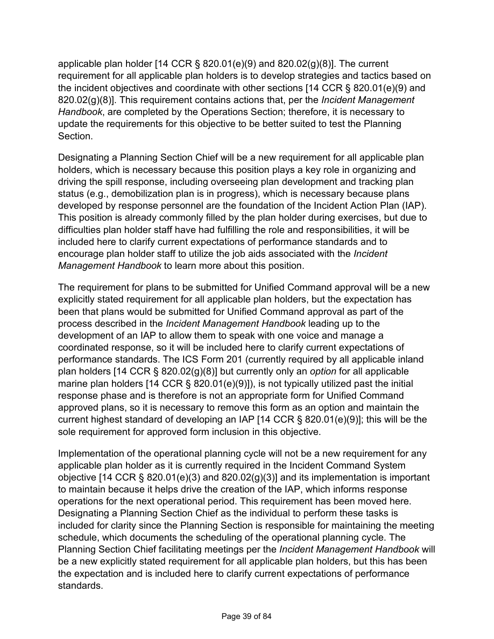applicable plan holder [14 CCR  $\S$  820.01(e)(9) and 820.02(g)(8)]. The current requirement for all applicable plan holders is to develop strategies and tactics based on the incident objectives and coordinate with other sections [14 CCR § 820.01(e)(9) and 820.02(g)(8)]. This requirement contains actions that, per the *Incident Management Handbook*, are completed by the Operations Section; therefore, it is necessary to update the requirements for this objective to be better suited to test the Planning Section.

Designating a Planning Section Chief will be a new requirement for all applicable plan holders, which is necessary because this position plays a key role in organizing and driving the spill response, including overseeing plan development and tracking plan status (e.g., demobilization plan is in progress), which is necessary because plans developed by response personnel are the foundation of the Incident Action Plan (IAP). This position is already commonly filled by the plan holder during exercises, but due to difficulties plan holder staff have had fulfilling the role and responsibilities, it will be included here to clarify current expectations of performance standards and to encourage plan holder staff to utilize the job aids associated with the *Incident Management Handbook* to learn more about this position.

The requirement for plans to be submitted for Unified Command approval will be a new explicitly stated requirement for all applicable plan holders, but the expectation has been that plans would be submitted for Unified Command approval as part of the process described in the *Incident Management Handbook* leading up to the development of an IAP to allow them to speak with one voice and manage a coordinated response, so it will be included here to clarify current expectations of performance standards. The ICS Form 201 (currently required by all applicable inland plan holders [14 CCR § 820.02(g)(8)] but currently only an *option* for all applicable marine plan holders [14 CCR § 820.01(e)(9)]), is not typically utilized past the initial response phase and is therefore is not an appropriate form for Unified Command approved plans, so it is necessary to remove this form as an option and maintain the current highest standard of developing an IAP [14 CCR § 820.01(e)(9)]; this will be the sole requirement for approved form inclusion in this objective.

Implementation of the operational planning cycle will not be a new requirement for any applicable plan holder as it is currently required in the Incident Command System objective [14 CCR § 820.01(e)(3) and 820.02(g)(3)] and its implementation is important to maintain because it helps drive the creation of the IAP, which informs response operations for the next operational period. This requirement has been moved here. Designating a Planning Section Chief as the individual to perform these tasks is included for clarity since the Planning Section is responsible for maintaining the meeting schedule, which documents the scheduling of the operational planning cycle. The Planning Section Chief facilitating meetings per the *Incident Management Handbook* will be a new explicitly stated requirement for all applicable plan holders, but this has been the expectation and is included here to clarify current expectations of performance standards.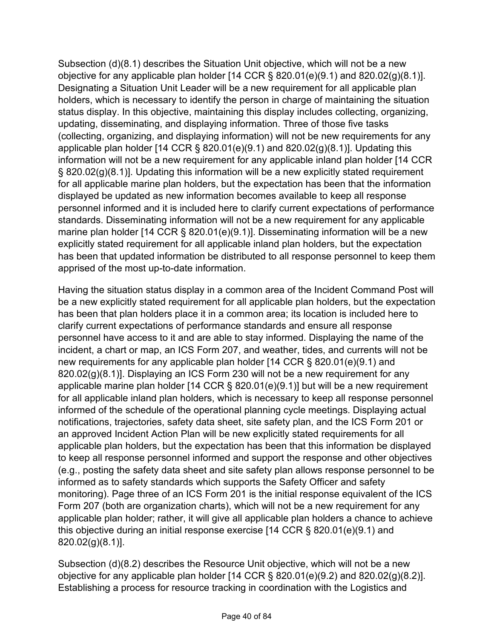Subsection (d)(8.1) describes the Situation Unit objective, which will not be a new objective for any applicable plan holder  $[14$  CCR § 820.01(e)(9.1) and 820.02(g)(8.1)]. Designating a Situation Unit Leader will be a new requirement for all applicable plan holders, which is necessary to identify the person in charge of maintaining the situation status display. In this objective, maintaining this display includes collecting, organizing, updating, disseminating, and displaying information. Three of those five tasks (collecting, organizing, and displaying information) will not be new requirements for any applicable plan holder [14 CCR  $\S$  820.01(e)(9.1) and 820.02(g)(8.1)]. Updating this information will not be a new requirement for any applicable inland plan holder [14 CCR § 820.02(g)(8.1)]. Updating this information will be a new explicitly stated requirement for all applicable marine plan holders, but the expectation has been that the information displayed be updated as new information becomes available to keep all response personnel informed and it is included here to clarify current expectations of performance standards. Disseminating information will not be a new requirement for any applicable marine plan holder [14 CCR § 820.01(e)(9.1)]. Disseminating information will be a new explicitly stated requirement for all applicable inland plan holders, but the expectation has been that updated information be distributed to all response personnel to keep them apprised of the most up-to-date information.

Having the situation status display in a common area of the Incident Command Post will be a new explicitly stated requirement for all applicable plan holders, but the expectation has been that plan holders place it in a common area; its location is included here to clarify current expectations of performance standards and ensure all response personnel have access to it and are able to stay informed. Displaying the name of the incident, a chart or map, an ICS Form 207, and weather, tides, and currents will not be new requirements for any applicable plan holder [14 CCR § 820.01(e)(9.1) and 820.02(g)(8.1)]. Displaying an ICS Form 230 will not be a new requirement for any applicable marine plan holder [14 CCR § 820.01(e)(9.1)] but will be a new requirement for all applicable inland plan holders, which is necessary to keep all response personnel informed of the schedule of the operational planning cycle meetings. Displaying actual notifications, trajectories, safety data sheet, site safety plan, and the ICS Form 201 or an approved Incident Action Plan will be new explicitly stated requirements for all applicable plan holders, but the expectation has been that this information be displayed to keep all response personnel informed and support the response and other objectives (e.g., posting the safety data sheet and site safety plan allows response personnel to be informed as to safety standards which supports the Safety Officer and safety monitoring). Page three of an ICS Form 201 is the initial response equivalent of the ICS Form 207 (both are organization charts), which will not be a new requirement for any applicable plan holder; rather, it will give all applicable plan holders a chance to achieve this objective during an initial response exercise [14 CCR § 820.01(e)(9.1) and 820.02(g)(8.1)].

Subsection (d)(8.2) describes the Resource Unit objective, which will not be a new objective for any applicable plan holder [14 CCR § 820.01(e)(9.2) and 820.02(g)(8.2)]. Establishing a process for resource tracking in coordination with the Logistics and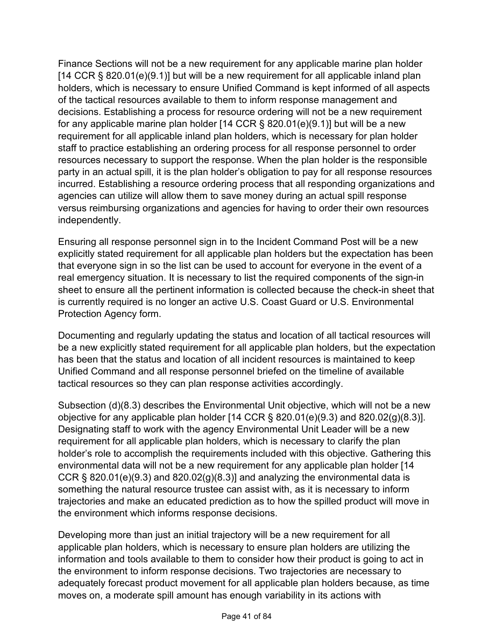Finance Sections will not be a new requirement for any applicable marine plan holder [14 CCR  $\S$  820.01(e)(9.1)] but will be a new requirement for all applicable inland plan holders, which is necessary to ensure Unified Command is kept informed of all aspects of the tactical resources available to them to inform response management and decisions. Establishing a process for resource ordering will not be a new requirement for any applicable marine plan holder  $[14$  CCR § 820.01(e)(9.1)] but will be a new requirement for all applicable inland plan holders, which is necessary for plan holder staff to practice establishing an ordering process for all response personnel to order resources necessary to support the response. When the plan holder is the responsible party in an actual spill, it is the plan holder's obligation to pay for all response resources incurred. Establishing a resource ordering process that all responding organizations and agencies can utilize will allow them to save money during an actual spill response versus reimbursing organizations and agencies for having to order their own resources independently.

Ensuring all response personnel sign in to the Incident Command Post will be a new explicitly stated requirement for all applicable plan holders but the expectation has been that everyone sign in so the list can be used to account for everyone in the event of a real emergency situation. It is necessary to list the required components of the sign-in sheet to ensure all the pertinent information is collected because the check-in sheet that is currently required is no longer an active U.S. Coast Guard or U.S. Environmental Protection Agency form.

Documenting and regularly updating the status and location of all tactical resources will be a new explicitly stated requirement for all applicable plan holders, but the expectation has been that the status and location of all incident resources is maintained to keep Unified Command and all response personnel briefed on the timeline of available tactical resources so they can plan response activities accordingly.

Subsection (d)(8.3) describes the Environmental Unit objective, which will not be a new objective for any applicable plan holder  $[14 \text{ CCR} \$ § 820.01(e)(9.3) and 820.02(g)(8.3)]. Designating staff to work with the agency Environmental Unit Leader will be a new requirement for all applicable plan holders, which is necessary to clarify the plan holder's role to accomplish the requirements included with this objective. Gathering this environmental data will not be a new requirement for any applicable plan holder [14 CCR § 820.01(e)(9.3) and 820.02(g)(8.3)] and analyzing the environmental data is something the natural resource trustee can assist with, as it is necessary to inform trajectories and make an educated prediction as to how the spilled product will move in the environment which informs response decisions.

Developing more than just an initial trajectory will be a new requirement for all applicable plan holders, which is necessary to ensure plan holders are utilizing the information and tools available to them to consider how their product is going to act in the environment to inform response decisions. Two trajectories are necessary to adequately forecast product movement for all applicable plan holders because, as time moves on, a moderate spill amount has enough variability in its actions with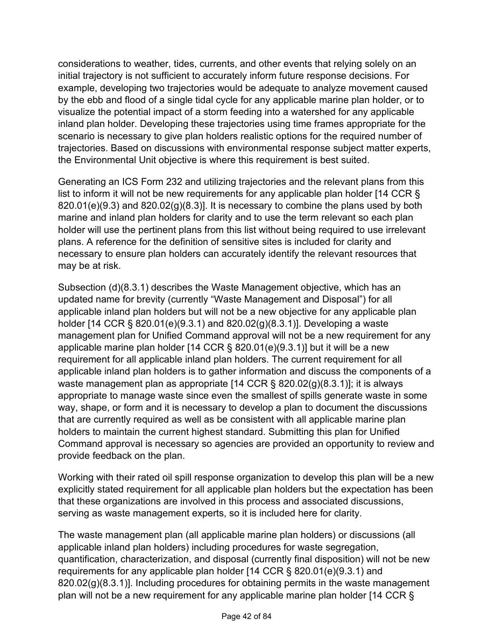considerations to weather, tides, currents, and other events that relying solely on an initial trajectory is not sufficient to accurately inform future response decisions. For example, developing two trajectories would be adequate to analyze movement caused by the ebb and flood of a single tidal cycle for any applicable marine plan holder, or to visualize the potential impact of a storm feeding into a watershed for any applicable inland plan holder. Developing these trajectories using time frames appropriate for the scenario is necessary to give plan holders realistic options for the required number of trajectories. Based on discussions with environmental response subject matter experts, the Environmental Unit objective is where this requirement is best suited.

Generating an ICS Form 232 and utilizing trajectories and the relevant plans from this list to inform it will not be new requirements for any applicable plan holder [14 CCR §  $820.01(e)(9.3)$  and  $820.02(g)(8.3)$ ]. It is necessary to combine the plans used by both marine and inland plan holders for clarity and to use the term relevant so each plan holder will use the pertinent plans from this list without being required to use irrelevant plans. A reference for the definition of sensitive sites is included for clarity and necessary to ensure plan holders can accurately identify the relevant resources that may be at risk.

Subsection (d)(8.3.1) describes the Waste Management objective, which has an updated name for brevity (currently "Waste Management and Disposal") for all applicable inland plan holders but will not be a new objective for any applicable plan holder [14 CCR § 820.01(e)(9.3.1) and 820.02(g)(8.3.1)]. Developing a waste management plan for Unified Command approval will not be a new requirement for any applicable marine plan holder [14 CCR § 820.01(e)(9.3.1)] but it will be a new requirement for all applicable inland plan holders. The current requirement for all applicable inland plan holders is to gather information and discuss the components of a waste management plan as appropriate [14 CCR § 820.02(g)(8.3.1)]; it is always appropriate to manage waste since even the smallest of spills generate waste in some way, shape, or form and it is necessary to develop a plan to document the discussions that are currently required as well as be consistent with all applicable marine plan holders to maintain the current highest standard. Submitting this plan for Unified Command approval is necessary so agencies are provided an opportunity to review and provide feedback on the plan.

Working with their rated oil spill response organization to develop this plan will be a new explicitly stated requirement for all applicable plan holders but the expectation has been that these organizations are involved in this process and associated discussions, serving as waste management experts, so it is included here for clarity.

The waste management plan (all applicable marine plan holders) or discussions (all applicable inland plan holders) including procedures for waste segregation, quantification, characterization, and disposal (currently final disposition) will not be new requirements for any applicable plan holder [14 CCR § 820.01(e)(9.3.1) and 820.02(g)(8.3.1)]. Including procedures for obtaining permits in the waste management plan will not be a new requirement for any applicable marine plan holder [14 CCR §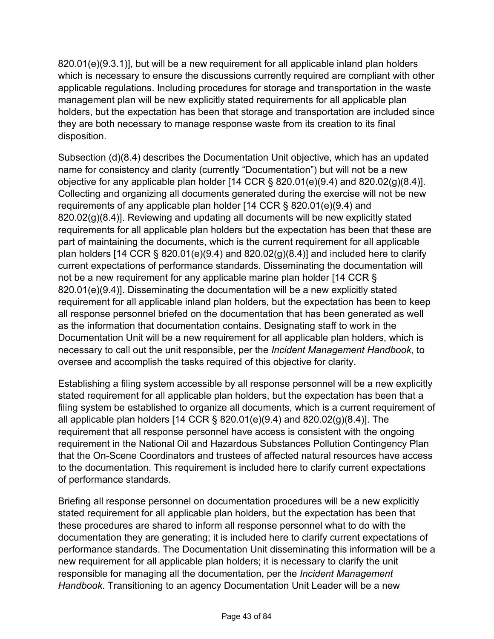820.01(e)(9.3.1)], but will be a new requirement for all applicable inland plan holders which is necessary to ensure the discussions currently required are compliant with other applicable regulations. Including procedures for storage and transportation in the waste management plan will be new explicitly stated requirements for all applicable plan holders, but the expectation has been that storage and transportation are included since they are both necessary to manage response waste from its creation to its final disposition.

Subsection (d)(8.4) describes the Documentation Unit objective, which has an updated name for consistency and clarity (currently "Documentation") but will not be a new objective for any applicable plan holder  $[14$  CCR § 820.01(e)(9.4) and 820.02(g)(8.4)]. Collecting and organizing all documents generated during the exercise will not be new requirements of any applicable plan holder [14 CCR § 820.01(e)(9.4) and 820.02(g)(8.4)]. Reviewing and updating all documents will be new explicitly stated requirements for all applicable plan holders but the expectation has been that these are part of maintaining the documents, which is the current requirement for all applicable plan holders [14 CCR § 820.01(e)(9.4) and 820.02(g)(8.4)] and included here to clarify current expectations of performance standards. Disseminating the documentation will not be a new requirement for any applicable marine plan holder [14 CCR § 820.01(e)(9.4)]. Disseminating the documentation will be a new explicitly stated requirement for all applicable inland plan holders, but the expectation has been to keep all response personnel briefed on the documentation that has been generated as well as the information that documentation contains. Designating staff to work in the Documentation Unit will be a new requirement for all applicable plan holders, which is necessary to call out the unit responsible, per the *Incident Management Handbook*, to oversee and accomplish the tasks required of this objective for clarity.

Establishing a filing system accessible by all response personnel will be a new explicitly stated requirement for all applicable plan holders, but the expectation has been that a filing system be established to organize all documents, which is a current requirement of all applicable plan holders [14 CCR § 820.01(e)(9.4) and 820.02(g)(8.4)]. The requirement that all response personnel have access is consistent with the ongoing requirement in the National Oil and Hazardous Substances Pollution Contingency Plan that the On-Scene Coordinators and trustees of affected natural resources have access to the documentation. This requirement is included here to clarify current expectations of performance standards.

Briefing all response personnel on documentation procedures will be a new explicitly stated requirement for all applicable plan holders, but the expectation has been that these procedures are shared to inform all response personnel what to do with the documentation they are generating; it is included here to clarify current expectations of performance standards. The Documentation Unit disseminating this information will be a new requirement for all applicable plan holders; it is necessary to clarify the unit responsible for managing all the documentation, per the *Incident Management Handbook*. Transitioning to an agency Documentation Unit Leader will be a new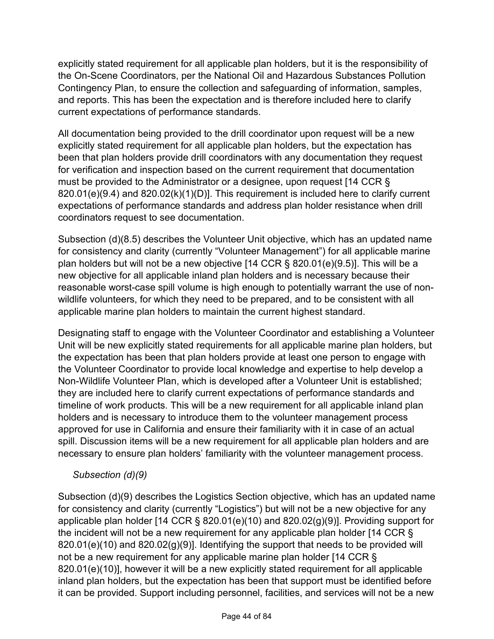explicitly stated requirement for all applicable plan holders, but it is the responsibility of the On-Scene Coordinators, per the National Oil and Hazardous Substances Pollution Contingency Plan, to ensure the collection and safeguarding of information, samples, and reports. This has been the expectation and is therefore included here to clarify current expectations of performance standards.

All documentation being provided to the drill coordinator upon request will be a new explicitly stated requirement for all applicable plan holders, but the expectation has been that plan holders provide drill coordinators with any documentation they request for verification and inspection based on the current requirement that documentation must be provided to the Administrator or a designee, upon request [14 CCR § 820.01(e)(9.4) and 820.02(k)(1)(D)]. This requirement is included here to clarify current expectations of performance standards and address plan holder resistance when drill coordinators request to see documentation.

Subsection (d)(8.5) describes the Volunteer Unit objective, which has an updated name for consistency and clarity (currently "Volunteer Management") for all applicable marine plan holders but will not be a new objective [14 CCR § 820.01(e)(9.5)]. This will be a new objective for all applicable inland plan holders and is necessary because their reasonable worst-case spill volume is high enough to potentially warrant the use of nonwildlife volunteers, for which they need to be prepared, and to be consistent with all applicable marine plan holders to maintain the current highest standard.

Designating staff to engage with the Volunteer Coordinator and establishing a Volunteer Unit will be new explicitly stated requirements for all applicable marine plan holders, but the expectation has been that plan holders provide at least one person to engage with the Volunteer Coordinator to provide local knowledge and expertise to help develop a Non-Wildlife Volunteer Plan, which is developed after a Volunteer Unit is established; they are included here to clarify current expectations of performance standards and timeline of work products. This will be a new requirement for all applicable inland plan holders and is necessary to introduce them to the volunteer management process approved for use in California and ensure their familiarity with it in case of an actual spill. Discussion items will be a new requirement for all applicable plan holders and are necessary to ensure plan holders' familiarity with the volunteer management process.

## *Subsection (d)(9)*

Subsection (d)(9) describes the Logistics Section objective, which has an updated name for consistency and clarity (currently "Logistics") but will not be a new objective for any applicable plan holder [14 CCR § 820.01(e)(10) and 820.02(g)(9)]. Providing support for the incident will not be a new requirement for any applicable plan holder [14 CCR § 820.01(e)(10) and 820.02(g)(9)]. Identifying the support that needs to be provided will not be a new requirement for any applicable marine plan holder [14 CCR § 820.01(e)(10)], however it will be a new explicitly stated requirement for all applicable inland plan holders, but the expectation has been that support must be identified before it can be provided. Support including personnel, facilities, and services will not be a new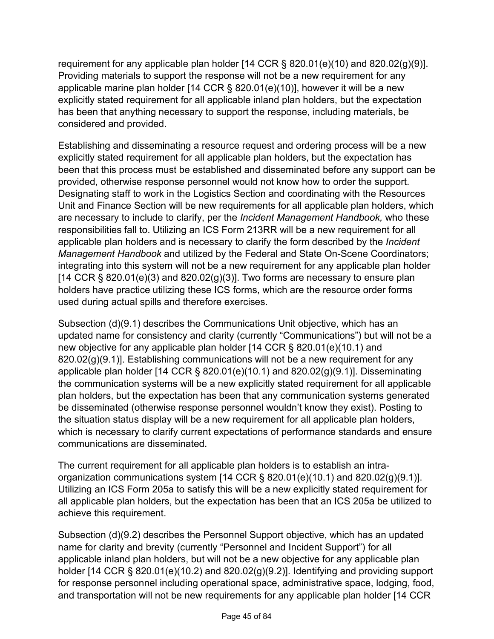requirement for any applicable plan holder [14 CCR § 820.01(e)(10) and 820.02(g)(9)]. Providing materials to support the response will not be a new requirement for any applicable marine plan holder [14 CCR § 820.01(e)(10)], however it will be a new explicitly stated requirement for all applicable inland plan holders, but the expectation has been that anything necessary to support the response, including materials, be considered and provided.

Establishing and disseminating a resource request and ordering process will be a new explicitly stated requirement for all applicable plan holders, but the expectation has been that this process must be established and disseminated before any support can be provided, otherwise response personnel would not know how to order the support. Designating staff to work in the Logistics Section and coordinating with the Resources Unit and Finance Section will be new requirements for all applicable plan holders, which are necessary to include to clarify, per the *Incident Management Handbook,* who these responsibilities fall to. Utilizing an ICS Form 213RR will be a new requirement for all applicable plan holders and is necessary to clarify the form described by the *Incident Management Handbook* and utilized by the Federal and State On-Scene Coordinators; integrating into this system will not be a new requirement for any applicable plan holder [14 CCR  $\S$  820.01(e)(3) and 820.02(g)(3)]. Two forms are necessary to ensure plan holders have practice utilizing these ICS forms, which are the resource order forms used during actual spills and therefore exercises.

Subsection (d)(9.1) describes the Communications Unit objective, which has an updated name for consistency and clarity (currently "Communications") but will not be a new objective for any applicable plan holder [14 CCR § 820.01(e)(10.1) and  $820.02(g)(9.1)$ ]. Establishing communications will not be a new requirement for any applicable plan holder [14 CCR § 820.01(e)(10.1) and 820.02(g)(9.1)]. Disseminating the communication systems will be a new explicitly stated requirement for all applicable plan holders, but the expectation has been that any communication systems generated be disseminated (otherwise response personnel wouldn't know they exist). Posting to the situation status display will be a new requirement for all applicable plan holders, which is necessary to clarify current expectations of performance standards and ensure communications are disseminated.

The current requirement for all applicable plan holders is to establish an intraorganization communications system [14 CCR § 820.01(e)(10.1) and 820.02(g)(9.1)]. Utilizing an ICS Form 205a to satisfy this will be a new explicitly stated requirement for all applicable plan holders, but the expectation has been that an ICS 205a be utilized to achieve this requirement.

Subsection (d)(9.2) describes the Personnel Support objective, which has an updated name for clarity and brevity (currently "Personnel and Incident Support") for all applicable inland plan holders, but will not be a new objective for any applicable plan holder [14 CCR  $\S$  820.01(e)(10.2) and 820.02(g)(9.2)]. Identifying and providing support for response personnel including operational space, administrative space, lodging, food, and transportation will not be new requirements for any applicable plan holder [14 CCR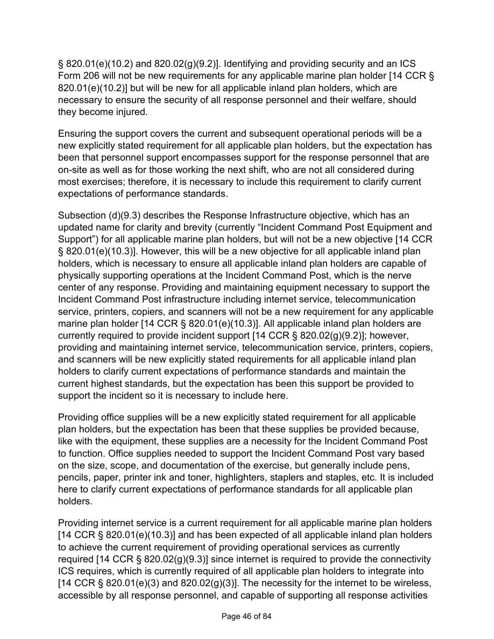$\S$  820.01(e)(10.2) and 820.02(g)(9.2)]. Identifying and providing security and an ICS Form 206 will not be new requirements for any applicable marine plan holder [14 CCR § 820.01(e)(10.2)] but will be new for all applicable inland plan holders, which are necessary to ensure the security of all response personnel and their welfare, should they become injured.

Ensuring the support covers the current and subsequent operational periods will be a new explicitly stated requirement for all applicable plan holders, but the expectation has been that personnel support encompasses support for the response personnel that are on-site as well as for those working the next shift, who are not all considered during most exercises; therefore, it is necessary to include this requirement to clarify current expectations of performance standards.

Subsection (d)(9.3) describes the Response Infrastructure objective, which has an updated name for clarity and brevity (currently "Incident Command Post Equipment and Support") for all applicable marine plan holders, but will not be a new objective [14 CCR § 820.01(e)(10.3)]. However, this will be a new objective for all applicable inland plan holders, which is necessary to ensure all applicable inland plan holders are capable of physically supporting operations at the Incident Command Post, which is the nerve center of any response. Providing and maintaining equipment necessary to support the Incident Command Post infrastructure including internet service, telecommunication service, printers, copiers, and scanners will not be a new requirement for any applicable marine plan holder [14 CCR § 820.01(e)(10.3)]. All applicable inland plan holders are currently required to provide incident support [14 CCR § 820.02(g)(9.2)]; however, providing and maintaining internet service, telecommunication service, printers, copiers, and scanners will be new explicitly stated requirements for all applicable inland plan holders to clarify current expectations of performance standards and maintain the current highest standards, but the expectation has been this support be provided to support the incident so it is necessary to include here.

Providing office supplies will be a new explicitly stated requirement for all applicable plan holders, but the expectation has been that these supplies be provided because, like with the equipment, these supplies are a necessity for the Incident Command Post to function. Office supplies needed to support the Incident Command Post vary based on the size, scope, and documentation of the exercise, but generally include pens, pencils, paper, printer ink and toner, highlighters, staplers and staples, etc. It is included here to clarify current expectations of performance standards for all applicable plan holders.

Providing internet service is a current requirement for all applicable marine plan holders [14 CCR § 820.01(e)(10.3)] and has been expected of all applicable inland plan holders to achieve the current requirement of providing operational services as currently required [14 CCR § 820.02(g)(9.3)] since internet is required to provide the connectivity ICS requires, which is currently required of all applicable plan holders to integrate into [14 CCR § 820.01(e)(3) and 820.02(g)(3)]. The necessity for the internet to be wireless, accessible by all response personnel, and capable of supporting all response activities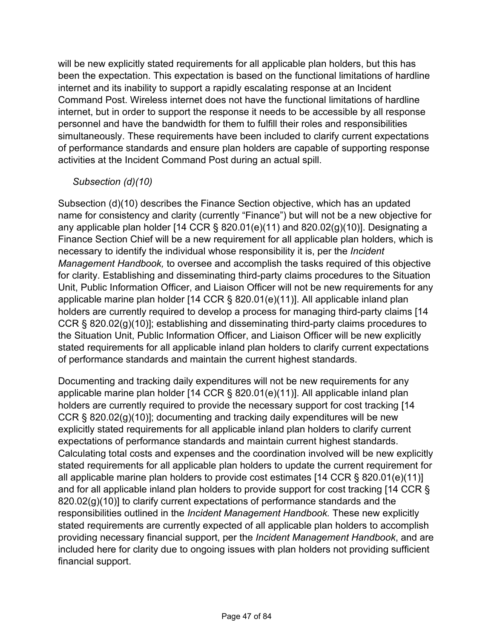will be new explicitly stated requirements for all applicable plan holders, but this has been the expectation. This expectation is based on the functional limitations of hardline internet and its inability to support a rapidly escalating response at an Incident Command Post. Wireless internet does not have the functional limitations of hardline internet, but in order to support the response it needs to be accessible by all response personnel and have the bandwidth for them to fulfill their roles and responsibilities simultaneously. These requirements have been included to clarify current expectations of performance standards and ensure plan holders are capable of supporting response activities at the Incident Command Post during an actual spill.

### *Subsection (d)(10)*

Subsection (d)(10) describes the Finance Section objective, which has an updated name for consistency and clarity (currently "Finance") but will not be a new objective for any applicable plan holder [14 CCR § 820.01(e)(11) and 820.02(g)(10)]. Designating a Finance Section Chief will be a new requirement for all applicable plan holders, which is necessary to identify the individual whose responsibility it is, per the *Incident Management Handbook,* to oversee and accomplish the tasks required of this objective for clarity. Establishing and disseminating third-party claims procedures to the Situation Unit, Public Information Officer, and Liaison Officer will not be new requirements for any applicable marine plan holder [14 CCR § 820.01(e)(11)]. All applicable inland plan holders are currently required to develop a process for managing third-party claims [14 CCR § 820.02(g)(10)]; establishing and disseminating third-party claims procedures to the Situation Unit, Public Information Officer, and Liaison Officer will be new explicitly stated requirements for all applicable inland plan holders to clarify current expectations of performance standards and maintain the current highest standards.

Documenting and tracking daily expenditures will not be new requirements for any applicable marine plan holder [14 CCR § 820.01(e)(11)]. All applicable inland plan holders are currently required to provide the necessary support for cost tracking [14 CCR § 820.02(g)(10)]; documenting and tracking daily expenditures will be new explicitly stated requirements for all applicable inland plan holders to clarify current expectations of performance standards and maintain current highest standards. Calculating total costs and expenses and the coordination involved will be new explicitly stated requirements for all applicable plan holders to update the current requirement for all applicable marine plan holders to provide cost estimates [14 CCR § 820.01(e)(11)] and for all applicable inland plan holders to provide support for cost tracking [14 CCR § 820.02(g)(10)] to clarify current expectations of performance standards and the responsibilities outlined in the *Incident Management Handbook.* These new explicitly stated requirements are currently expected of all applicable plan holders to accomplish providing necessary financial support, per the *Incident Management Handbook*, and are included here for clarity due to ongoing issues with plan holders not providing sufficient financial support.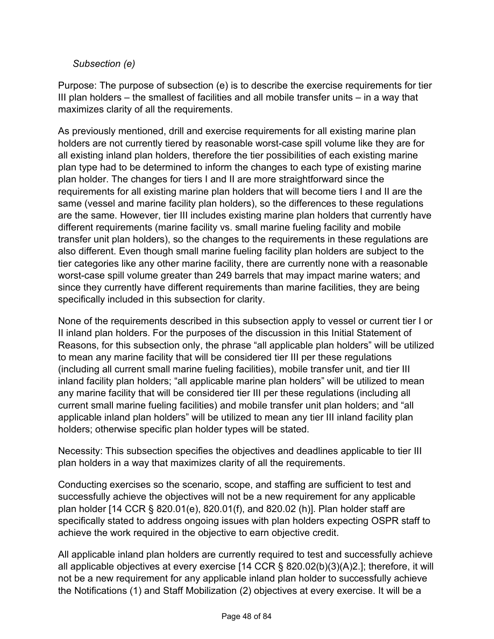#### *Subsection (e)*

Purpose: The purpose of subsection (e) is to describe the exercise requirements for tier III plan holders – the smallest of facilities and all mobile transfer units – in a way that maximizes clarity of all the requirements.

As previously mentioned, drill and exercise requirements for all existing marine plan holders are not currently tiered by reasonable worst-case spill volume like they are for all existing inland plan holders, therefore the tier possibilities of each existing marine plan type had to be determined to inform the changes to each type of existing marine plan holder. The changes for tiers I and II are more straightforward since the requirements for all existing marine plan holders that will become tiers I and II are the same (vessel and marine facility plan holders), so the differences to these regulations are the same. However, tier III includes existing marine plan holders that currently have different requirements (marine facility vs. small marine fueling facility and mobile transfer unit plan holders), so the changes to the requirements in these regulations are also different. Even though small marine fueling facility plan holders are subject to the tier categories like any other marine facility, there are currently none with a reasonable worst-case spill volume greater than 249 barrels that may impact marine waters; and since they currently have different requirements than marine facilities, they are being specifically included in this subsection for clarity.

None of the requirements described in this subsection apply to vessel or current tier I or II inland plan holders. For the purposes of the discussion in this Initial Statement of Reasons, for this subsection only, the phrase "all applicable plan holders" will be utilized to mean any marine facility that will be considered tier III per these regulations (including all current small marine fueling facilities), mobile transfer unit, and tier III inland facility plan holders; "all applicable marine plan holders" will be utilized to mean any marine facility that will be considered tier III per these regulations (including all current small marine fueling facilities) and mobile transfer unit plan holders; and "all applicable inland plan holders" will be utilized to mean any tier III inland facility plan holders; otherwise specific plan holder types will be stated.

Necessity: This subsection specifies the objectives and deadlines applicable to tier III plan holders in a way that maximizes clarity of all the requirements.

Conducting exercises so the scenario, scope, and staffing are sufficient to test and successfully achieve the objectives will not be a new requirement for any applicable plan holder [14 CCR § 820.01(e), 820.01(f), and 820.02 (h)]. Plan holder staff are specifically stated to address ongoing issues with plan holders expecting OSPR staff to achieve the work required in the objective to earn objective credit.

All applicable inland plan holders are currently required to test and successfully achieve all applicable objectives at every exercise [14 CCR § 820.02(b)(3)(A)2.]; therefore, it will not be a new requirement for any applicable inland plan holder to successfully achieve the Notifications (1) and Staff Mobilization (2) objectives at every exercise. It will be a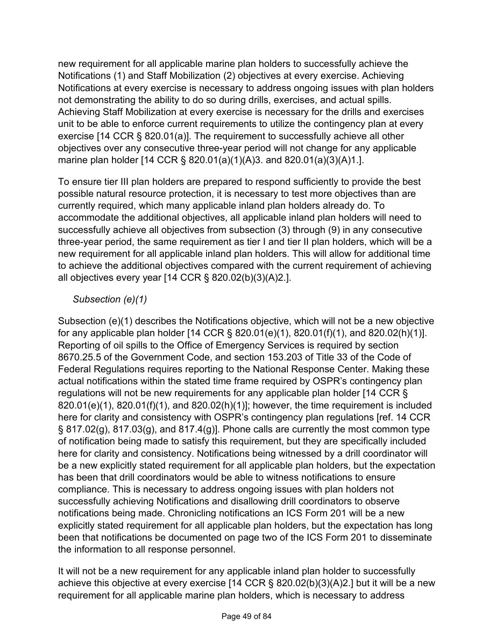new requirement for all applicable marine plan holders to successfully achieve the Notifications (1) and Staff Mobilization (2) objectives at every exercise. Achieving Notifications at every exercise is necessary to address ongoing issues with plan holders not demonstrating the ability to do so during drills, exercises, and actual spills. Achieving Staff Mobilization at every exercise is necessary for the drills and exercises unit to be able to enforce current requirements to utilize the contingency plan at every exercise [14 CCR § 820.01(a)]. The requirement to successfully achieve all other objectives over any consecutive three-year period will not change for any applicable marine plan holder [14 CCR § 820.01(a)(1)(A)3. and 820.01(a)(3)(A)1.].

To ensure tier III plan holders are prepared to respond sufficiently to provide the best possible natural resource protection, it is necessary to test more objectives than are currently required, which many applicable inland plan holders already do. To accommodate the additional objectives, all applicable inland plan holders will need to successfully achieve all objectives from subsection (3) through (9) in any consecutive three-year period, the same requirement as tier I and tier II plan holders, which will be a new requirement for all applicable inland plan holders. This will allow for additional time to achieve the additional objectives compared with the current requirement of achieving all objectives every year [14 CCR § 820.02(b)(3)(A)2.].

## *Subsection (e)(1)*

Subsection (e)(1) describes the Notifications objective, which will not be a new objective for any applicable plan holder [14 CCR § 820.01(e)(1), 820.01(f)(1), and 820.02(h)(1)]. Reporting of oil spills to the Office of Emergency Services is required by section 8670.25.5 of the Government Code, and section 153.203 of Title 33 of the Code of Federal Regulations requires reporting to the National Response Center. Making these actual notifications within the stated time frame required by OSPR's contingency plan regulations will not be new requirements for any applicable plan holder [14 CCR § 820.01(e)(1), 820.01(f)(1), and 820.02(h)(1)]; however, the time requirement is included here for clarity and consistency with OSPR's contingency plan regulations [ref. 14 CCR  $\S$  817.02(g), 817.03(g), and 817.4(g)]. Phone calls are currently the most common type of notification being made to satisfy this requirement, but they are specifically included here for clarity and consistency. Notifications being witnessed by a drill coordinator will be a new explicitly stated requirement for all applicable plan holders, but the expectation has been that drill coordinators would be able to witness notifications to ensure compliance. This is necessary to address ongoing issues with plan holders not successfully achieving Notifications and disallowing drill coordinators to observe notifications being made. Chronicling notifications an ICS Form 201 will be a new explicitly stated requirement for all applicable plan holders, but the expectation has long been that notifications be documented on page two of the ICS Form 201 to disseminate the information to all response personnel.

It will not be a new requirement for any applicable inland plan holder to successfully achieve this objective at every exercise [14 CCR § 820.02(b)(3)(A)2.] but it will be a new requirement for all applicable marine plan holders, which is necessary to address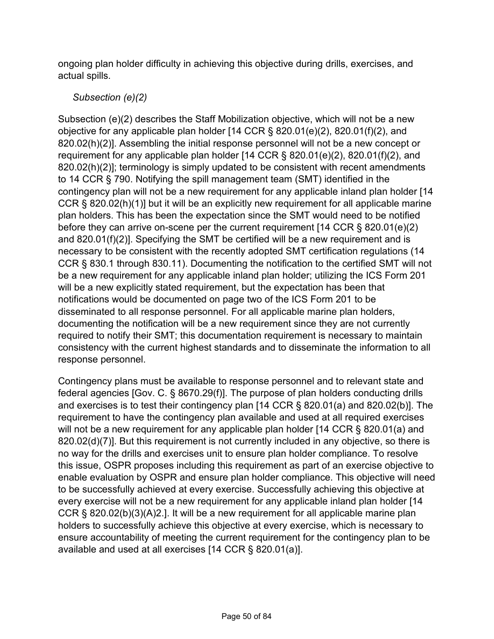ongoing plan holder difficulty in achieving this objective during drills, exercises, and actual spills.

### *Subsection (e)(2)*

Subsection (e)(2) describes the Staff Mobilization objective, which will not be a new objective for any applicable plan holder [14 CCR § 820.01(e)(2), 820.01(f)(2), and 820.02(h)(2)]. Assembling the initial response personnel will not be a new concept or requirement for any applicable plan holder [14 CCR § 820.01(e)(2), 820.01(f)(2), and 820.02(h)(2)]; terminology is simply updated to be consistent with recent amendments to 14 CCR § 790. Notifying the spill management team (SMT) identified in the contingency plan will not be a new requirement for any applicable inland plan holder [14 CCR § 820.02(h)(1)] but it will be an explicitly new requirement for all applicable marine plan holders. This has been the expectation since the SMT would need to be notified before they can arrive on-scene per the current requirement [14 CCR § 820.01(e)(2) and 820.01(f)(2)]. Specifying the SMT be certified will be a new requirement and is necessary to be consistent with the recently adopted SMT certification regulations (14 CCR § 830.1 through 830.11). Documenting the notification to the certified SMT will not be a new requirement for any applicable inland plan holder; utilizing the ICS Form 201 will be a new explicitly stated requirement, but the expectation has been that notifications would be documented on page two of the ICS Form 201 to be disseminated to all response personnel. For all applicable marine plan holders, documenting the notification will be a new requirement since they are not currently required to notify their SMT; this documentation requirement is necessary to maintain consistency with the current highest standards and to disseminate the information to all response personnel.

Contingency plans must be available to response personnel and to relevant state and federal agencies [Gov. C. § 8670.29(f)]. The purpose of plan holders conducting drills and exercises is to test their contingency plan [14 CCR § 820.01(a) and 820.02(b)]. The requirement to have the contingency plan available and used at all required exercises will not be a new requirement for any applicable plan holder [14 CCR § 820.01(a) and 820.02(d)(7)]. But this requirement is not currently included in any objective, so there is no way for the drills and exercises unit to ensure plan holder compliance. To resolve this issue, OSPR proposes including this requirement as part of an exercise objective to enable evaluation by OSPR and ensure plan holder compliance. This objective will need to be successfully achieved at every exercise. Successfully achieving this objective at every exercise will not be a new requirement for any applicable inland plan holder [14 CCR § 820.02(b)(3)(A)2.]. It will be a new requirement for all applicable marine plan holders to successfully achieve this objective at every exercise, which is necessary to ensure accountability of meeting the current requirement for the contingency plan to be available and used at all exercises [14 CCR § 820.01(a)].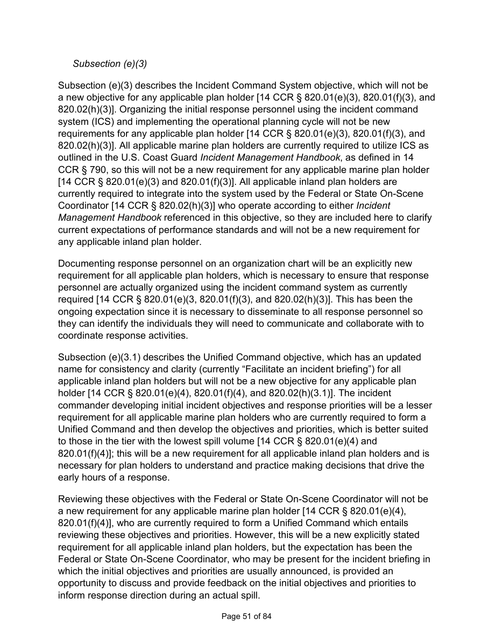### *Subsection (e)(3)*

Subsection (e)(3) describes the Incident Command System objective, which will not be a new objective for any applicable plan holder [14 CCR § 820.01(e)(3), 820.01(f)(3), and 820.02(h)(3)]. Organizing the initial response personnel using the incident command system (ICS) and implementing the operational planning cycle will not be new requirements for any applicable plan holder [14 CCR § 820.01(e)(3), 820.01(f)(3), and 820.02(h)(3)]. All applicable marine plan holders are currently required to utilize ICS as outlined in the U.S. Coast Guard *Incident Management Handbook*, as defined in 14 CCR § 790, so this will not be a new requirement for any applicable marine plan holder [14 CCR  $\S$  820.01(e)(3) and 820.01(f)(3)]. All applicable inland plan holders are currently required to integrate into the system used by the Federal or State On-Scene Coordinator [14 CCR § 820.02(h)(3)] who operate according to either *Incident Management Handbook* referenced in this objective, so they are included here to clarify current expectations of performance standards and will not be a new requirement for any applicable inland plan holder.

Documenting response personnel on an organization chart will be an explicitly new requirement for all applicable plan holders, which is necessary to ensure that response personnel are actually organized using the incident command system as currently required [14 CCR § 820.01(e)(3, 820.01(f)(3), and 820.02(h)(3)]. This has been the ongoing expectation since it is necessary to disseminate to all response personnel so they can identify the individuals they will need to communicate and collaborate with to coordinate response activities.

Subsection (e)(3.1) describes the Unified Command objective, which has an updated name for consistency and clarity (currently "Facilitate an incident briefing") for all applicable inland plan holders but will not be a new objective for any applicable plan holder [14 CCR § 820.01(e)(4), 820.01(f)(4), and 820.02(h)(3.1)]. The incident commander developing initial incident objectives and response priorities will be a lesser requirement for all applicable marine plan holders who are currently required to form a Unified Command and then develop the objectives and priorities, which is better suited to those in the tier with the lowest spill volume [14 CCR § 820.01(e)(4) and  $820.01(f)(4)$ ; this will be a new requirement for all applicable inland plan holders and is necessary for plan holders to understand and practice making decisions that drive the early hours of a response.

Reviewing these objectives with the Federal or State On-Scene Coordinator will not be a new requirement for any applicable marine plan holder [14 CCR § 820.01(e)(4), 820.01(f)(4)], who are currently required to form a Unified Command which entails reviewing these objectives and priorities. However, this will be a new explicitly stated requirement for all applicable inland plan holders, but the expectation has been the Federal or State On-Scene Coordinator, who may be present for the incident briefing in which the initial objectives and priorities are usually announced, is provided an opportunity to discuss and provide feedback on the initial objectives and priorities to inform response direction during an actual spill.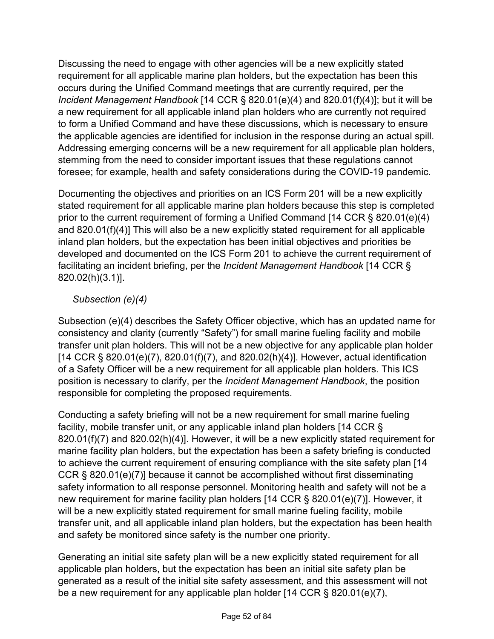Discussing the need to engage with other agencies will be a new explicitly stated requirement for all applicable marine plan holders, but the expectation has been this occurs during the Unified Command meetings that are currently required, per the *Incident Management Handbook* [14 CCR § 820.01(e)(4) and 820.01(f)(4)]; but it will be a new requirement for all applicable inland plan holders who are currently not required to form a Unified Command and have these discussions, which is necessary to ensure the applicable agencies are identified for inclusion in the response during an actual spill. Addressing emerging concerns will be a new requirement for all applicable plan holders, stemming from the need to consider important issues that these regulations cannot foresee; for example, health and safety considerations during the COVID-19 pandemic.

Documenting the objectives and priorities on an ICS Form 201 will be a new explicitly stated requirement for all applicable marine plan holders because this step is completed prior to the current requirement of forming a Unified Command [14 CCR § 820.01(e)(4) and 820.01(f)(4)] This will also be a new explicitly stated requirement for all applicable inland plan holders, but the expectation has been initial objectives and priorities be developed and documented on the ICS Form 201 to achieve the current requirement of facilitating an incident briefing, per the *Incident Management Handbook* [14 CCR § 820.02(h)(3.1)].

## *Subsection (e)(4)*

Subsection (e)(4) describes the Safety Officer objective, which has an updated name for consistency and clarity (currently "Safety") for small marine fueling facility and mobile transfer unit plan holders. This will not be a new objective for any applicable plan holder [14 CCR § 820.01(e)(7), 820.01(f)(7), and 820.02(h)(4)]. However, actual identification of a Safety Officer will be a new requirement for all applicable plan holders. This ICS position is necessary to clarify, per the *Incident Management Handbook*, the position responsible for completing the proposed requirements.

Conducting a safety briefing will not be a new requirement for small marine fueling facility, mobile transfer unit, or any applicable inland plan holders [14 CCR § 820.01(f)(7) and 820.02(h)(4)]. However, it will be a new explicitly stated requirement for marine facility plan holders, but the expectation has been a safety briefing is conducted to achieve the current requirement of ensuring compliance with the site safety plan [14 CCR § 820.01(e)(7)] because it cannot be accomplished without first disseminating safety information to all response personnel. Monitoring health and safety will not be a new requirement for marine facility plan holders [14 CCR § 820.01(e)(7)]. However, it will be a new explicitly stated requirement for small marine fueling facility, mobile transfer unit, and all applicable inland plan holders, but the expectation has been health and safety be monitored since safety is the number one priority.

Generating an initial site safety plan will be a new explicitly stated requirement for all applicable plan holders, but the expectation has been an initial site safety plan be generated as a result of the initial site safety assessment, and this assessment will not be a new requirement for any applicable plan holder [14 CCR § 820.01(e)(7),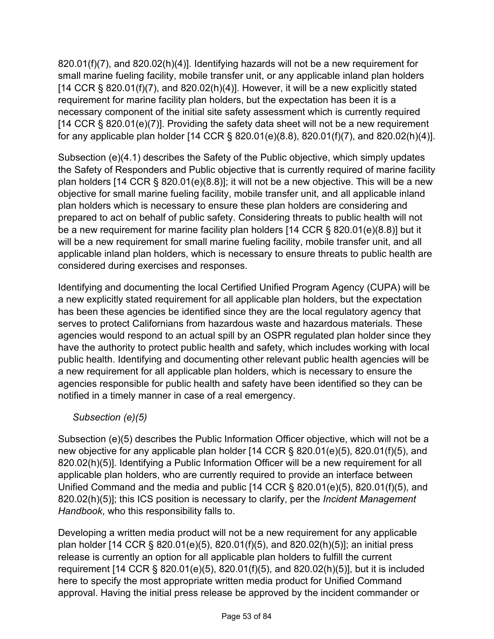820.01(f)(7), and 820.02(h)(4)]. Identifying hazards will not be a new requirement for small marine fueling facility, mobile transfer unit, or any applicable inland plan holders  $[14$  CCR § 820.01(f)(7), and 820.02(h)(4)]. However, it will be a new explicitly stated requirement for marine facility plan holders, but the expectation has been it is a necessary component of the initial site safety assessment which is currently required [14 CCR § 820.01(e)(7)]. Providing the safety data sheet will not be a new requirement for any applicable plan holder [14 CCR § 820.01(e)(8.8), 820.01(f)(7), and 820.02(h)(4)].

Subsection (e)(4.1) describes the Safety of the Public objective, which simply updates the Safety of Responders and Public objective that is currently required of marine facility plan holders [14 CCR § 820.01(e)(8.8)]; it will not be a new objective. This will be a new objective for small marine fueling facility, mobile transfer unit, and all applicable inland plan holders which is necessary to ensure these plan holders are considering and prepared to act on behalf of public safety. Considering threats to public health will not be a new requirement for marine facility plan holders [14 CCR § 820.01(e)(8.8)] but it will be a new requirement for small marine fueling facility, mobile transfer unit, and all applicable inland plan holders, which is necessary to ensure threats to public health are considered during exercises and responses.

Identifying and documenting the local Certified Unified Program Agency (CUPA) will be a new explicitly stated requirement for all applicable plan holders, but the expectation has been these agencies be identified since they are the local regulatory agency that serves to protect Californians from hazardous waste and hazardous materials. These agencies would respond to an actual spill by an OSPR regulated plan holder since they have the authority to protect public health and safety, which includes working with local public health. Identifying and documenting other relevant public health agencies will be a new requirement for all applicable plan holders, which is necessary to ensure the agencies responsible for public health and safety have been identified so they can be notified in a timely manner in case of a real emergency.

*Subsection (e)(5)*

Subsection (e)(5) describes the Public Information Officer objective, which will not be a new objective for any applicable plan holder [14 CCR § 820.01(e)(5), 820.01(f)(5), and 820.02(h)(5)]. Identifying a Public Information Officer will be a new requirement for all applicable plan holders, who are currently required to provide an interface between Unified Command and the media and public [14 CCR § 820.01(e)(5), 820.01(f)(5), and 820.02(h)(5)]; this ICS position is necessary to clarify, per the *Incident Management Handbook*, who this responsibility falls to.

Developing a written media product will not be a new requirement for any applicable plan holder [14 CCR § 820.01(e)(5), 820.01(f)(5), and 820.02(h)(5)]; an initial press release is currently an option for all applicable plan holders to fulfill the current requirement [14 CCR § 820.01(e)(5), 820.01(f)(5), and 820.02(h)(5)], but it is included here to specify the most appropriate written media product for Unified Command approval. Having the initial press release be approved by the incident commander or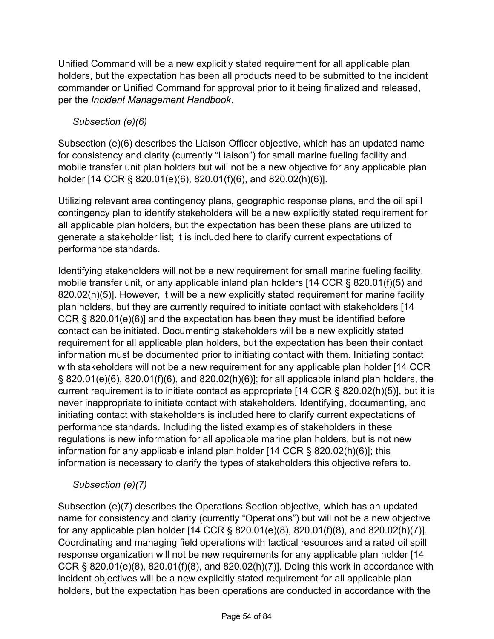Unified Command will be a new explicitly stated requirement for all applicable plan holders, but the expectation has been all products need to be submitted to the incident commander or Unified Command for approval prior to it being finalized and released, per the *Incident Management Handbook*.

# *Subsection (e)(6)*

Subsection (e)(6) describes the Liaison Officer objective, which has an updated name for consistency and clarity (currently "Liaison") for small marine fueling facility and mobile transfer unit plan holders but will not be a new objective for any applicable plan holder [14 CCR § 820.01(e)(6), 820.01(f)(6), and 820.02(h)(6)].

Utilizing relevant area contingency plans, geographic response plans, and the oil spill contingency plan to identify stakeholders will be a new explicitly stated requirement for all applicable plan holders, but the expectation has been these plans are utilized to generate a stakeholder list; it is included here to clarify current expectations of performance standards.

Identifying stakeholders will not be a new requirement for small marine fueling facility, mobile transfer unit, or any applicable inland plan holders [14 CCR § 820.01(f)(5) and 820.02(h)(5)]. However, it will be a new explicitly stated requirement for marine facility plan holders, but they are currently required to initiate contact with stakeholders [14 CCR § 820.01(e)(6)] and the expectation has been they must be identified before contact can be initiated. Documenting stakeholders will be a new explicitly stated requirement for all applicable plan holders, but the expectation has been their contact information must be documented prior to initiating contact with them. Initiating contact with stakeholders will not be a new requirement for any applicable plan holder [14 CCR § 820.01(e)(6), 820.01(f)(6), and 820.02(h)(6)]; for all applicable inland plan holders, the current requirement is to initiate contact as appropriate [14 CCR § 820.02(h)(5)], but it is never inappropriate to initiate contact with stakeholders. Identifying, documenting, and initiating contact with stakeholders is included here to clarify current expectations of performance standards. Including the listed examples of stakeholders in these regulations is new information for all applicable marine plan holders, but is not new information for any applicable inland plan holder [14 CCR § 820.02(h)(6)]; this information is necessary to clarify the types of stakeholders this objective refers to.

## *Subsection (e)(7)*

Subsection (e)(7) describes the Operations Section objective, which has an updated name for consistency and clarity (currently "Operations") but will not be a new objective for any applicable plan holder [14 CCR § 820.01(e)(8), 820.01(f)(8), and 820.02(h)(7)]. Coordinating and managing field operations with tactical resources and a rated oil spill response organization will not be new requirements for any applicable plan holder [14 CCR § 820.01(e)(8), 820.01(f)(8), and 820.02(h)(7)]. Doing this work in accordance with incident objectives will be a new explicitly stated requirement for all applicable plan holders, but the expectation has been operations are conducted in accordance with the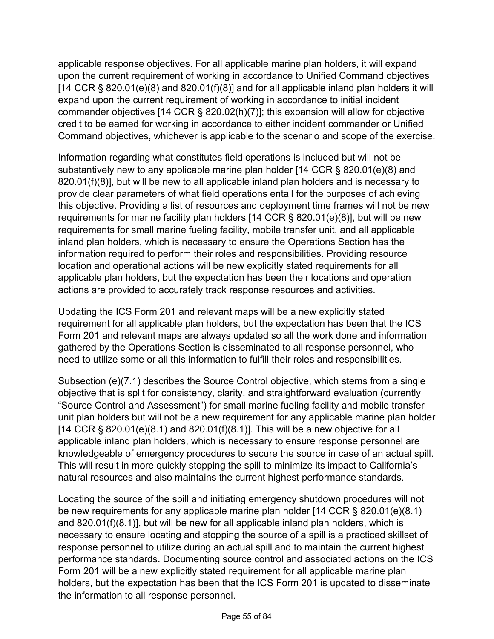applicable response objectives. For all applicable marine plan holders, it will expand upon the current requirement of working in accordance to Unified Command objectives [14 CCR  $\S$  820.01(e)(8) and 820.01(f)(8)] and for all applicable inland plan holders it will expand upon the current requirement of working in accordance to initial incident commander objectives [14 CCR § 820.02(h)(7)]; this expansion will allow for objective credit to be earned for working in accordance to either incident commander or Unified Command objectives, whichever is applicable to the scenario and scope of the exercise.

Information regarding what constitutes field operations is included but will not be substantively new to any applicable marine plan holder [14 CCR § 820.01(e)(8) and 820.01(f)(8)], but will be new to all applicable inland plan holders and is necessary to provide clear parameters of what field operations entail for the purposes of achieving this objective. Providing a list of resources and deployment time frames will not be new requirements for marine facility plan holders [14 CCR § 820.01(e)(8)], but will be new requirements for small marine fueling facility, mobile transfer unit, and all applicable inland plan holders, which is necessary to ensure the Operations Section has the information required to perform their roles and responsibilities. Providing resource location and operational actions will be new explicitly stated requirements for all applicable plan holders, but the expectation has been their locations and operation actions are provided to accurately track response resources and activities.

Updating the ICS Form 201 and relevant maps will be a new explicitly stated requirement for all applicable plan holders, but the expectation has been that the ICS Form 201 and relevant maps are always updated so all the work done and information gathered by the Operations Section is disseminated to all response personnel, who need to utilize some or all this information to fulfill their roles and responsibilities.

Subsection (e)(7.1) describes the Source Control objective, which stems from a single objective that is split for consistency, clarity, and straightforward evaluation (currently "Source Control and Assessment") for small marine fueling facility and mobile transfer unit plan holders but will not be a new requirement for any applicable marine plan holder [14 CCR  $\S$  820.01(e)(8.1) and 820.01(f)(8.1)]. This will be a new objective for all applicable inland plan holders, which is necessary to ensure response personnel are knowledgeable of emergency procedures to secure the source in case of an actual spill. This will result in more quickly stopping the spill to minimize its impact to California's natural resources and also maintains the current highest performance standards.

Locating the source of the spill and initiating emergency shutdown procedures will not be new requirements for any applicable marine plan holder [14 CCR § 820.01(e)(8.1) and 820.01(f)(8.1)], but will be new for all applicable inland plan holders, which is necessary to ensure locating and stopping the source of a spill is a practiced skillset of response personnel to utilize during an actual spill and to maintain the current highest performance standards. Documenting source control and associated actions on the ICS Form 201 will be a new explicitly stated requirement for all applicable marine plan holders, but the expectation has been that the ICS Form 201 is updated to disseminate the information to all response personnel.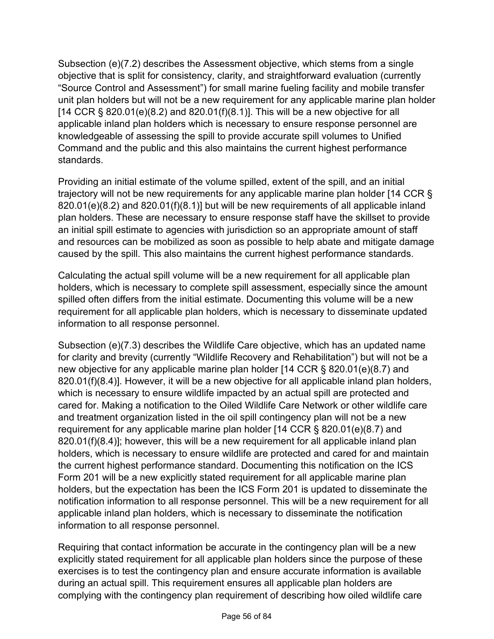Subsection (e)(7.2) describes the Assessment objective, which stems from a single objective that is split for consistency, clarity, and straightforward evaluation (currently "Source Control and Assessment") for small marine fueling facility and mobile transfer unit plan holders but will not be a new requirement for any applicable marine plan holder  $[14$  CCR § 820.01(e)(8.2) and 820.01(f)(8.1)]. This will be a new objective for all applicable inland plan holders which is necessary to ensure response personnel are knowledgeable of assessing the spill to provide accurate spill volumes to Unified Command and the public and this also maintains the current highest performance standards.

Providing an initial estimate of the volume spilled, extent of the spill, and an initial trajectory will not be new requirements for any applicable marine plan holder [14 CCR § 820.01(e)(8.2) and 820.01(f)(8.1)] but will be new requirements of all applicable inland plan holders. These are necessary to ensure response staff have the skillset to provide an initial spill estimate to agencies with jurisdiction so an appropriate amount of staff and resources can be mobilized as soon as possible to help abate and mitigate damage caused by the spill. This also maintains the current highest performance standards.

Calculating the actual spill volume will be a new requirement for all applicable plan holders, which is necessary to complete spill assessment, especially since the amount spilled often differs from the initial estimate. Documenting this volume will be a new requirement for all applicable plan holders, which is necessary to disseminate updated information to all response personnel.

Subsection (e)(7.3) describes the Wildlife Care objective, which has an updated name for clarity and brevity (currently "Wildlife Recovery and Rehabilitation") but will not be a new objective for any applicable marine plan holder [14 CCR § 820.01(e)(8.7) and 820.01(f)(8.4)]. However, it will be a new objective for all applicable inland plan holders, which is necessary to ensure wildlife impacted by an actual spill are protected and cared for. Making a notification to the Oiled Wildlife Care Network or other wildlife care and treatment organization listed in the oil spill contingency plan will not be a new requirement for any applicable marine plan holder [14 CCR § 820.01(e)(8.7) and 820.01(f)(8.4)]; however, this will be a new requirement for all applicable inland plan holders, which is necessary to ensure wildlife are protected and cared for and maintain the current highest performance standard. Documenting this notification on the ICS Form 201 will be a new explicitly stated requirement for all applicable marine plan holders, but the expectation has been the ICS Form 201 is updated to disseminate the notification information to all response personnel. This will be a new requirement for all applicable inland plan holders, which is necessary to disseminate the notification information to all response personnel.

Requiring that contact information be accurate in the contingency plan will be a new explicitly stated requirement for all applicable plan holders since the purpose of these exercises is to test the contingency plan and ensure accurate information is available during an actual spill. This requirement ensures all applicable plan holders are complying with the contingency plan requirement of describing how oiled wildlife care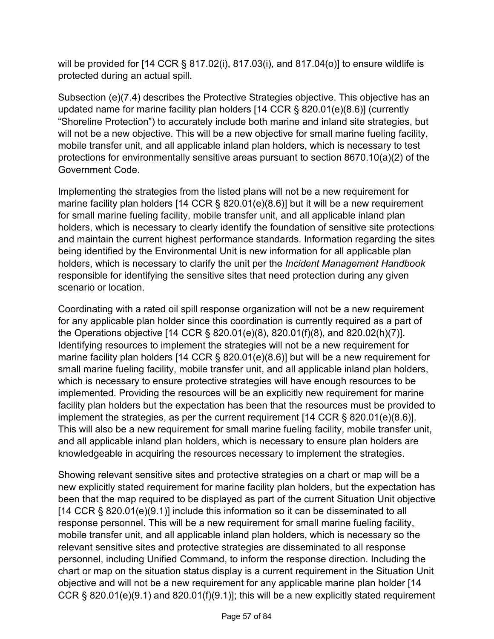will be provided for [14 CCR § 817.02(i), 817.03(i), and 817.04(o)] to ensure wildlife is protected during an actual spill.

Subsection (e)(7.4) describes the Protective Strategies objective. This objective has an updated name for marine facility plan holders [14 CCR § 820.01(e)(8.6)] (currently "Shoreline Protection") to accurately include both marine and inland site strategies, but will not be a new objective. This will be a new objective for small marine fueling facility, mobile transfer unit, and all applicable inland plan holders, which is necessary to test protections for environmentally sensitive areas pursuant to section 8670.10(a)(2) of the Government Code.

Implementing the strategies from the listed plans will not be a new requirement for marine facility plan holders [14 CCR § 820.01(e)(8.6)] but it will be a new requirement for small marine fueling facility, mobile transfer unit, and all applicable inland plan holders, which is necessary to clearly identify the foundation of sensitive site protections and maintain the current highest performance standards. Information regarding the sites being identified by the Environmental Unit is new information for all applicable plan holders, which is necessary to clarify the unit per the *Incident Management Handbook* responsible for identifying the sensitive sites that need protection during any given scenario or location.

Coordinating with a rated oil spill response organization will not be a new requirement for any applicable plan holder since this coordination is currently required as a part of the Operations objective [14 CCR § 820.01(e)(8), 820.01(f)(8), and 820.02(h)(7)]. Identifying resources to implement the strategies will not be a new requirement for marine facility plan holders [14 CCR § 820.01(e)(8.6)] but will be a new requirement for small marine fueling facility, mobile transfer unit, and all applicable inland plan holders, which is necessary to ensure protective strategies will have enough resources to be implemented. Providing the resources will be an explicitly new requirement for marine facility plan holders but the expectation has been that the resources must be provided to implement the strategies, as per the current requirement [14 CCR § 820.01(e)(8.6)]. This will also be a new requirement for small marine fueling facility, mobile transfer unit, and all applicable inland plan holders, which is necessary to ensure plan holders are knowledgeable in acquiring the resources necessary to implement the strategies.

Showing relevant sensitive sites and protective strategies on a chart or map will be a new explicitly stated requirement for marine facility plan holders, but the expectation has been that the map required to be displayed as part of the current Situation Unit objective [14 CCR § 820.01(e)(9.1)] include this information so it can be disseminated to all response personnel. This will be a new requirement for small marine fueling facility, mobile transfer unit, and all applicable inland plan holders, which is necessary so the relevant sensitive sites and protective strategies are disseminated to all response personnel, including Unified Command, to inform the response direction. Including the chart or map on the situation status display is a current requirement in the Situation Unit objective and will not be a new requirement for any applicable marine plan holder [14 CCR § 820.01(e)(9.1) and 820.01(f)(9.1)]; this will be a new explicitly stated requirement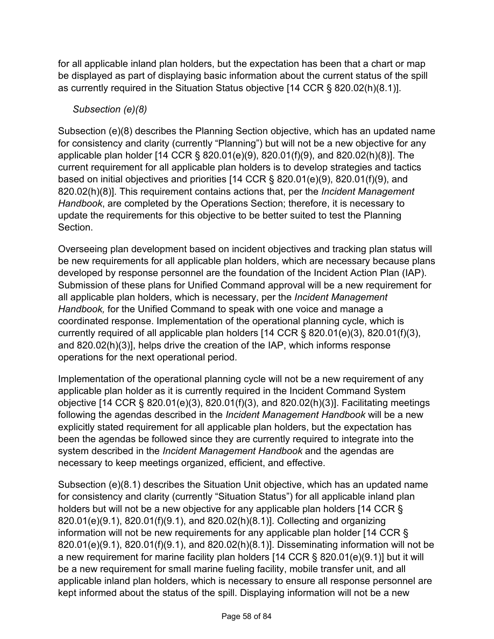for all applicable inland plan holders, but the expectation has been that a chart or map be displayed as part of displaying basic information about the current status of the spill as currently required in the Situation Status objective [14 CCR § 820.02(h)(8.1)].

### *Subsection (e)(8)*

Subsection (e)(8) describes the Planning Section objective, which has an updated name for consistency and clarity (currently "Planning") but will not be a new objective for any applicable plan holder [14 CCR § 820.01(e)(9), 820.01(f)(9), and 820.02(h)(8)]. The current requirement for all applicable plan holders is to develop strategies and tactics based on initial objectives and priorities [14 CCR § 820.01(e)(9), 820.01(f)(9), and 820.02(h)(8)]. This requirement contains actions that, per the *Incident Management Handbook*, are completed by the Operations Section; therefore, it is necessary to update the requirements for this objective to be better suited to test the Planning Section.

Overseeing plan development based on incident objectives and tracking plan status will be new requirements for all applicable plan holders, which are necessary because plans developed by response personnel are the foundation of the Incident Action Plan (IAP). Submission of these plans for Unified Command approval will be a new requirement for all applicable plan holders, which is necessary, per the *Incident Management Handbook,* for the Unified Command to speak with one voice and manage a coordinated response. Implementation of the operational planning cycle, which is currently required of all applicable plan holders [14 CCR § 820.01(e)(3), 820.01(f)(3), and 820.02(h)(3)], helps drive the creation of the IAP, which informs response operations for the next operational period.

Implementation of the operational planning cycle will not be a new requirement of any applicable plan holder as it is currently required in the Incident Command System objective [14 CCR § 820.01(e)(3), 820.01(f)(3), and 820.02(h)(3)]. Facilitating meetings following the agendas described in the *Incident Management Handbook* will be a new explicitly stated requirement for all applicable plan holders, but the expectation has been the agendas be followed since they are currently required to integrate into the system described in the *Incident Management Handbook* and the agendas are necessary to keep meetings organized, efficient, and effective.

Subsection (e)(8.1) describes the Situation Unit objective, which has an updated name for consistency and clarity (currently "Situation Status") for all applicable inland plan holders but will not be a new objective for any applicable plan holders [14 CCR § 820.01(e)(9.1), 820.01(f)(9.1), and 820.02(h)(8.1)]. Collecting and organizing information will not be new requirements for any applicable plan holder [14 CCR § 820.01(e)(9.1), 820.01(f)(9.1), and 820.02(h)(8.1)]. Disseminating information will not be a new requirement for marine facility plan holders [14 CCR § 820.01(e)(9.1)] but it will be a new requirement for small marine fueling facility, mobile transfer unit, and all applicable inland plan holders, which is necessary to ensure all response personnel are kept informed about the status of the spill. Displaying information will not be a new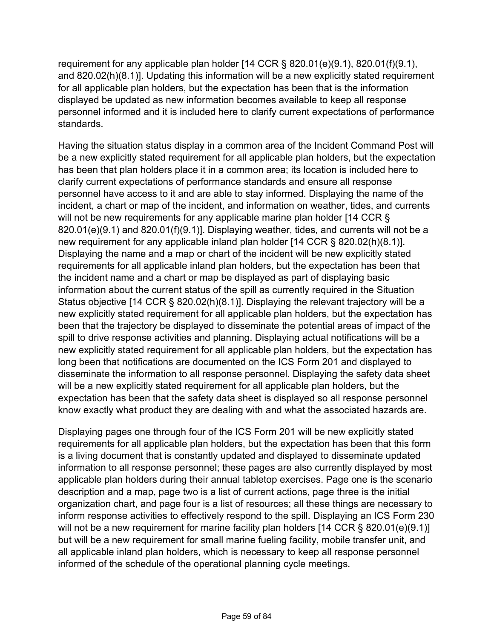requirement for any applicable plan holder [14 CCR § 820.01(e)(9.1), 820.01(f)(9.1), and 820.02(h)(8.1)]. Updating this information will be a new explicitly stated requirement for all applicable plan holders, but the expectation has been that is the information displayed be updated as new information becomes available to keep all response personnel informed and it is included here to clarify current expectations of performance standards.

Having the situation status display in a common area of the Incident Command Post will be a new explicitly stated requirement for all applicable plan holders, but the expectation has been that plan holders place it in a common area; its location is included here to clarify current expectations of performance standards and ensure all response personnel have access to it and are able to stay informed. Displaying the name of the incident, a chart or map of the incident, and information on weather, tides, and currents will not be new requirements for any applicable marine plan holder [14 CCR § 820.01(e)(9.1) and 820.01(f)(9.1)]. Displaying weather, tides, and currents will not be a new requirement for any applicable inland plan holder [14 CCR § 820.02(h)(8.1)]. Displaying the name and a map or chart of the incident will be new explicitly stated requirements for all applicable inland plan holders, but the expectation has been that the incident name and a chart or map be displayed as part of displaying basic information about the current status of the spill as currently required in the Situation Status objective [14 CCR § 820.02(h)(8.1)]. Displaying the relevant trajectory will be a new explicitly stated requirement for all applicable plan holders, but the expectation has been that the trajectory be displayed to disseminate the potential areas of impact of the spill to drive response activities and planning. Displaying actual notifications will be a new explicitly stated requirement for all applicable plan holders, but the expectation has long been that notifications are documented on the ICS Form 201 and displayed to disseminate the information to all response personnel. Displaying the safety data sheet will be a new explicitly stated requirement for all applicable plan holders, but the expectation has been that the safety data sheet is displayed so all response personnel know exactly what product they are dealing with and what the associated hazards are.

Displaying pages one through four of the ICS Form 201 will be new explicitly stated requirements for all applicable plan holders, but the expectation has been that this form is a living document that is constantly updated and displayed to disseminate updated information to all response personnel; these pages are also currently displayed by most applicable plan holders during their annual tabletop exercises. Page one is the scenario description and a map, page two is a list of current actions, page three is the initial organization chart, and page four is a list of resources; all these things are necessary to inform response activities to effectively respond to the spill. Displaying an ICS Form 230 will not be a new requirement for marine facility plan holders [14 CCR § 820.01(e)(9.1)] but will be a new requirement for small marine fueling facility, mobile transfer unit, and all applicable inland plan holders, which is necessary to keep all response personnel informed of the schedule of the operational planning cycle meetings.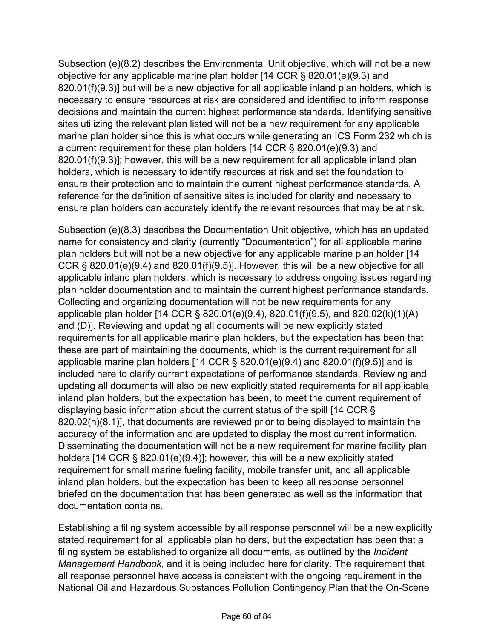Subsection (e)(8.2) describes the Environmental Unit objective, which will not be a new objective for any applicable marine plan holder [14 CCR § 820.01(e)(9.3) and 820.01(f)(9.3)] but will be a new objective for all applicable inland plan holders, which is necessary to ensure resources at risk are considered and identified to inform response decisions and maintain the current highest performance standards. Identifying sensitive sites utilizing the relevant plan listed will not be a new requirement for any applicable marine plan holder since this is what occurs while generating an ICS Form 232 which is a current requirement for these plan holders [14 CCR § 820.01(e)(9.3) and 820.01(f)(9.3)]; however, this will be a new requirement for all applicable inland plan holders, which is necessary to identify resources at risk and set the foundation to ensure their protection and to maintain the current highest performance standards. A reference for the definition of sensitive sites is included for clarity and necessary to ensure plan holders can accurately identify the relevant resources that may be at risk.

Subsection (e)(8.3) describes the Documentation Unit objective, which has an updated name for consistency and clarity (currently "Documentation") for all applicable marine plan holders but will not be a new objective for any applicable marine plan holder [14 CCR  $\S$  820.01(e)(9.4) and 820.01(f)(9.5)]. However, this will be a new objective for all applicable inland plan holders, which is necessary to address ongoing issues regarding plan holder documentation and to maintain the current highest performance standards. Collecting and organizing documentation will not be new requirements for any applicable plan holder [14 CCR § 820.01(e)(9.4), 820.01(f)(9.5), and 820.02(k)(1)(A) and (D)]. Reviewing and updating all documents will be new explicitly stated requirements for all applicable marine plan holders, but the expectation has been that these are part of maintaining the documents, which is the current requirement for all applicable marine plan holders [14 CCR § 820.01(e)(9.4) and 820.01(f)(9.5)] and is included here to clarify current expectations of performance standards. Reviewing and updating all documents will also be new explicitly stated requirements for all applicable inland plan holders, but the expectation has been, to meet the current requirement of displaying basic information about the current status of the spill [14 CCR § 820.02(h)(8.1)], that documents are reviewed prior to being displayed to maintain the accuracy of the information and are updated to display the most current information. Disseminating the documentation will not be a new requirement for marine facility plan holders [14 CCR § 820.01(e)(9.4)]; however, this will be a new explicitly stated requirement for small marine fueling facility, mobile transfer unit, and all applicable inland plan holders, but the expectation has been to keep all response personnel briefed on the documentation that has been generated as well as the information that documentation contains.

Establishing a filing system accessible by all response personnel will be a new explicitly stated requirement for all applicable plan holders, but the expectation has been that a filing system be established to organize all documents, as outlined by the *Incident Management Handbook*, and it is being included here for clarity. The requirement that all response personnel have access is consistent with the ongoing requirement in the National Oil and Hazardous Substances Pollution Contingency Plan that the On-Scene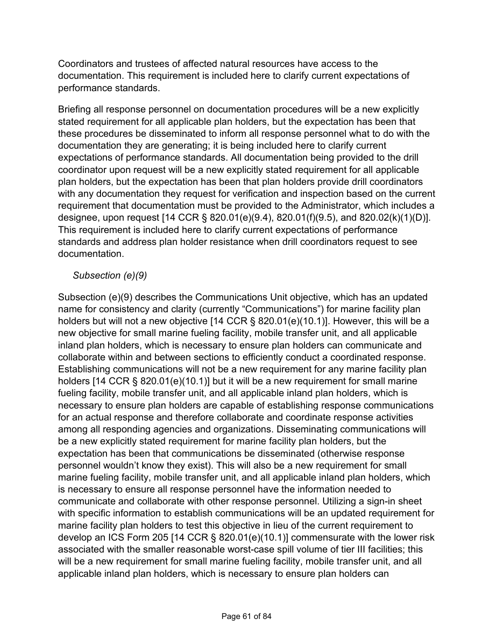Coordinators and trustees of affected natural resources have access to the documentation. This requirement is included here to clarify current expectations of performance standards.

Briefing all response personnel on documentation procedures will be a new explicitly stated requirement for all applicable plan holders, but the expectation has been that these procedures be disseminated to inform all response personnel what to do with the documentation they are generating; it is being included here to clarify current expectations of performance standards. All documentation being provided to the drill coordinator upon request will be a new explicitly stated requirement for all applicable plan holders, but the expectation has been that plan holders provide drill coordinators with any documentation they request for verification and inspection based on the current requirement that documentation must be provided to the Administrator, which includes a designee, upon request [14 CCR § 820.01(e)(9.4), 820.01(f)(9.5), and 820.02(k)(1)(D)]. This requirement is included here to clarify current expectations of performance standards and address plan holder resistance when drill coordinators request to see documentation.

#### *Subsection (e)(9)*

Subsection (e)(9) describes the Communications Unit objective, which has an updated name for consistency and clarity (currently "Communications") for marine facility plan holders but will not a new objective [14 CCR § 820.01(e)(10.1)]. However, this will be a new objective for small marine fueling facility, mobile transfer unit, and all applicable inland plan holders, which is necessary to ensure plan holders can communicate and collaborate within and between sections to efficiently conduct a coordinated response. Establishing communications will not be a new requirement for any marine facility plan holders [14 CCR § 820.01(e)(10.1)] but it will be a new requirement for small marine fueling facility, mobile transfer unit, and all applicable inland plan holders, which is necessary to ensure plan holders are capable of establishing response communications for an actual response and therefore collaborate and coordinate response activities among all responding agencies and organizations. Disseminating communications will be a new explicitly stated requirement for marine facility plan holders, but the expectation has been that communications be disseminated (otherwise response personnel wouldn't know they exist). This will also be a new requirement for small marine fueling facility, mobile transfer unit, and all applicable inland plan holders, which is necessary to ensure all response personnel have the information needed to communicate and collaborate with other response personnel. Utilizing a sign-in sheet with specific information to establish communications will be an updated requirement for marine facility plan holders to test this objective in lieu of the current requirement to develop an ICS Form 205 [14 CCR § 820.01(e)(10.1)] commensurate with the lower risk associated with the smaller reasonable worst-case spill volume of tier III facilities; this will be a new requirement for small marine fueling facility, mobile transfer unit, and all applicable inland plan holders, which is necessary to ensure plan holders can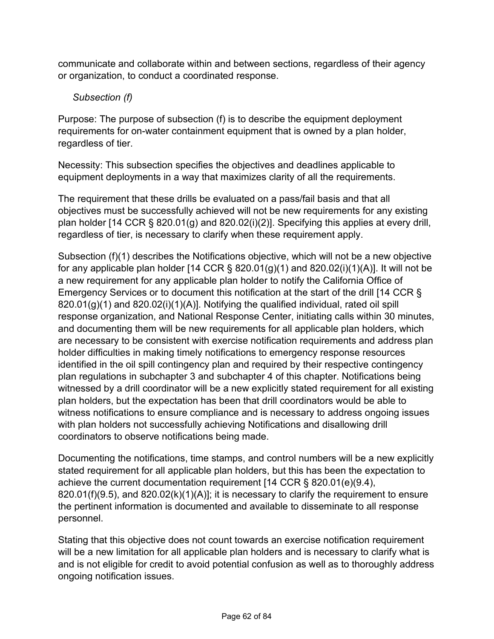communicate and collaborate within and between sections, regardless of their agency or organization, to conduct a coordinated response.

*Subsection (f)*

Purpose: The purpose of subsection (f) is to describe the equipment deployment requirements for on-water containment equipment that is owned by a plan holder, regardless of tier.

Necessity: This subsection specifies the objectives and deadlines applicable to equipment deployments in a way that maximizes clarity of all the requirements.

The requirement that these drills be evaluated on a pass/fail basis and that all objectives must be successfully achieved will not be new requirements for any existing plan holder [14 CCR § 820.01(g) and 820.02(i)(2)]. Specifying this applies at every drill, regardless of tier, is necessary to clarify when these requirement apply.

Subsection (f)(1) describes the Notifications objective, which will not be a new objective for any applicable plan holder [14 CCR  $\S$  820.01(g)(1) and 820.02(i)(1)(A)]. It will not be a new requirement for any applicable plan holder to notify the California Office of Emergency Services or to document this notification at the start of the drill [14 CCR § 820.01(g)(1) and 820.02(i)(1)(A)]. Notifying the qualified individual, rated oil spill response organization, and National Response Center, initiating calls within 30 minutes, and documenting them will be new requirements for all applicable plan holders, which are necessary to be consistent with exercise notification requirements and address plan holder difficulties in making timely notifications to emergency response resources identified in the oil spill contingency plan and required by their respective contingency plan regulations in subchapter 3 and subchapter 4 of this chapter. Notifications being witnessed by a drill coordinator will be a new explicitly stated requirement for all existing plan holders, but the expectation has been that drill coordinators would be able to witness notifications to ensure compliance and is necessary to address ongoing issues with plan holders not successfully achieving Notifications and disallowing drill coordinators to observe notifications being made.

Documenting the notifications, time stamps, and control numbers will be a new explicitly stated requirement for all applicable plan holders, but this has been the expectation to achieve the current documentation requirement [14 CCR § 820.01(e)(9.4),  $820.01(f)(9.5)$ , and  $820.02(k)(1)(A)]$ ; it is necessary to clarify the requirement to ensure the pertinent information is documented and available to disseminate to all response personnel.

Stating that this objective does not count towards an exercise notification requirement will be a new limitation for all applicable plan holders and is necessary to clarify what is and is not eligible for credit to avoid potential confusion as well as to thoroughly address ongoing notification issues.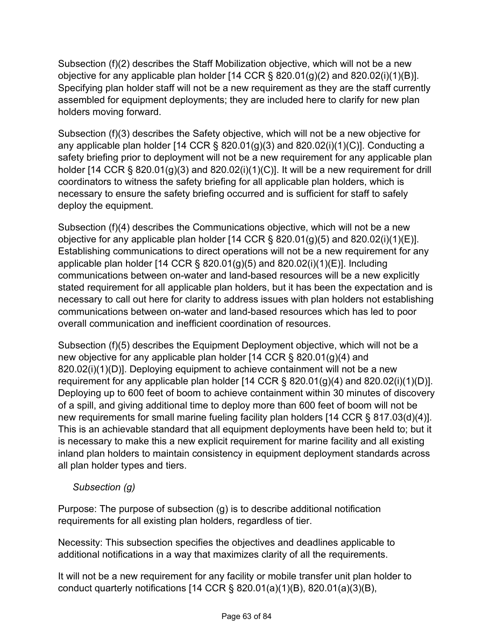Subsection (f)(2) describes the Staff Mobilization objective, which will not be a new objective for any applicable plan holder  $[14$  CCR § 820.01(g)(2) and 820.02(i)(1)(B)]. Specifying plan holder staff will not be a new requirement as they are the staff currently assembled for equipment deployments; they are included here to clarify for new plan holders moving forward.

Subsection (f)(3) describes the Safety objective, which will not be a new objective for any applicable plan holder [14 CCR  $\S$  820.01(g)(3) and 820.02(i)(1)(C)]. Conducting a safety briefing prior to deployment will not be a new requirement for any applicable plan holder [14 CCR § 820.01(g)(3) and 820.02(i)(1)(C)]. It will be a new requirement for drill coordinators to witness the safety briefing for all applicable plan holders, which is necessary to ensure the safety briefing occurred and is sufficient for staff to safely deploy the equipment.

Subsection (f)(4) describes the Communications objective, which will not be a new objective for any applicable plan holder  $[14$  CCR § 820.01(g)(5) and 820.02(i)(1)(E)]. Establishing communications to direct operations will not be a new requirement for any applicable plan holder  $[14$  CCR § 820.01(g)(5) and 820.02(i)(1)(E)]. Including communications between on-water and land-based resources will be a new explicitly stated requirement for all applicable plan holders, but it has been the expectation and is necessary to call out here for clarity to address issues with plan holders not establishing communications between on-water and land-based resources which has led to poor overall communication and inefficient coordination of resources.

Subsection (f)(5) describes the Equipment Deployment objective, which will not be a new objective for any applicable plan holder [14 CCR § 820.01(g)(4) and 820.02(i)(1)(D)]. Deploying equipment to achieve containment will not be a new requirement for any applicable plan holder  $[14$  CCR § 820.01(g)(4) and 820.02(i)(1)(D)]. Deploying up to 600 feet of boom to achieve containment within 30 minutes of discovery of a spill, and giving additional time to deploy more than 600 feet of boom will not be new requirements for small marine fueling facility plan holders [14 CCR § 817.03(d)(4)]. This is an achievable standard that all equipment deployments have been held to; but it is necessary to make this a new explicit requirement for marine facility and all existing inland plan holders to maintain consistency in equipment deployment standards across all plan holder types and tiers.

*Subsection (g)*

Purpose: The purpose of subsection (g) is to describe additional notification requirements for all existing plan holders, regardless of tier.

Necessity: This subsection specifies the objectives and deadlines applicable to additional notifications in a way that maximizes clarity of all the requirements.

It will not be a new requirement for any facility or mobile transfer unit plan holder to conduct quarterly notifications [14 CCR § 820.01(a)(1)(B), 820.01(a)(3)(B),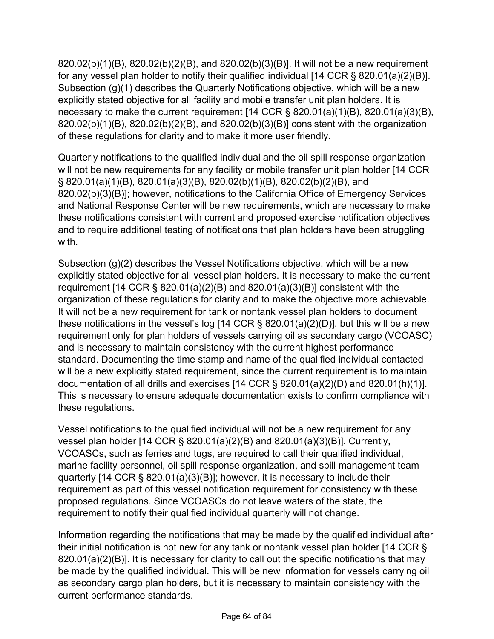820.02(b)(1)(B), 820.02(b)(2)(B), and 820.02(b)(3)(B)]. It will not be a new requirement for any vessel plan holder to notify their qualified individual [14 CCR § 820.01(a)(2)(B)]. Subsection (g)(1) describes the Quarterly Notifications objective, which will be a new explicitly stated objective for all facility and mobile transfer unit plan holders. It is necessary to make the current requirement  $[14$  CCR § 820.01(a)(1)(B), 820.01(a)(3)(B), 820.02(b)(1)(B), 820.02(b)(2)(B), and 820.02(b)(3)(B)] consistent with the organization of these regulations for clarity and to make it more user friendly.

Quarterly notifications to the qualified individual and the oil spill response organization will not be new requirements for any facility or mobile transfer unit plan holder [14 CCR] § 820.01(a)(1)(B), 820.01(a)(3)(B), 820.02(b)(1)(B), 820.02(b)(2)(B), and 820.02(b)(3)(B)]; however, notifications to the California Office of Emergency Services and National Response Center will be new requirements, which are necessary to make these notifications consistent with current and proposed exercise notification objectives and to require additional testing of notifications that plan holders have been struggling with.

Subsection (g)(2) describes the Vessel Notifications objective, which will be a new explicitly stated objective for all vessel plan holders. It is necessary to make the current requirement [14 CCR § 820.01(a)(2)(B) and 820.01(a)(3)(B)] consistent with the organization of these regulations for clarity and to make the objective more achievable. It will not be a new requirement for tank or nontank vessel plan holders to document these notifications in the vessel's log [14 CCR  $\S$  820.01(a)(2)(D)], but this will be a new requirement only for plan holders of vessels carrying oil as secondary cargo (VCOASC) and is necessary to maintain consistency with the current highest performance standard. Documenting the time stamp and name of the qualified individual contacted will be a new explicitly stated requirement, since the current requirement is to maintain documentation of all drills and exercises [14 CCR § 820.01(a)(2)(D) and 820.01(h)(1)]. This is necessary to ensure adequate documentation exists to confirm compliance with these regulations.

Vessel notifications to the qualified individual will not be a new requirement for any vessel plan holder [14 CCR § 820.01(a)(2)(B) and 820.01(a)(3)(B)]. Currently, VCOASCs, such as ferries and tugs, are required to call their qualified individual, marine facility personnel, oil spill response organization, and spill management team quarterly [14 CCR § 820.01(a)(3)(B)]; however, it is necessary to include their requirement as part of this vessel notification requirement for consistency with these proposed regulations. Since VCOASCs do not leave waters of the state, the requirement to notify their qualified individual quarterly will not change.

Information regarding the notifications that may be made by the qualified individual after their initial notification is not new for any tank or nontank vessel plan holder [14 CCR § 820.01(a)(2)(B)]. It is necessary for clarity to call out the specific notifications that may be made by the qualified individual. This will be new information for vessels carrying oil as secondary cargo plan holders, but it is necessary to maintain consistency with the current performance standards.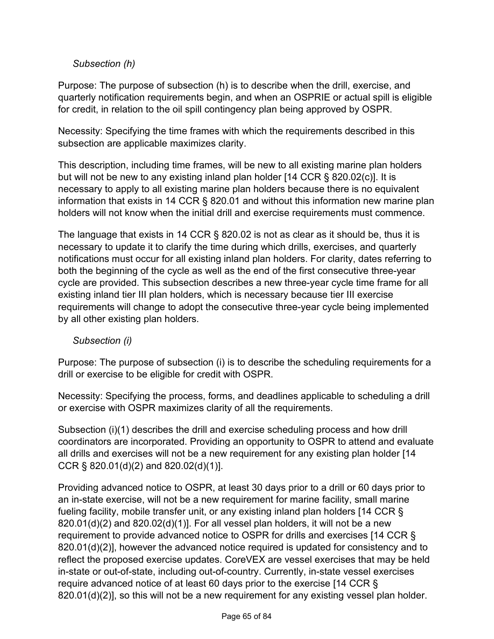### *Subsection (h)*

Purpose: The purpose of subsection (h) is to describe when the drill, exercise, and quarterly notification requirements begin, and when an OSPRIE or actual spill is eligible for credit, in relation to the oil spill contingency plan being approved by OSPR.

Necessity: Specifying the time frames with which the requirements described in this subsection are applicable maximizes clarity.

This description, including time frames, will be new to all existing marine plan holders but will not be new to any existing inland plan holder [14 CCR § 820.02(c)]. It is necessary to apply to all existing marine plan holders because there is no equivalent information that exists in 14 CCR § 820.01 and without this information new marine plan holders will not know when the initial drill and exercise requirements must commence.

The language that exists in 14 CCR § 820.02 is not as clear as it should be, thus it is necessary to update it to clarify the time during which drills, exercises, and quarterly notifications must occur for all existing inland plan holders. For clarity, dates referring to both the beginning of the cycle as well as the end of the first consecutive three-year cycle are provided. This subsection describes a new three-year cycle time frame for all existing inland tier III plan holders, which is necessary because tier III exercise requirements will change to adopt the consecutive three-year cycle being implemented by all other existing plan holders.

#### *Subsection (i)*

Purpose: The purpose of subsection (i) is to describe the scheduling requirements for a drill or exercise to be eligible for credit with OSPR.

Necessity: Specifying the process, forms, and deadlines applicable to scheduling a drill or exercise with OSPR maximizes clarity of all the requirements.

Subsection (i)(1) describes the drill and exercise scheduling process and how drill coordinators are incorporated. Providing an opportunity to OSPR to attend and evaluate all drills and exercises will not be a new requirement for any existing plan holder [14 CCR § 820.01(d)(2) and 820.02(d)(1)].

Providing advanced notice to OSPR, at least 30 days prior to a drill or 60 days prior to an in-state exercise, will not be a new requirement for marine facility, small marine fueling facility, mobile transfer unit, or any existing inland plan holders [14 CCR §  $820.01(d)(2)$  and  $820.02(d)(1)$ . For all vessel plan holders, it will not be a new requirement to provide advanced notice to OSPR for drills and exercises [14 CCR § 820.01(d)(2)], however the advanced notice required is updated for consistency and to reflect the proposed exercise updates. CoreVEX are vessel exercises that may be held in-state or out-of-state, including out-of-country. Currently, in-state vessel exercises require advanced notice of at least 60 days prior to the exercise [14 CCR § 820.01(d)(2)], so this will not be a new requirement for any existing vessel plan holder.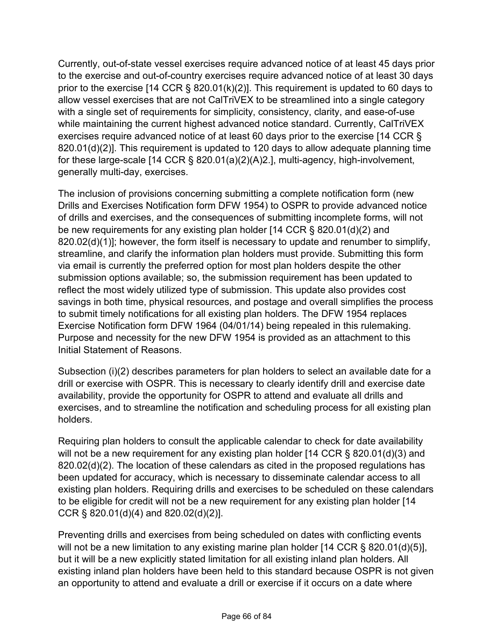Currently, out-of-state vessel exercises require advanced notice of at least 45 days prior to the exercise and out-of-country exercises require advanced notice of at least 30 days prior to the exercise [14 CCR § 820.01(k)(2)]. This requirement is updated to 60 days to allow vessel exercises that are not CalTriVEX to be streamlined into a single category with a single set of requirements for simplicity, consistency, clarity, and ease-of-use while maintaining the current highest advanced notice standard. Currently, CalTriVEX exercises require advanced notice of at least 60 days prior to the exercise [14 CCR § 820.01(d)(2)]. This requirement is updated to 120 days to allow adequate planning time for these large-scale [14 CCR § 820.01(a)(2)(A)2.], multi-agency, high-involvement, generally multi-day, exercises.

The inclusion of provisions concerning submitting a complete notification form (new Drills and Exercises Notification form DFW 1954) to OSPR to provide advanced notice of drills and exercises, and the consequences of submitting incomplete forms, will not be new requirements for any existing plan holder [14 CCR § 820.01(d)(2) and  $820.02(d)(1)$ ]; however, the form itself is necessary to update and renumber to simplify, streamline, and clarify the information plan holders must provide. Submitting this form via email is currently the preferred option for most plan holders despite the other submission options available; so, the submission requirement has been updated to reflect the most widely utilized type of submission. This update also provides cost savings in both time, physical resources, and postage and overall simplifies the process to submit timely notifications for all existing plan holders. The DFW 1954 replaces Exercise Notification form DFW 1964 (04/01/14) being repealed in this rulemaking. Purpose and necessity for the new DFW 1954 is provided as an attachment to this Initial Statement of Reasons.

Subsection (i)(2) describes parameters for plan holders to select an available date for a drill or exercise with OSPR. This is necessary to clearly identify drill and exercise date availability, provide the opportunity for OSPR to attend and evaluate all drills and exercises, and to streamline the notification and scheduling process for all existing plan holders.

Requiring plan holders to consult the applicable calendar to check for date availability will not be a new requirement for any existing plan holder [14 CCR § 820.01(d)(3) and 820.02(d)(2). The location of these calendars as cited in the proposed regulations has been updated for accuracy, which is necessary to disseminate calendar access to all existing plan holders. Requiring drills and exercises to be scheduled on these calendars to be eligible for credit will not be a new requirement for any existing plan holder [14 CCR § 820.01(d)(4) and 820.02(d)(2)].

Preventing drills and exercises from being scheduled on dates with conflicting events will not be a new limitation to any existing marine plan holder [14 CCR § 820.01(d)(5)], but it will be a new explicitly stated limitation for all existing inland plan holders. All existing inland plan holders have been held to this standard because OSPR is not given an opportunity to attend and evaluate a drill or exercise if it occurs on a date where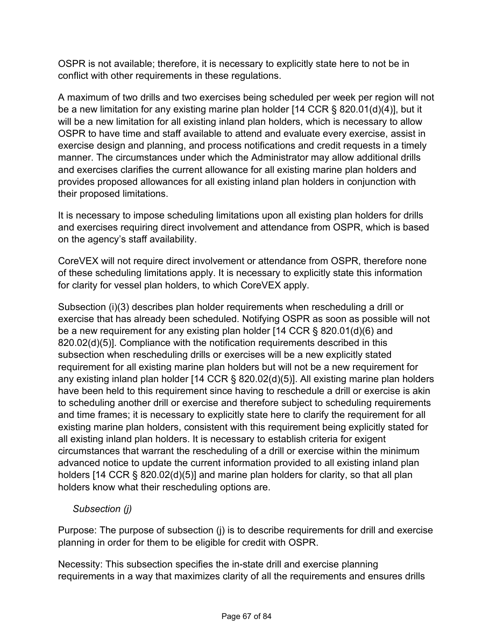OSPR is not available; therefore, it is necessary to explicitly state here to not be in conflict with other requirements in these regulations.

A maximum of two drills and two exercises being scheduled per week per region will not be a new limitation for any existing marine plan holder [14 CCR § 820.01(d)(4)], but it will be a new limitation for all existing inland plan holders, which is necessary to allow OSPR to have time and staff available to attend and evaluate every exercise, assist in exercise design and planning, and process notifications and credit requests in a timely manner. The circumstances under which the Administrator may allow additional drills and exercises clarifies the current allowance for all existing marine plan holders and provides proposed allowances for all existing inland plan holders in conjunction with their proposed limitations.

It is necessary to impose scheduling limitations upon all existing plan holders for drills and exercises requiring direct involvement and attendance from OSPR, which is based on the agency's staff availability.

CoreVEX will not require direct involvement or attendance from OSPR, therefore none of these scheduling limitations apply. It is necessary to explicitly state this information for clarity for vessel plan holders, to which CoreVEX apply.

Subsection (i)(3) describes plan holder requirements when rescheduling a drill or exercise that has already been scheduled. Notifying OSPR as soon as possible will not be a new requirement for any existing plan holder [14 CCR § 820.01(d)(6) and 820.02(d)(5)]. Compliance with the notification requirements described in this subsection when rescheduling drills or exercises will be a new explicitly stated requirement for all existing marine plan holders but will not be a new requirement for any existing inland plan holder [14 CCR § 820.02(d)(5)]. All existing marine plan holders have been held to this requirement since having to reschedule a drill or exercise is akin to scheduling another drill or exercise and therefore subject to scheduling requirements and time frames; it is necessary to explicitly state here to clarify the requirement for all existing marine plan holders, consistent with this requirement being explicitly stated for all existing inland plan holders. It is necessary to establish criteria for exigent circumstances that warrant the rescheduling of a drill or exercise within the minimum advanced notice to update the current information provided to all existing inland plan holders [14 CCR § 820.02(d)(5)] and marine plan holders for clarity, so that all plan holders know what their rescheduling options are.

#### *Subsection (j)*

Purpose: The purpose of subsection (j) is to describe requirements for drill and exercise planning in order for them to be eligible for credit with OSPR.

Necessity: This subsection specifies the in-state drill and exercise planning requirements in a way that maximizes clarity of all the requirements and ensures drills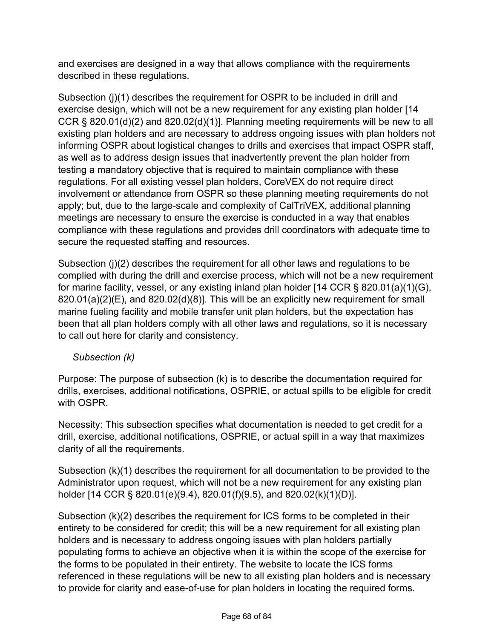and exercises are designed in a way that allows compliance with the requirements described in these regulations.

Subsection (j)(1) describes the requirement for OSPR to be included in drill and exercise design, which will not be a new requirement for any existing plan holder [14 CCR § 820.01(d)(2) and 820.02(d)(1)]. Planning meeting requirements will be new to all existing plan holders and are necessary to address ongoing issues with plan holders not informing OSPR about logistical changes to drills and exercises that impact OSPR staff, as well as to address design issues that inadvertently prevent the plan holder from testing a mandatory objective that is required to maintain compliance with these regulations. For all existing vessel plan holders, CoreVEX do not require direct involvement or attendance from OSPR so these planning meeting requirements do not apply; but, due to the large-scale and complexity of CalTriVEX, additional planning meetings are necessary to ensure the exercise is conducted in a way that enables compliance with these regulations and provides drill coordinators with adequate time to secure the requested staffing and resources.

Subsection (j)(2) describes the requirement for all other laws and regulations to be complied with during the drill and exercise process, which will not be a new requirement for marine facility, vessel, or any existing inland plan holder [14 CCR § 820.01(a)(1)(G), 820.01(a)(2)(E), and 820.02(d)(8)]. This will be an explicitly new requirement for small marine fueling facility and mobile transfer unit plan holders, but the expectation has been that all plan holders comply with all other laws and regulations, so it is necessary to call out here for clarity and consistency.

#### *Subsection (k)*

Purpose: The purpose of subsection (k) is to describe the documentation required for drills, exercises, additional notifications, OSPRIE, or actual spills to be eligible for credit with OSPR

Necessity: This subsection specifies what documentation is needed to get credit for a drill, exercise, additional notifications, OSPRIE, or actual spill in a way that maximizes clarity of all the requirements.

Subsection (k)(1) describes the requirement for all documentation to be provided to the Administrator upon request, which will not be a new requirement for any existing plan holder [14 CCR § 820.01(e)(9.4), 820.01(f)(9.5), and 820.02(k)(1)(D)].

Subsection (k)(2) describes the requirement for ICS forms to be completed in their entirety to be considered for credit; this will be a new requirement for all existing plan holders and is necessary to address ongoing issues with plan holders partially populating forms to achieve an objective when it is within the scope of the exercise for the forms to be populated in their entirety. The website to locate the ICS forms referenced in these regulations will be new to all existing plan holders and is necessary to provide for clarity and ease-of-use for plan holders in locating the required forms.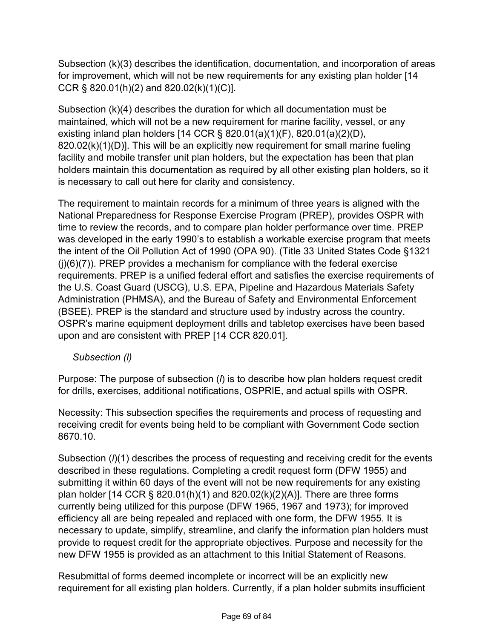Subsection (k)(3) describes the identification, documentation, and incorporation of areas for improvement, which will not be new requirements for any existing plan holder [14 CCR § 820.01(h)(2) and 820.02(k)(1)(C)].

Subsection (k)(4) describes the duration for which all documentation must be maintained, which will not be a new requirement for marine facility, vessel, or any existing inland plan holders [14 CCR § 820.01(a)(1)(F), 820.01(a)(2)(D), 820.02(k)(1)(D)]. This will be an explicitly new requirement for small marine fueling facility and mobile transfer unit plan holders, but the expectation has been that plan holders maintain this documentation as required by all other existing plan holders, so it is necessary to call out here for clarity and consistency.

The requirement to maintain records for a minimum of three years is aligned with the National Preparedness for Response Exercise Program (PREP), provides OSPR with time to review the records, and to compare plan holder performance over time. PREP was developed in the early 1990's to establish a workable exercise program that meets the intent of the Oil Pollution Act of 1990 (OPA 90). (Title 33 United States Code §1321  $(i)(6)(7)$ ). PREP provides a mechanism for compliance with the federal exercise requirements. PREP is a unified federal effort and satisfies the exercise requirements of the U.S. Coast Guard (USCG), U.S. EPA, Pipeline and Hazardous Materials Safety Administration (PHMSA), and the Bureau of Safety and Environmental Enforcement (BSEE). PREP is the standard and structure used by industry across the country. OSPR's marine equipment deployment drills and tabletop exercises have been based upon and are consistent with PREP [14 CCR 820.01].

## *Subsection (l)*

Purpose: The purpose of subsection (*l*) is to describe how plan holders request credit for drills, exercises, additional notifications, OSPRIE, and actual spills with OSPR.

Necessity: This subsection specifies the requirements and process of requesting and receiving credit for events being held to be compliant with Government Code section 8670.10.

Subsection (*l*)(1) describes the process of requesting and receiving credit for the events described in these regulations. Completing a credit request form (DFW 1955) and submitting it within 60 days of the event will not be new requirements for any existing plan holder [14 CCR § 820.01(h)(1) and 820.02(k)(2)(A)]. There are three forms currently being utilized for this purpose (DFW 1965, 1967 and 1973); for improved efficiency all are being repealed and replaced with one form, the DFW 1955. It is necessary to update, simplify, streamline, and clarify the information plan holders must provide to request credit for the appropriate objectives. Purpose and necessity for the new DFW 1955 is provided as an attachment to this Initial Statement of Reasons.

Resubmittal of forms deemed incomplete or incorrect will be an explicitly new requirement for all existing plan holders. Currently, if a plan holder submits insufficient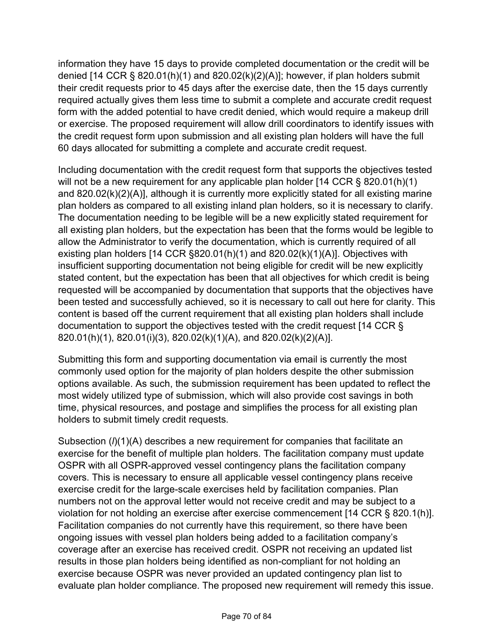information they have 15 days to provide completed documentation or the credit will be denied [14 CCR § 820.01(h)(1) and 820.02(k)(2)(A)]; however, if plan holders submit their credit requests prior to 45 days after the exercise date, then the 15 days currently required actually gives them less time to submit a complete and accurate credit request form with the added potential to have credit denied, which would require a makeup drill or exercise. The proposed requirement will allow drill coordinators to identify issues with the credit request form upon submission and all existing plan holders will have the full 60 days allocated for submitting a complete and accurate credit request.

Including documentation with the credit request form that supports the objectives tested will not be a new requirement for any applicable plan holder [14 CCR § 820.01(h)(1) and 820.02(k)(2)(A)], although it is currently more explicitly stated for all existing marine plan holders as compared to all existing inland plan holders, so it is necessary to clarify. The documentation needing to be legible will be a new explicitly stated requirement for all existing plan holders, but the expectation has been that the forms would be legible to allow the Administrator to verify the documentation, which is currently required of all existing plan holders [14 CCR §820.01(h)(1) and 820.02(k)(1)(A)]. Objectives with insufficient supporting documentation not being eligible for credit will be new explicitly stated content, but the expectation has been that all objectives for which credit is being requested will be accompanied by documentation that supports that the objectives have been tested and successfully achieved, so it is necessary to call out here for clarity. This content is based off the current requirement that all existing plan holders shall include documentation to support the objectives tested with the credit request [14 CCR § 820.01(h)(1), 820.01(i)(3), 820.02(k)(1)(A), and 820.02(k)(2)(A)].

Submitting this form and supporting documentation via email is currently the most commonly used option for the majority of plan holders despite the other submission options available. As such, the submission requirement has been updated to reflect the most widely utilized type of submission, which will also provide cost savings in both time, physical resources, and postage and simplifies the process for all existing plan holders to submit timely credit requests.

Subsection ( $\ell$ )(1)(A) describes a new requirement for companies that facilitate an exercise for the benefit of multiple plan holders. The facilitation company must update OSPR with all OSPR-approved vessel contingency plans the facilitation company covers. This is necessary to ensure all applicable vessel contingency plans receive exercise credit for the large-scale exercises held by facilitation companies. Plan numbers not on the approval letter would not receive credit and may be subject to a violation for not holding an exercise after exercise commencement [14 CCR § 820.1(h)]. Facilitation companies do not currently have this requirement, so there have been ongoing issues with vessel plan holders being added to a facilitation company's coverage after an exercise has received credit. OSPR not receiving an updated list results in those plan holders being identified as non-compliant for not holding an exercise because OSPR was never provided an updated contingency plan list to evaluate plan holder compliance. The proposed new requirement will remedy this issue.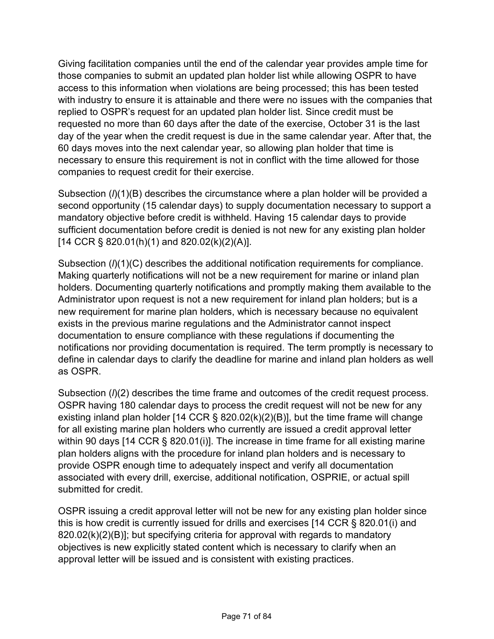Giving facilitation companies until the end of the calendar year provides ample time for those companies to submit an updated plan holder list while allowing OSPR to have access to this information when violations are being processed; this has been tested with industry to ensure it is attainable and there were no issues with the companies that replied to OSPR's request for an updated plan holder list. Since credit must be requested no more than 60 days after the date of the exercise, October 31 is the last day of the year when the credit request is due in the same calendar year. After that, the 60 days moves into the next calendar year, so allowing plan holder that time is necessary to ensure this requirement is not in conflict with the time allowed for those companies to request credit for their exercise.

Subsection (*l*)(1)(B) describes the circumstance where a plan holder will be provided a second opportunity (15 calendar days) to supply documentation necessary to support a mandatory objective before credit is withheld. Having 15 calendar days to provide sufficient documentation before credit is denied is not new for any existing plan holder  $[14 \text{ CCR}$  § 820.01(h)(1) and 820.02(k)(2)(A)].

Subsection ( $\ell$ )(1)(C) describes the additional notification requirements for compliance. Making quarterly notifications will not be a new requirement for marine or inland plan holders. Documenting quarterly notifications and promptly making them available to the Administrator upon request is not a new requirement for inland plan holders; but is a new requirement for marine plan holders, which is necessary because no equivalent exists in the previous marine regulations and the Administrator cannot inspect documentation to ensure compliance with these regulations if documenting the notifications nor providing documentation is required. The term promptly is necessary to define in calendar days to clarify the deadline for marine and inland plan holders as well as OSPR.

Subsection ( $\ell$ )(2) describes the time frame and outcomes of the credit request process. OSPR having 180 calendar days to process the credit request will not be new for any existing inland plan holder [14 CCR  $\S$  820.02(k)(2)(B)], but the time frame will change for all existing marine plan holders who currently are issued a credit approval letter within 90 days [14 CCR § 820.01(i)]. The increase in time frame for all existing marine plan holders aligns with the procedure for inland plan holders and is necessary to provide OSPR enough time to adequately inspect and verify all documentation associated with every drill, exercise, additional notification, OSPRIE, or actual spill submitted for credit.

OSPR issuing a credit approval letter will not be new for any existing plan holder since this is how credit is currently issued for drills and exercises [14 CCR § 820.01(i) and 820.02(k)(2)(B)]; but specifying criteria for approval with regards to mandatory objectives is new explicitly stated content which is necessary to clarify when an approval letter will be issued and is consistent with existing practices.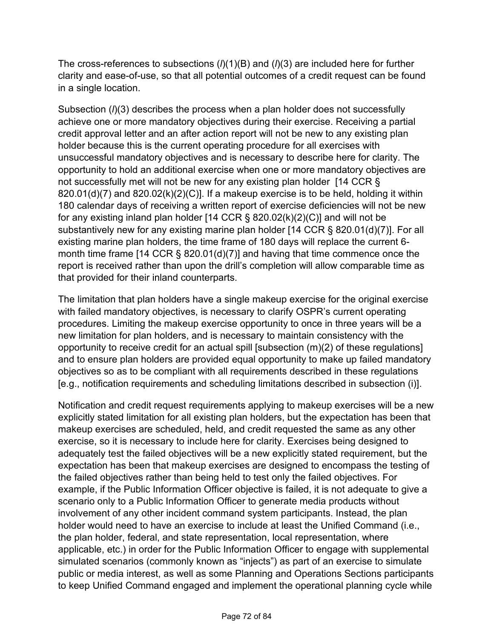The cross-references to subsections (*l*)(1)(B) and (*l*)(3) are included here for further clarity and ease-of-use, so that all potential outcomes of a credit request can be found in a single location.

Subsection (*l*)(3) describes the process when a plan holder does not successfully achieve one or more mandatory objectives during their exercise. Receiving a partial credit approval letter and an after action report will not be new to any existing plan holder because this is the current operating procedure for all exercises with unsuccessful mandatory objectives and is necessary to describe here for clarity. The opportunity to hold an additional exercise when one or more mandatory objectives are not successfully met will not be new for any existing plan holder [14 CCR §  $820.01(d)(7)$  and  $820.02(k)(2)(C)$ ]. If a makeup exercise is to be held, holding it within 180 calendar days of receiving a written report of exercise deficiencies will not be new for any existing inland plan holder  $[14$  CCR § 820.02(k)(2)(C)] and will not be substantively new for any existing marine plan holder [14 CCR § 820.01(d)(7)]. For all existing marine plan holders, the time frame of 180 days will replace the current 6 month time frame [14 CCR § 820.01(d)(7)] and having that time commence once the report is received rather than upon the drill's completion will allow comparable time as that provided for their inland counterparts.

The limitation that plan holders have a single makeup exercise for the original exercise with failed mandatory objectives, is necessary to clarify OSPR's current operating procedures. Limiting the makeup exercise opportunity to once in three years will be a new limitation for plan holders, and is necessary to maintain consistency with the opportunity to receive credit for an actual spill [subsection (m)(2) of these regulations] and to ensure plan holders are provided equal opportunity to make up failed mandatory objectives so as to be compliant with all requirements described in these regulations [e.g., notification requirements and scheduling limitations described in subsection (i)].

Notification and credit request requirements applying to makeup exercises will be a new explicitly stated limitation for all existing plan holders, but the expectation has been that makeup exercises are scheduled, held, and credit requested the same as any other exercise, so it is necessary to include here for clarity. Exercises being designed to adequately test the failed objectives will be a new explicitly stated requirement, but the expectation has been that makeup exercises are designed to encompass the testing of the failed objectives rather than being held to test only the failed objectives. For example, if the Public Information Officer objective is failed, it is not adequate to give a scenario only to a Public Information Officer to generate media products without involvement of any other incident command system participants. Instead, the plan holder would need to have an exercise to include at least the Unified Command (i.e., the plan holder, federal, and state representation, local representation, where applicable, etc.) in order for the Public Information Officer to engage with supplemental simulated scenarios (commonly known as "injects") as part of an exercise to simulate public or media interest, as well as some Planning and Operations Sections participants to keep Unified Command engaged and implement the operational planning cycle while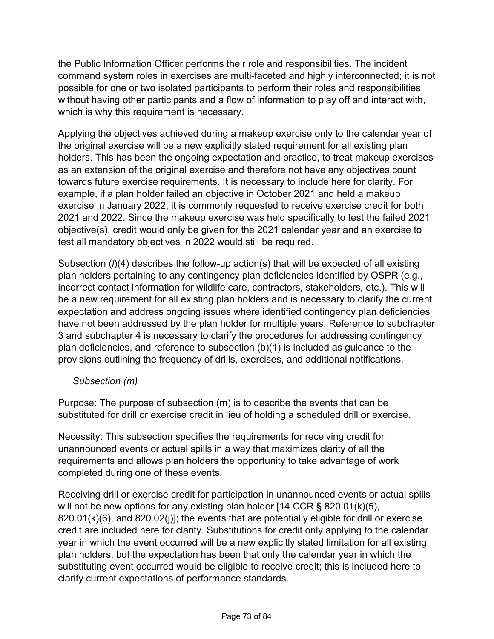the Public Information Officer performs their role and responsibilities. The incident command system roles in exercises are multi-faceted and highly interconnected; it is not possible for one or two isolated participants to perform their roles and responsibilities without having other participants and a flow of information to play off and interact with, which is why this requirement is necessary.

Applying the objectives achieved during a makeup exercise only to the calendar year of the original exercise will be a new explicitly stated requirement for all existing plan holders. This has been the ongoing expectation and practice, to treat makeup exercises as an extension of the original exercise and therefore not have any objectives count towards future exercise requirements. It is necessary to include here for clarity. For example, if a plan holder failed an objective in October 2021 and held a makeup exercise in January 2022, it is commonly requested to receive exercise credit for both 2021 and 2022. Since the makeup exercise was held specifically to test the failed 2021 objective(s), credit would only be given for the 2021 calendar year and an exercise to test all mandatory objectives in 2022 would still be required.

Subsection (*l*)(4) describes the follow-up action(s) that will be expected of all existing plan holders pertaining to any contingency plan deficiencies identified by OSPR (e.g., incorrect contact information for wildlife care, contractors, stakeholders, etc.). This will be a new requirement for all existing plan holders and is necessary to clarify the current expectation and address ongoing issues where identified contingency plan deficiencies have not been addressed by the plan holder for multiple years. Reference to subchapter 3 and subchapter 4 is necessary to clarify the procedures for addressing contingency plan deficiencies, and reference to subsection (b)(1) is included as guidance to the provisions outlining the frequency of drills, exercises, and additional notifications.

## *Subsection (m)*

Purpose: The purpose of subsection (m) is to describe the events that can be substituted for drill or exercise credit in lieu of holding a scheduled drill or exercise.

Necessity: This subsection specifies the requirements for receiving credit for unannounced events or actual spills in a way that maximizes clarity of all the requirements and allows plan holders the opportunity to take advantage of work completed during one of these events.

Receiving drill or exercise credit for participation in unannounced events or actual spills will not be new options for any existing plan holder  $[14 \text{ CCR } \S 820.01(k)(5)]$ 820.01(k)(6), and 820.02(j)]; the events that are potentially eligible for drill or exercise credit are included here for clarity. Substitutions for credit only applying to the calendar year in which the event occurred will be a new explicitly stated limitation for all existing plan holders, but the expectation has been that only the calendar year in which the substituting event occurred would be eligible to receive credit; this is included here to clarify current expectations of performance standards.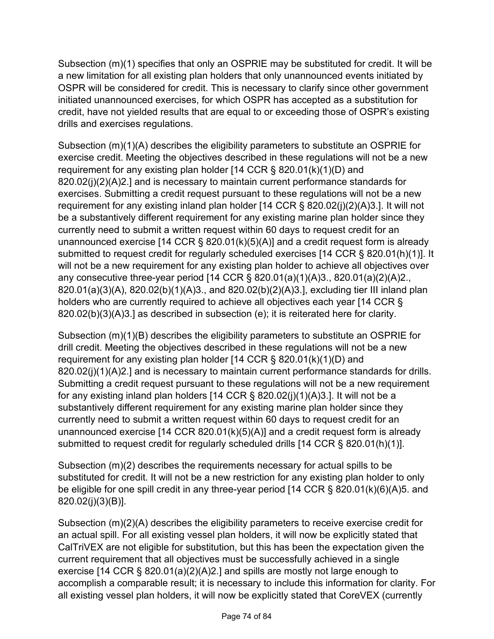Subsection (m)(1) specifies that only an OSPRIE may be substituted for credit. It will be a new limitation for all existing plan holders that only unannounced events initiated by OSPR will be considered for credit. This is necessary to clarify since other government initiated unannounced exercises, for which OSPR has accepted as a substitution for credit, have not yielded results that are equal to or exceeding those of OSPR's existing drills and exercises regulations.

Subsection (m)(1)(A) describes the eligibility parameters to substitute an OSPRIE for exercise credit. Meeting the objectives described in these regulations will not be a new requirement for any existing plan holder [14 CCR § 820.01(k)(1)(D) and 820.02(j)(2)(A)2.] and is necessary to maintain current performance standards for exercises. Submitting a credit request pursuant to these regulations will not be a new requirement for any existing inland plan holder [14 CCR § 820.02(j)(2)(A)3.]. It will not be a substantively different requirement for any existing marine plan holder since they currently need to submit a written request within 60 days to request credit for an unannounced exercise [14 CCR  $\S$  820.01(k)(5)(A)] and a credit request form is already submitted to request credit for regularly scheduled exercises [14 CCR § 820.01(h)(1)]. It will not be a new requirement for any existing plan holder to achieve all objectives over any consecutive three-year period [14 CCR § 820.01(a)(1)(A)3., 820.01(a)(2)(A)2., 820.01(a)(3)(A), 820.02(b)(1)(A)3., and 820.02(b)(2)(A)3.], excluding tier III inland plan holders who are currently required to achieve all objectives each year [14 CCR § 820.02(b)(3)(A)3.] as described in subsection (e); it is reiterated here for clarity.

Subsection (m)(1)(B) describes the eligibility parameters to substitute an OSPRIE for drill credit. Meeting the objectives described in these regulations will not be a new requirement for any existing plan holder [14 CCR § 820.01(k)(1)(D) and 820.02(j)(1)(A)2.] and is necessary to maintain current performance standards for drills. Submitting a credit request pursuant to these regulations will not be a new requirement for any existing inland plan holders [14 CCR § 820.02(j)(1)(A)3.]. It will not be a substantively different requirement for any existing marine plan holder since they currently need to submit a written request within 60 days to request credit for an unannounced exercise [14 CCR 820.01(k)(5)(A)] and a credit request form is already submitted to request credit for regularly scheduled drills [14 CCR § 820.01(h)(1)].

Subsection (m)(2) describes the requirements necessary for actual spills to be substituted for credit. It will not be a new restriction for any existing plan holder to only be eligible for one spill credit in any three-year period [14 CCR § 820.01(k)(6)(A)5. and 820.02(j)(3)(B)].

Subsection (m)(2)(A) describes the eligibility parameters to receive exercise credit for an actual spill. For all existing vessel plan holders, it will now be explicitly stated that CalTriVEX are not eligible for substitution, but this has been the expectation given the current requirement that all objectives must be successfully achieved in a single exercise [14 CCR § 820.01(a)(2)(A)2.] and spills are mostly not large enough to accomplish a comparable result; it is necessary to include this information for clarity. For all existing vessel plan holders, it will now be explicitly stated that CoreVEX (currently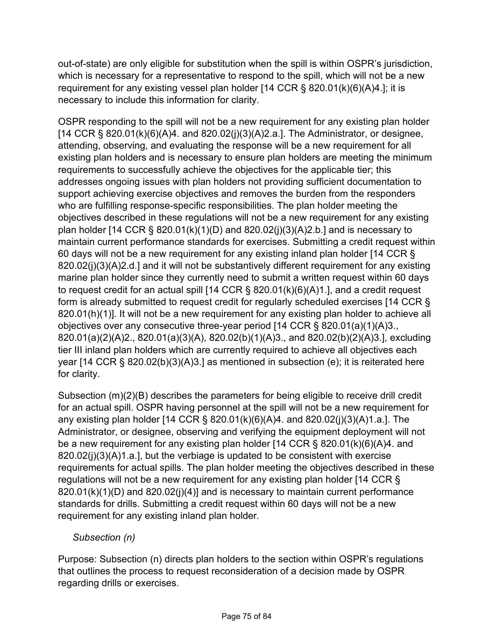out-of-state) are only eligible for substitution when the spill is within OSPR's jurisdiction, which is necessary for a representative to respond to the spill, which will not be a new requirement for any existing vessel plan holder [14 CCR § 820.01(k)(6)(A)4.]; it is necessary to include this information for clarity.

OSPR responding to the spill will not be a new requirement for any existing plan holder  $[14$  CCR § 820.01(k)(6)(A)4. and 820.02(j)(3)(A)2.a.]. The Administrator, or designee, attending, observing, and evaluating the response will be a new requirement for all existing plan holders and is necessary to ensure plan holders are meeting the minimum requirements to successfully achieve the objectives for the applicable tier; this addresses ongoing issues with plan holders not providing sufficient documentation to support achieving exercise objectives and removes the burden from the responders who are fulfilling response-specific responsibilities. The plan holder meeting the objectives described in these regulations will not be a new requirement for any existing plan holder [14 CCR § 820.01(k)(1)(D) and 820.02(j)(3)(A)2.b.] and is necessary to maintain current performance standards for exercises. Submitting a credit request within 60 days will not be a new requirement for any existing inland plan holder [14 CCR § 820.02(j)(3)(A)2.d.] and it will not be substantively different requirement for any existing marine plan holder since they currently need to submit a written request within 60 days to request credit for an actual spill [14 CCR § 820.01(k)(6)(A)1.], and a credit request form is already submitted to request credit for regularly scheduled exercises [14 CCR § 820.01(h)(1)]. It will not be a new requirement for any existing plan holder to achieve all objectives over any consecutive three-year period [14 CCR § 820.01(a)(1)(A)3., 820.01(a)(2)(A)2., 820.01(a)(3)(A), 820.02(b)(1)(A)3., and 820.02(b)(2)(A)3.], excluding tier III inland plan holders which are currently required to achieve all objectives each year [14 CCR § 820.02(b)(3)(A)3.] as mentioned in subsection (e); it is reiterated here for clarity.

Subsection (m)(2)(B) describes the parameters for being eligible to receive drill credit for an actual spill. OSPR having personnel at the spill will not be a new requirement for any existing plan holder [14 CCR § 820.01(k)(6)(A)4. and 820.02(j)(3)(A)1.a.]. The Administrator, or designee, observing and verifying the equipment deployment will not be a new requirement for any existing plan holder [14 CCR § 820.01(k)(6)(A)4. and 820.02(j)(3)(A)1.a.], but the verbiage is updated to be consistent with exercise requirements for actual spills. The plan holder meeting the objectives described in these regulations will not be a new requirement for any existing plan holder [14 CCR § 820.01(k)(1)(D) and 820.02(j)(4)] and is necessary to maintain current performance standards for drills. Submitting a credit request within 60 days will not be a new requirement for any existing inland plan holder.

## *Subsection (n)*

Purpose: Subsection (n) directs plan holders to the section within OSPR's regulations that outlines the process to request reconsideration of a decision made by OSPR regarding drills or exercises.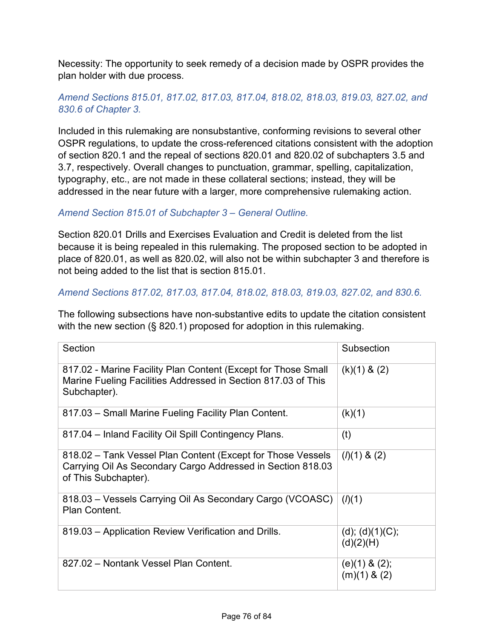Necessity: The opportunity to seek remedy of a decision made by OSPR provides the plan holder with due process.

# *Amend Sections 815.01, 817.02, 817.03, 817.04, 818.02, 818.03, 819.03, 827.02, and 830.6 of Chapter 3.*

Included in this rulemaking are nonsubstantive, conforming revisions to several other OSPR regulations, to update the cross-referenced citations consistent with the adoption of section 820.1 and the repeal of sections 820.01 and 820.02 of subchapters 3.5 and 3.7, respectively. Overall changes to punctuation, grammar, spelling, capitalization, typography, etc., are not made in these collateral sections; instead, they will be addressed in the near future with a larger, more comprehensive rulemaking action.

## *Amend Section 815.01 of Subchapter 3 – General Outline.*

Section 820.01 Drills and Exercises Evaluation and Credit is deleted from the list because it is being repealed in this rulemaking. The proposed section to be adopted in place of 820.01, as well as 820.02, will also not be within subchapter 3 and therefore is not being added to the list that is section 815.01.

## *Amend Sections 817.02, 817.03, 817.04, 818.02, 818.03, 819.03, 827.02, and 830.6.*

The following subsections have non-substantive edits to update the citation consistent with the new section (§ 820.1) proposed for adoption in this rulemaking.

| Section                                                                                                                                            | Subsection                             |
|----------------------------------------------------------------------------------------------------------------------------------------------------|----------------------------------------|
| 817.02 - Marine Facility Plan Content (Except for Those Small<br>Marine Fueling Facilities Addressed in Section 817.03 of This<br>Subchapter).     | $(k)(1)$ & $(2)$                       |
| 817.03 - Small Marine Fueling Facility Plan Content.                                                                                               | (k)(1)                                 |
| 817.04 - Inland Facility Oil Spill Contingency Plans.                                                                                              | (t)                                    |
| 818.02 - Tank Vessel Plan Content (Except for Those Vessels<br>Carrying Oil As Secondary Cargo Addressed in Section 818.03<br>of This Subchapter). | $(l)(1)$ & $(2)$                       |
| 818.03 – Vessels Carrying Oil As Secondary Cargo (VCOASC)<br>Plan Content.                                                                         | (l)(1)                                 |
| 819.03 - Application Review Verification and Drills.                                                                                               | (d); (d)(1)(C);<br>(d)(2)(H)           |
| 827.02 - Nontank Vessel Plan Content.                                                                                                              | $(e)(1)$ & $(2)$ ;<br>$(m)(1)$ & $(2)$ |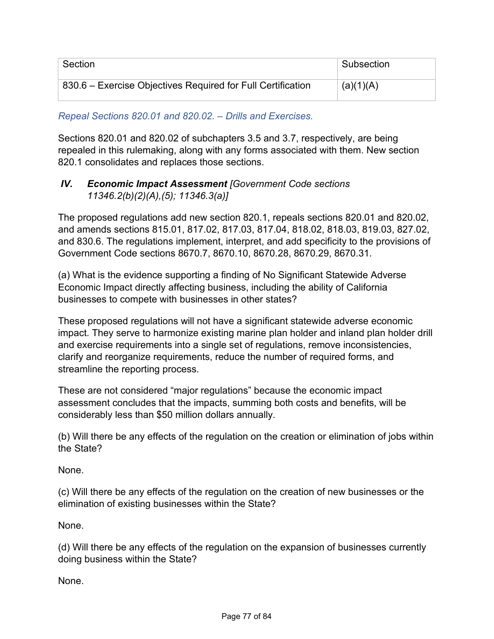| Section                                                     | Subsection |
|-------------------------------------------------------------|------------|
| 830.6 – Exercise Objectives Required for Full Certification | (a)(1)(A)  |

*Repeal Sections 820.01 and 820.02. – Drills and Exercises.*

Sections 820.01 and 820.02 of subchapters 3.5 and 3.7, respectively, are being repealed in this rulemaking, along with any forms associated with them. New section 820.1 consolidates and replaces those sections.

## *IV. Economic Impact Assessment [Government Code sections 11346.2(b)(2)(A),(5); 11346.3(a)]*

The proposed regulations add new section 820.1, repeals sections 820.01 and 820.02, and amends sections 815.01, 817.02, 817.03, 817.04, 818.02, 818.03, 819.03, 827.02, and 830.6. The regulations implement, interpret, and add specificity to the provisions of Government Code sections 8670.7, 8670.10, 8670.28, 8670.29, 8670.31.

(a) What is the evidence supporting a finding of No Significant Statewide Adverse Economic Impact directly affecting business, including the ability of California businesses to compete with businesses in other states?

These proposed regulations will not have a significant statewide adverse economic impact. They serve to harmonize existing marine plan holder and inland plan holder drill and exercise requirements into a single set of regulations, remove inconsistencies, clarify and reorganize requirements, reduce the number of required forms, and streamline the reporting process.

These are not considered "major regulations" because the economic impact assessment concludes that the impacts, summing both costs and benefits, will be considerably less than \$50 million dollars annually.

(b) Will there be any effects of the regulation on the creation or elimination of jobs within the State?

None.

(c) Will there be any effects of the regulation on the creation of new businesses or the elimination of existing businesses within the State?

None.

(d) Will there be any effects of the regulation on the expansion of businesses currently doing business within the State?

None.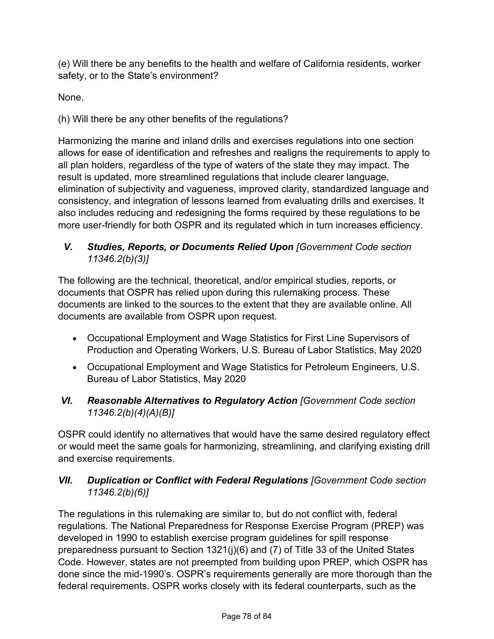(e) Will there be any benefits to the health and welfare of California residents, worker safety, or to the State's environment?

None.

(h) Will there be any other benefits of the regulations?

Harmonizing the marine and inland drills and exercises regulations into one section allows for ease of identification and refreshes and realigns the requirements to apply to all plan holders, regardless of the type of waters of the state they may impact. The result is updated, more streamlined regulations that include clearer language, elimination of subjectivity and vagueness, improved clarity, standardized language and consistency, and integration of lessons learned from evaluating drills and exercises. It also includes reducing and redesigning the forms required by these regulations to be more user-friendly for both OSPR and its regulated which in turn increases efficiency.

# *V. Studies, Reports, or Documents Relied Upon [Government Code section 11346.2(b)(3)]*

The following are the technical, theoretical, and/or empirical studies, reports, or documents that OSPR has relied upon during this rulemaking process. These documents are linked to the sources to the extent that they are available online. All documents are available from OSPR upon request.

- Occupational Employment and Wage Statistics for First Line Supervisors of Production and Operating Workers, U.S. Bureau of Labor Statistics, May 2020
- Occupational Employment and Wage Statistics for Petroleum Engineers, U.S. Bureau of Labor Statistics, May 2020
- *VI. Reasonable Alternatives to Regulatory Action [Government Code section 11346.2(b)(4)(A)(B)]*

OSPR could identify no alternatives that would have the same desired regulatory effect or would meet the same goals for harmonizing, streamlining, and clarifying existing drill and exercise requirements.

# *VII. Duplication or Conflict with Federal Regulations [Government Code section 11346.2(b)(6)]*

The regulations in this rulemaking are similar to, but do not conflict with, federal regulations. The National Preparedness for Response Exercise Program (PREP) was developed in 1990 to establish exercise program guidelines for spill response preparedness pursuant to Section 1321(j)(6) and (7) of Title 33 of the United States Code. However, states are not preempted from building upon PREP, which OSPR has done since the mid-1990's. OSPR's requirements generally are more thorough than the federal requirements. OSPR works closely with its federal counterparts, such as the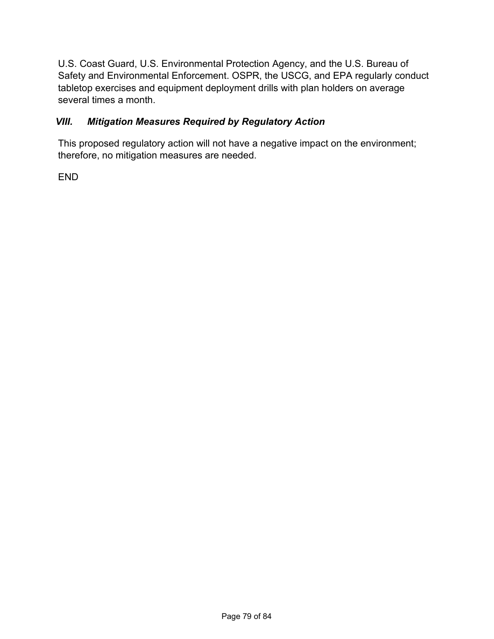U.S. Coast Guard, U.S. Environmental Protection Agency, and the U.S. Bureau of Safety and Environmental Enforcement. OSPR, the USCG, and EPA regularly conduct tabletop exercises and equipment deployment drills with plan holders on average several times a month.

# *VIII. Mitigation Measures Required by Regulatory Action*

This proposed regulatory action will not have a negative impact on the environment; therefore, no mitigation measures are needed.

END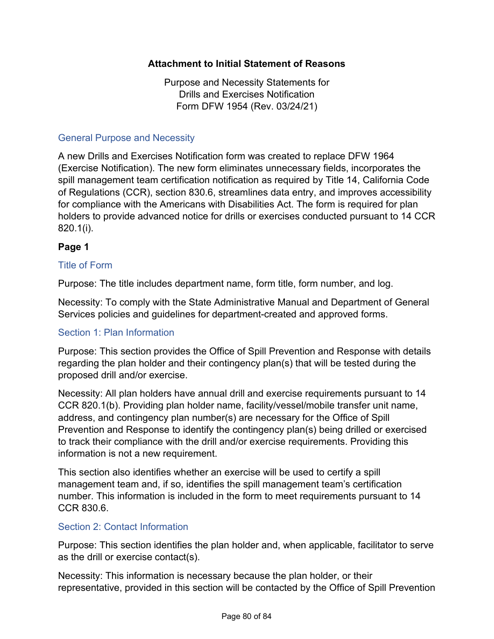## **Attachment to Initial Statement of Reasons**

Purpose and Necessity Statements for Drills and Exercises Notification Form DFW 1954 (Rev. 03/24/21)

#### General Purpose and Necessity

A new Drills and Exercises Notification form was created to replace DFW 1964 (Exercise Notification). The new form eliminates unnecessary fields, incorporates the spill management team certification notification as required by Title 14, California Code of Regulations (CCR), section 830.6, streamlines data entry, and improves accessibility for compliance with the Americans with Disabilities Act. The form is required for plan holders to provide advanced notice for drills or exercises conducted pursuant to 14 CCR 820.1(i).

## **Page 1**

### Title of Form

Purpose: The title includes department name, form title, form number, and log.

Necessity: To comply with the State Administrative Manual and Department of General Services policies and guidelines for department-created and approved forms.

### Section 1: Plan Information

Purpose: This section provides the Office of Spill Prevention and Response with details regarding the plan holder and their contingency plan(s) that will be tested during the proposed drill and/or exercise.

Necessity: All plan holders have annual drill and exercise requirements pursuant to 14 CCR 820.1(b). Providing plan holder name, facility/vessel/mobile transfer unit name, address, and contingency plan number(s) are necessary for the Office of Spill Prevention and Response to identify the contingency plan(s) being drilled or exercised to track their compliance with the drill and/or exercise requirements. Providing this information is not a new requirement.

This section also identifies whether an exercise will be used to certify a spill management team and, if so, identifies the spill management team's certification number. This information is included in the form to meet requirements pursuant to 14 CCR 830.6.

### Section 2: Contact Information

Purpose: This section identifies the plan holder and, when applicable, facilitator to serve as the drill or exercise contact(s).

Necessity: This information is necessary because the plan holder, or their representative, provided in this section will be contacted by the Office of Spill Prevention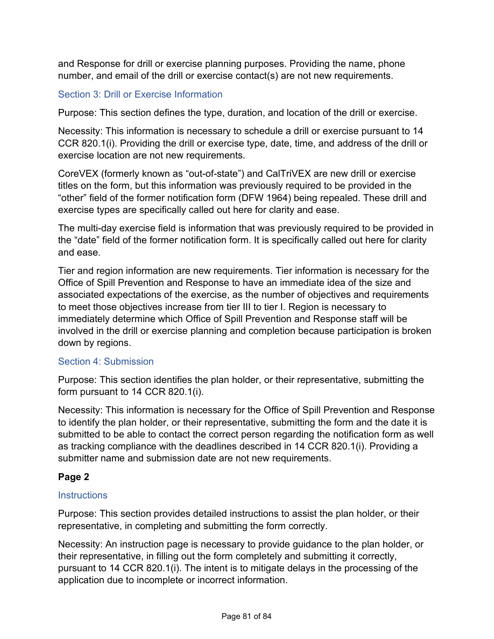and Response for drill or exercise planning purposes. Providing the name, phone number, and email of the drill or exercise contact(s) are not new requirements.

## Section 3: Drill or Exercise Information

Purpose: This section defines the type, duration, and location of the drill or exercise.

Necessity: This information is necessary to schedule a drill or exercise pursuant to 14 CCR 820.1(i). Providing the drill or exercise type, date, time, and address of the drill or exercise location are not new requirements.

CoreVEX (formerly known as "out-of-state") and CalTriVEX are new drill or exercise titles on the form, but this information was previously required to be provided in the "other" field of the former notification form (DFW 1964) being repealed. These drill and exercise types are specifically called out here for clarity and ease.

The multi-day exercise field is information that was previously required to be provided in the "date" field of the former notification form. It is specifically called out here for clarity and ease.

Tier and region information are new requirements. Tier information is necessary for the Office of Spill Prevention and Response to have an immediate idea of the size and associated expectations of the exercise, as the number of objectives and requirements to meet those objectives increase from tier III to tier I. Region is necessary to immediately determine which Office of Spill Prevention and Response staff will be involved in the drill or exercise planning and completion because participation is broken down by regions.

### Section 4: Submission

Purpose: This section identifies the plan holder, or their representative, submitting the form pursuant to 14 CCR 820.1(i).

Necessity: This information is necessary for the Office of Spill Prevention and Response to identify the plan holder, or their representative, submitting the form and the date it is submitted to be able to contact the correct person regarding the notification form as well as tracking compliance with the deadlines described in 14 CCR 820.1(i). Providing a submitter name and submission date are not new requirements.

## **Page 2**

### **Instructions**

Purpose: This section provides detailed instructions to assist the plan holder, or their representative, in completing and submitting the form correctly.

Necessity: An instruction page is necessary to provide guidance to the plan holder, or their representative, in filling out the form completely and submitting it correctly, pursuant to 14 CCR 820.1(i). The intent is to mitigate delays in the processing of the application due to incomplete or incorrect information.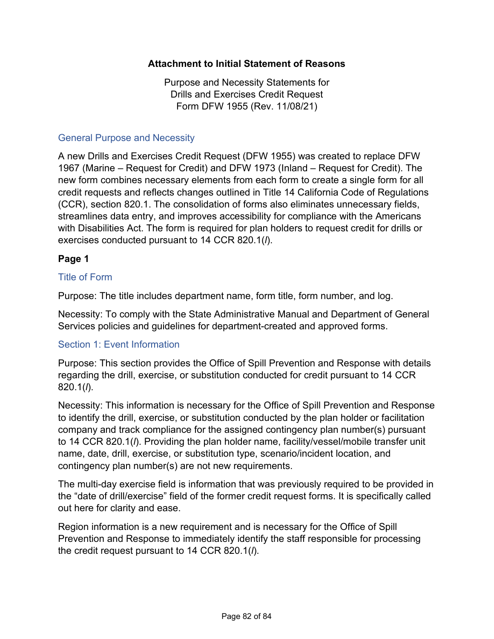### **Attachment to Initial Statement of Reasons**

Purpose and Necessity Statements for Drills and Exercises Credit Request Form DFW 1955 (Rev. 11/08/21)

#### General Purpose and Necessity

A new Drills and Exercises Credit Request (DFW 1955) was created to replace DFW 1967 (Marine – Request for Credit) and DFW 1973 (Inland – Request for Credit). The new form combines necessary elements from each form to create a single form for all credit requests and reflects changes outlined in Title 14 California Code of Regulations (CCR), section 820.1. The consolidation of forms also eliminates unnecessary fields, streamlines data entry, and improves accessibility for compliance with the Americans with Disabilities Act. The form is required for plan holders to request credit for drills or exercises conducted pursuant to 14 CCR 820.1(*l*).

### **Page 1**

### Title of Form

Purpose: The title includes department name, form title, form number, and log.

Necessity: To comply with the State Administrative Manual and Department of General Services policies and guidelines for department-created and approved forms.

#### Section 1: Event Information

Purpose: This section provides the Office of Spill Prevention and Response with details regarding the drill, exercise, or substitution conducted for credit pursuant to 14 CCR 820.1(*l*).

Necessity: This information is necessary for the Office of Spill Prevention and Response to identify the drill, exercise, or substitution conducted by the plan holder or facilitation company and track compliance for the assigned contingency plan number(s) pursuant to 14 CCR 820.1(*l*). Providing the plan holder name, facility/vessel/mobile transfer unit name, date, drill, exercise, or substitution type, scenario/incident location, and contingency plan number(s) are not new requirements.

The multi-day exercise field is information that was previously required to be provided in the "date of drill/exercise" field of the former credit request forms. It is specifically called out here for clarity and ease.

Region information is a new requirement and is necessary for the Office of Spill Prevention and Response to immediately identify the staff responsible for processing the credit request pursuant to 14 CCR 820.1(*l*).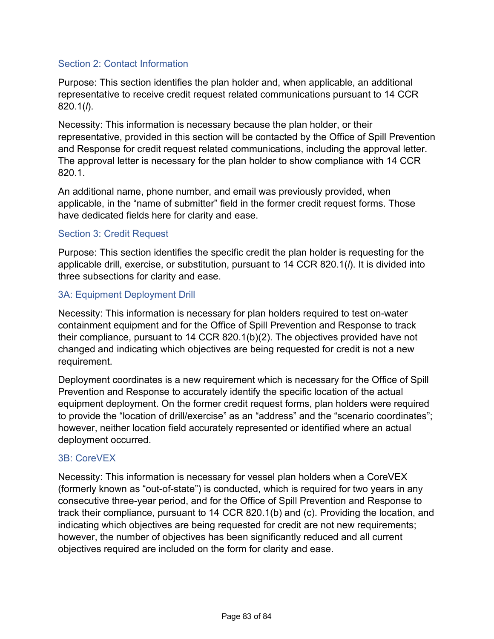### Section 2: Contact Information

Purpose: This section identifies the plan holder and, when applicable, an additional representative to receive credit request related communications pursuant to 14 CCR 820.1(*l*).

Necessity: This information is necessary because the plan holder, or their representative, provided in this section will be contacted by the Office of Spill Prevention and Response for credit request related communications, including the approval letter. The approval letter is necessary for the plan holder to show compliance with 14 CCR 820.1.

An additional name, phone number, and email was previously provided, when applicable, in the "name of submitter" field in the former credit request forms. Those have dedicated fields here for clarity and ease.

## Section 3: Credit Request

Purpose: This section identifies the specific credit the plan holder is requesting for the applicable drill, exercise, or substitution, pursuant to 14 CCR 820.1(*l*). It is divided into three subsections for clarity and ease.

## 3A: Equipment Deployment Drill

Necessity: This information is necessary for plan holders required to test on-water containment equipment and for the Office of Spill Prevention and Response to track their compliance, pursuant to 14 CCR 820.1(b)(2). The objectives provided have not changed and indicating which objectives are being requested for credit is not a new requirement.

Deployment coordinates is a new requirement which is necessary for the Office of Spill Prevention and Response to accurately identify the specific location of the actual equipment deployment. On the former credit request forms, plan holders were required to provide the "location of drill/exercise" as an "address" and the "scenario coordinates"; however, neither location field accurately represented or identified where an actual deployment occurred.

### 3B: CoreVEX

Necessity: This information is necessary for vessel plan holders when a CoreVEX (formerly known as "out-of-state") is conducted, which is required for two years in any consecutive three-year period, and for the Office of Spill Prevention and Response to track their compliance, pursuant to 14 CCR 820.1(b) and (c). Providing the location, and indicating which objectives are being requested for credit are not new requirements; however, the number of objectives has been significantly reduced and all current objectives required are included on the form for clarity and ease.